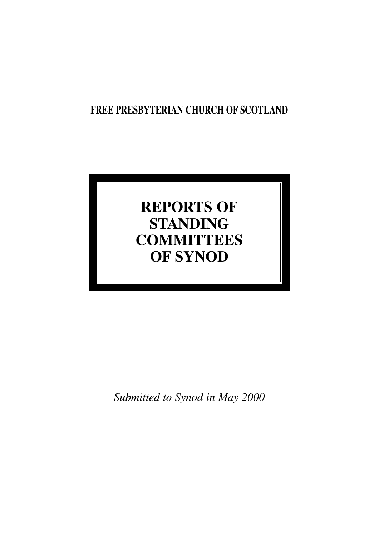## **FREE PRESBYTERIAN CHURCH OF SCOTLAND**

# **REPORTS OF STANDING COMMITTEES OF SYNOD**

*Submitted to Synod in May 2000*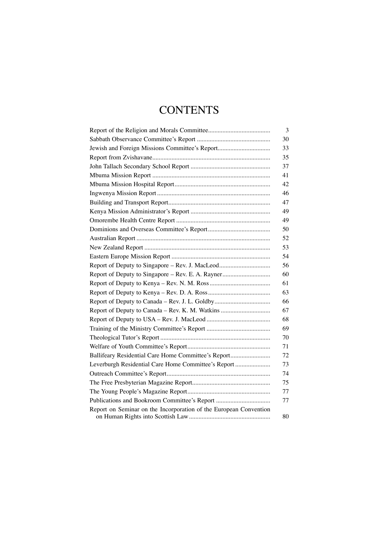## **CONTENTS**

| 3                                                                       |
|-------------------------------------------------------------------------|
| 30                                                                      |
| 33<br>Jewish and Foreign Missions Committee's Report                    |
| 35                                                                      |
| 37                                                                      |
| 41                                                                      |
| 42                                                                      |
| 46                                                                      |
| 47                                                                      |
| 49                                                                      |
| 49                                                                      |
| 50                                                                      |
| 52                                                                      |
| 53                                                                      |
| 54                                                                      |
| Report of Deputy to Singapore – Rev. J. MacLeod<br>56                   |
| 60<br>Report of Deputy to Singapore - Rev. E. A. Rayner                 |
| 61                                                                      |
| 63                                                                      |
| 66<br>Report of Deputy to Canada - Rev. J. L. Goldby                    |
| Report of Deputy to Canada - Rev. K. M. Watkins<br>67                   |
| 68                                                                      |
| 69                                                                      |
| 70                                                                      |
| 71                                                                      |
| 72<br>Ballifeary Residential Care Home Committee's Report               |
| 73<br>Leverburgh Residential Care Home Committee's Report               |
| 74                                                                      |
| 75                                                                      |
| 77                                                                      |
| 77                                                                      |
| Report on Seminar on the Incorporation of the European Convention<br>80 |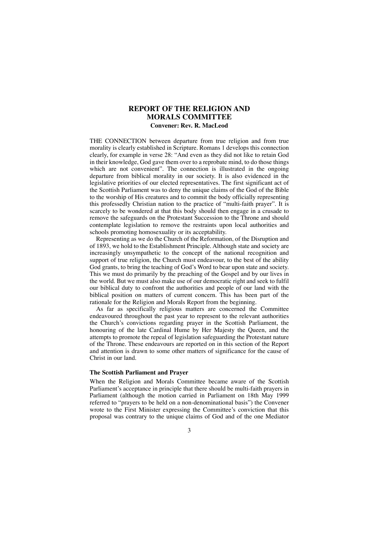## **REPORT OF THE RELIGION AND MORALS COMMITTEE Convener: Rev. R. MacLeod**

THE CONNECTION between departure from true religion and from true morality is clearly established in Scripture. Romans 1 develops this connection clearly, for example in verse 28: "And even as they did not like to retain God in their knowledge, God gave them over to a reprobate mind, to do those things which are not convenient". The connection is illustrated in the ongoing departure from biblical morality in our society. It is also evidenced in the legislative priorities of our elected representatives. The first significant act of the Scottish Parliament was to deny the unique claims of the God of the Bible to the worship of His creatures and to commit the body officially representing this professedly Christian nation to the practice of "multi-faith prayer". It is scarcely to be wondered at that this body should then engage in a crusade to remove the safeguards on the Protestant Succession to the Throne and should contemplate legislation to remove the restraints upon local authorities and schools promoting homosexuality or its acceptability.

Representing as we do the Church of the Reformation, of the Disruption and of 1893, we hold to the Establishment Principle. Although state and society are increasingly unsympathetic to the concept of the national recognition and support of true religion, the Church must endeavour, to the best of the ability God grants, to bring the teaching of God's Word to bear upon state and society. This we must do primarily by the preaching of the Gospel and by our lives in the world. But we must also make use of our democratic right and seek to fulfil our biblical duty to confront the authorities and people of our land with the biblical position on matters of current concern. This has been part of the rationale for the Religion and Morals Report from the beginning.

As far as specifically religious matters are concerned the Committee endeavoured throughout the past year to represent to the relevant authorities the Church's convictions regarding prayer in the Scottish Parliament, the honouring of the late Cardinal Hume by Her Majesty the Queen, and the attempts to promote the repeal of legislation safeguarding the Protestant nature of the Throne. These endeavours are reported on in this section of the Report and attention is drawn to some other matters of significance for the cause of Christ in our land.

## **The Scottish Parliament and Prayer**

When the Religion and Morals Committee became aware of the Scottish Parliament's acceptance in principle that there should be multi-faith prayers in Parliament (although the motion carried in Parliament on 18th May 1999 referred to "prayers to be held on a non-denominational basis") the Convener wrote to the First Minister expressing the Committee's conviction that this proposal was contrary to the unique claims of God and of the one Mediator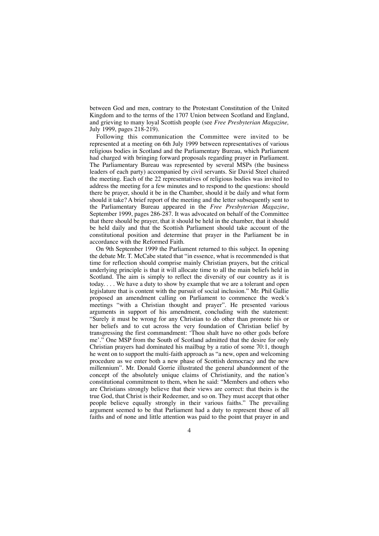between God and men, contrary to the Protestant Constitution of the United Kingdom and to the terms of the 1707 Union between Scotland and England, and grieving to many loyal Scottish people (see *Free Presbyterian Magazine,* July 1999, pages 218-219).

Following this communication the Committee were invited to be represented at a meeting on 6th July 1999 between representatives of various religious bodies in Scotland and the Parliamentary Bureau, which Parliament had charged with bringing forward proposals regarding prayer in Parliament. The Parliamentary Bureau was represented by several MSPs (the business leaders of each party) accompanied by civil servants. Sir David Steel chaired the meeting. Each of the 22 representatives of religious bodies was invited to address the meeting for a few minutes and to respond to the questions: should there be prayer, should it be in the Chamber, should it be daily and what form should it take? A brief report of the meeting and the letter subsequently sent to the Parliamentary Bureau appeared in the *Free Presbyterian Magazine*, September 1999, pages 286-287. It was advocated on behalf of the Committee that there should be prayer, that it should be held in the chamber, that it should be held daily and that the Scottish Parliament should take account of the constitutional position and determine that prayer in the Parliament be in accordance with the Reformed Faith.

On 9th September 1999 the Parliament returned to this subject. In opening the debate Mr. T. McCabe stated that "in essence, what is recommended is that time for reflection should comprise mainly Christian prayers, but the critical underlying principle is that it will allocate time to all the main beliefs held in Scotland. The aim is simply to reflect the diversity of our country as it is today. . . . We have a duty to show by example that we are a tolerant and open legislature that is content with the pursuit of social inclusion." Mr. Phil Gallie proposed an amendment calling on Parliament to commence the week's meetings "with a Christian thought and prayer". He presented various arguments in support of his amendment, concluding with the statement: "Surely it must be wrong for any Christian to do other than promote his or her beliefs and to cut across the very foundation of Christian belief by transgressing the first commandment: 'Thou shalt have no other gods before me'." One MSP from the South of Scotland admitted that the desire for only Christian prayers had dominated his mailbag by a ratio of some 70:1, though he went on to support the multi-faith approach as "a new, open and welcoming procedure as we enter both a new phase of Scottish democracy and the new millennium". Mr. Donald Gorrie illustrated the general abandonment of the concept of the absolutely unique claims of Christianity, and the nation's constitutional commitment to them, when he said: "Members and others who are Christians strongly believe that their views are correct: that theirs is the true God, that Christ is their Redeemer, and so on. They must accept that other people believe equally strongly in their various faiths." The prevailing argument seemed to be that Parliament had a duty to represent those of all faiths and of none and little attention was paid to the point that prayer in and

 $\Delta$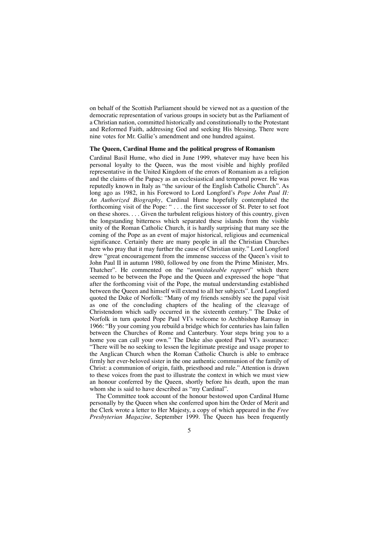on behalf of the Scottish Parliament should be viewed not as a question of the democratic representation of various groups in society but as the Parliament of a Christian nation, committed historically and constitutionally to the Protestant and Reformed Faith, addressing God and seeking His blessing*.* There were nine votes for Mr. Gallie's amendment and one hundred against.

## **The Queen, Cardinal Hume and the political progress of Romanism**

Cardinal Basil Hume, who died in June 1999, whatever may have been his personal loyalty to the Queen, was the most visible and highly profiled representative in the United Kingdom of the errors of Romanism as a religion and the claims of the Papacy as an ecclesiastical and temporal power. He was reputedly known in Italy as "the saviour of the English Catholic Church". As long ago as 1982, in his Foreword to Lord Longford's *Pope John Paul II: An Authorized Biography*, Cardinal Hume hopefully contemplated the forthcoming visit of the Pope: " . . . the first successor of St. Peter to set foot on these shores. . . . Given the turbulent religious history of this country, given the longstanding bitterness which separated these islands from the visible unity of the Roman Catholic Church, it is hardly surprising that many see the coming of the Pope as an event of major historical, religious and ecumenical significance. Certainly there are many people in all the Christian Churches here who pray that it may further the cause of Christian unity." Lord Longford drew "great encouragement from the immense success of the Queen's visit to John Paul II in autumn 1980, followed by one from the Prime Minister, Mrs. Thatcher". He commented on the "*unmistakeable rapport*" which there seemed to be between the Pope and the Queen and expressed the hope "that after the forthcoming visit of the Pope, the mutual understanding established between the Queen and himself will extend to all her subjects". Lord Longford quoted the Duke of Norfolk: "Many of my friends sensibly see the papal visit as one of the concluding chapters of the healing of the cleavage of Christendom which sadly occurred in the sixteenth century." The Duke of Norfolk in turn quoted Pope Paul VI's welcome to Archbishop Ramsay in 1966: "By your coming you rebuild a bridge which for centuries has lain fallen between the Churches of Rome and Canterbury. Your steps bring you to a home you can call your own." The Duke also quoted Paul VI's assurance: "There will be no seeking to lessen the legitimate prestige and usage proper to the Anglican Church when the Roman Catholic Church is able to embrace firmly her ever-beloved sister in the one authentic communion of the family of Christ: a communion of origin, faith, priesthood and rule." Attention is drawn to these voices from the past to illustrate the context in which we must view an honour conferred by the Queen, shortly before his death, upon the man whom she is said to have described as "my Cardinal".

The Committee took account of the honour bestowed upon Cardinal Hume personally by the Queen when she conferred upon him the Order of Merit and the Clerk wrote a letter to Her Majesty, a copy of which appeared in the *Free Presbyterian Magazine*, September 1999. The Queen has been frequently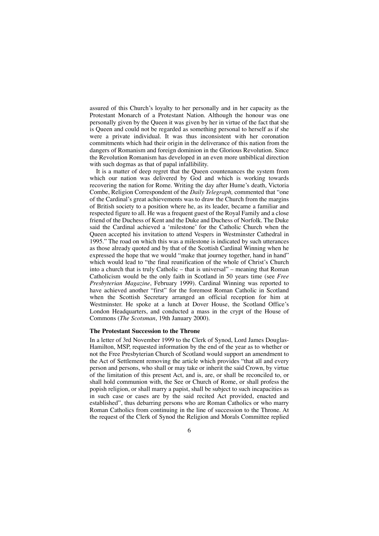assured of this Church's loyalty to her personally and in her capacity as the Protestant Monarch of a Protestant Nation. Although the honour was one personally given by the Queen it was given by her in virtue of the fact that she is Queen and could not be regarded as something personal to herself as if she were a private individual. It was thus inconsistent with her coronation commitments which had their origin in the deliverance of this nation from the dangers of Romanism and foreign dominion in the Glorious Revolution. Since the Revolution Romanism has developed in an even more unbiblical direction with such dogmas as that of papal infallibility.

It is a matter of deep regret that the Queen countenances the system from which our nation was delivered by God and which is working towards recovering the nation for Rome. Writing the day after Hume's death, Victoria Combe, Religion Correspondent of the *Daily Telegraph,* commented that "one of the Cardinal's great achievements was to draw the Church from the margins of British society to a position where he, as its leader, became a familiar and respected figure to all. He was a frequent guest of the Royal Family and a close friend of the Duchess of Kent and the Duke and Duchess of Norfolk. The Duke said the Cardinal achieved a 'milestone' for the Catholic Church when the Queen accepted his invitation to attend Vespers in Westminster Cathedral in 1995." The road on which this was a milestone is indicated by such utterances as those already quoted and by that of the Scottish Cardinal Winning when he expressed the hope that we would "make that journey together, hand in hand" which would lead to "the final reunification of the whole of Christ's Church into a church that is truly Catholic – that is universal" – meaning that Roman Catholicism would be the only faith in Scotland in 50 years time (see *Free Presbyterian Magazine*, February 1999). Cardinal Winning was reported to have achieved another "first" for the foremost Roman Catholic in Scotland when the Scottish Secretary arranged an official reception for him at Westminster. He spoke at a lunch at Dover House, the Scotland Office's London Headquarters, and conducted a mass in the crypt of the House of Commons (*The Scotsman*, 19th January 2000).

#### **The Protestant Succession to the Throne**

In a letter of 3rd November 1999 to the Clerk of Synod, Lord James Douglas-Hamilton, MSP, requested information by the end of the year as to whether or not the Free Presbyterian Church of Scotland would support an amendment to the Act of Settlement removing the article which provides "that all and every person and persons, who shall or may take or inherit the said Crown, by virtue of the limitation of this present Act, and is, are, or shall be reconciled to, or shall hold communion with, the See or Church of Rome, or shall profess the popish religion, or shall marry a papist, shall be subject to such incapacities as in such case or cases are by the said recited Act provided, enacted and established", thus debarring persons who are Roman Catholics or who marry Roman Catholics from continuing in the line of succession to the Throne. At the request of the Clerk of Synod the Religion and Morals Committee replied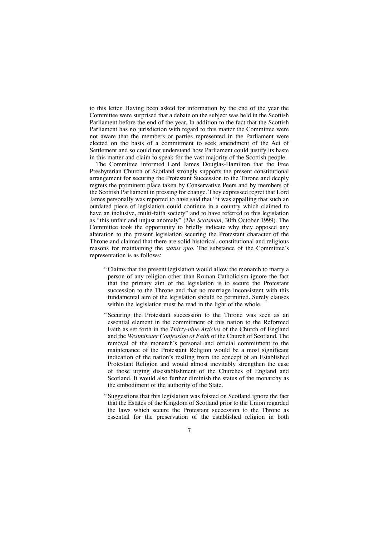to this letter. Having been asked for information by the end of the year the Committee were surprised that a debate on the subject was held in the Scottish Parliament before the end of the year. In addition to the fact that the Scottish Parliament has no jurisdiction with regard to this matter the Committee were not aware that the members or parties represented in the Parliament were elected on the basis of a commitment to seek amendment of the Act of Settlement and so could not understand how Parliament could justify its haste in this matter and claim to speak for the vast majority of the Scottish people.

The Committee informed Lord James Douglas-Hamilton that the Free Presbyterian Church of Scotland strongly supports the present constitutional arrangement for securing the Protestant Succession to the Throne and deeply regrets the prominent place taken by Conservative Peers and by members of the Scottish Parliament in pressing for change. They expressed regret that Lord James personally was reported to have said that "it was appalling that such an outdated piece of legislation could continue in a country which claimed to have an inclusive, multi-faith society" and to have referred to this legislation as "this unfair and unjust anomaly" (*The Scotsman*, 30th October 1999). The Committee took the opportunity to briefly indicate why they opposed any alteration to the present legislation securing the Protestant character of the Throne and claimed that there are solid historical, constitutional and religious reasons for maintaining the *status quo*. The substance of the Committee's representation is as follows:

- "Claims that the present legislation would allow the monarch to marry a person of any religion other than Roman Catholicism ignore the fact that the primary aim of the legislation is to secure the Protestant succession to the Throne and that no marriage inconsistent with this fundamental aim of the legislation should be permitted. Surely clauses within the legislation must be read in the light of the whole.
- "Securing the Protestant succession to the Throne was seen as an essential element in the commitment of this nation to the Reformed Faith as set forth in the *Thirty-nine Articles* of the Church of England and the *Westminster Confession of Faith* of the Church of Scotland. The removal of the monarch's personal and official commitment to the maintenance of the Protestant Religion would be a most significant indication of the nation's resiling from the concept of an Established Protestant Religion and would almost inevitably strengthen the case of those urging disestablishment of the Churches of England and Scotland. It would also further diminish the status of the monarchy as the embodiment of the authority of the State.
- "Suggestions that this legislation was foisted on Scotland ignore the fact that the Estates of the Kingdom of Scotland prior to the Union regarded the laws which secure the Protestant succession to the Throne as essential for the preservation of the established religion in both
	- 7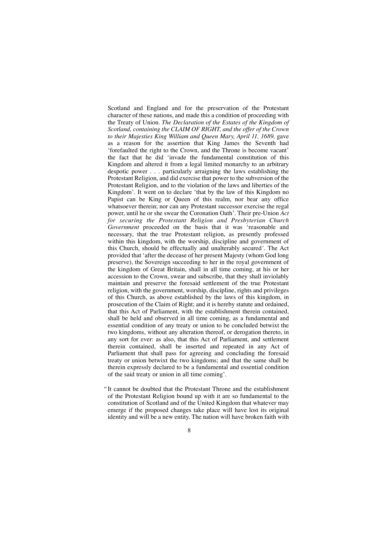Scotland and England and for the preservation of the Protestant character of these nations, and made this a condition of proceeding with the Treaty of Union. *The Declaration of the Estates of the Kingdom of Scotland, containing the CLAIM OF RIGHT, and the offer of the Crown to their Majesties King William and Queen Mary, April 11, 1689,* gave as a reason for the assertion that King James the Seventh had 'forefaulted the right to the Crown, and the Throne is become vacant' the fact that he did 'invade the fundamental constitution of this Kingdom and altered it from a legal limited monarchy to an arbitrary despotic power . . . particularly arraigning the laws establishing the Protestant Religion, and did exercise that power to the subversion of the Protestant Religion, and to the violation of the laws and liberties of the Kingdom'. It went on to declare 'that by the law of this Kingdom no Papist can be King or Queen of this realm, nor bear any office whatsoever therein; nor can any Protestant successor exercise the regal power, until he or she swear the Coronation Oath'. Their pre-Union *Act for securing the Protestant Religion and Presbyterian Church Government* proceeded on the basis that it was 'reasonable and necessary, that the true Protestant religion, as presently professed within this kingdom, with the worship, discipline and government of this Church, should be effectually and unalterably secured*'.* The Act provided that 'after the decease of her present Majesty (whom God long preserve), the Sovereign succeeding to her in the royal government of the kingdom of Great Britain, shall in all time coming, at his or her accession to the Crown, swear and subscribe, that they shall inviolably maintain and preserve the foresaid settlement of the true Protestant religion, with the government, worship, discipline, rights and privileges of this Church, as above established by the laws of this kingdom, in prosecution of the Claim of Right; and it is hereby statute and ordained, that this Act of Parliament, with the establishment therein contained, shall be held and observed in all time coming, as a fundamental and essential condition of any treaty or union to be concluded betwixt the two kingdoms, without any alteration thereof, or derogation thereto, in any sort for ever: as also, that this Act of Parliament, and settlement therein contained, shall be inserted and repeated in any Act of Parliament that shall pass for agreeing and concluding the foresaid treaty or union betwixt the two kingdoms; and that the same shall be therein expressly declared to be a fundamental and essential condition of the said treaty or union in all time coming'.

" It cannot be doubted that the Protestant Throne and the establishment of the Protestant Religion bound up with it are so fundamental to the constitution of Scotland and of the United Kingdom that whatever may emerge if the proposed changes take place will have lost its original identity and will be a new entity. The nation will have broken faith with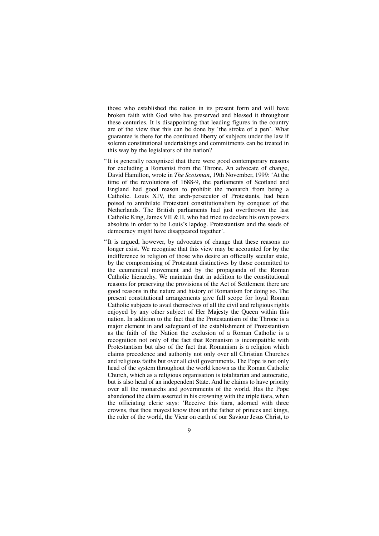those who established the nation in its present form and will have broken faith with God who has preserved and blessed it throughout these centuries. It is disappointing that leading figures in the country are of the view that this can be done by 'the stroke of a pen'. What guarantee is there for the continued liberty of subjects under the law if solemn constitutional undertakings and commitments can be treated in this way by the legislators of the nation?

- " It is generally recognised that there were good contemporary reasons for excluding a Romanist from the Throne. An advocate of change, David Hamilton, wrote in *The Scotsman*, 19th November, 1999: 'At the time of the revolutions of 1688-9, the parliaments of Scotland and England had good reason to prohibit the monarch from being a Catholic. Louis XIV, the arch-persecutor of Protestants, had been poised to annihilate Protestant constitutionalism by conquest of the Netherlands. The British parliaments had just overthrown the last Catholic King, James VII & II, who had tried to declare his own powers absolute in order to be Louis's lapdog. Protestantism and the seeds of democracy might have disappeared together'.
- " It is argued, however, by advocates of change that these reasons no longer exist. We recognise that this view may be accounted for by the indifference to religion of those who desire an officially secular state, by the compromising of Protestant distinctives by those committed to the ecumenical movement and by the propaganda of the Roman Catholic hierarchy. We maintain that in addition to the constitutional reasons for preserving the provisions of the Act of Settlement there are good reasons in the nature and history of Romanism for doing so. The present constitutional arrangements give full scope for loyal Roman Catholic subjects to avail themselves of all the civil and religious rights enjoyed by any other subject of Her Majesty the Queen within this nation. In addition to the fact that the Protestantism of the Throne is a major element in and safeguard of the establishment of Protestantism as the faith of the Nation the exclusion of a Roman Catholic is a recognition not only of the fact that Romanism is incompatible with Protestantism but also of the fact that Romanism is a religion which claims precedence and authority not only over all Christian Churches and religious faiths but over all civil governments. The Pope is not only head of the system throughout the world known as the Roman Catholic Church, which as a religious organisation is totalitarian and autocratic, but is also head of an independent State. And he claims to have priority over all the monarchs and governments of the world. Has the Pope abandoned the claim asserted in his crowning with the triple tiara, when the officiating cleric says: 'Receive this tiara, adorned with three crowns, that thou mayest know thou art the father of princes and kings, the ruler of the world, the Vicar on earth of our Saviour Jesus Christ, to
	- $\overline{Q}$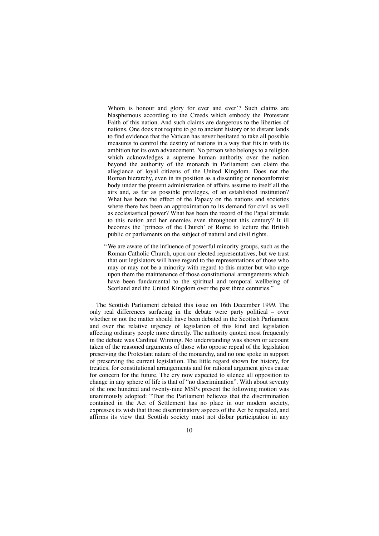Whom is honour and glory for ever and ever'? Such claims are blasphemous according to the Creeds which embody the Protestant Faith of this nation. And such claims are dangerous to the liberties of nations. One does not require to go to ancient history or to distant lands to find evidence that the Vatican has never hesitated to take all possible measures to control the destiny of nations in a way that fits in with its ambition for its own advancement. No person who belongs to a religion which acknowledges a supreme human authority over the nation beyond the authority of the monarch in Parliament can claim the allegiance of loyal citizens of the United Kingdom. Does not the Roman hierarchy, even in its position as a dissenting or nonconformist body under the present administration of affairs assume to itself all the airs and, as far as possible privileges, of an established institution? What has been the effect of the Papacy on the nations and societies where there has been an approximation to its demand for civil as well as ecclesiastical power? What has been the record of the Papal attitude to this nation and her enemies even throughout this century? It ill becomes the 'princes of the Church' of Rome to lecture the British public or parliaments on the subject of natural and civil rights.

"We are aware of the influence of powerful minority groups, such as the Roman Catholic Church, upon our elected representatives, but we trust that our legislators will have regard to the representations of those who may or may not be a minority with regard to this matter but who urge upon them the maintenance of those constitutional arrangements which have been fundamental to the spiritual and temporal wellbeing of Scotland and the United Kingdom over the past three centuries."

The Scottish Parliament debated this issue on 16th December 1999. The only real differences surfacing in the debate were party political – over whether or not the matter should have been debated in the Scottish Parliament and over the relative urgency of legislation of this kind and legislation affecting ordinary people more directly. The authority quoted most frequently in the debate was Cardinal Winning. No understanding was shown or account taken of the reasoned arguments of those who oppose repeal of the legislation preserving the Protestant nature of the monarchy, and no one spoke in support of preserving the current legislation. The little regard shown for history, for treaties, for constitutional arrangements and for rational argument gives cause for concern for the future. The cry now expected to silence all opposition to change in any sphere of life is that of "no discrimination". With about seventy of the one hundred and twenty-nine MSPs present the following motion was unanimously adopted: "That the Parliament believes that the discrimination contained in the Act of Settlement has no place in our modern society, expresses its wish that those discriminatory aspects of the Act be repealed, and affirms its view that Scottish society must not disbar participation in any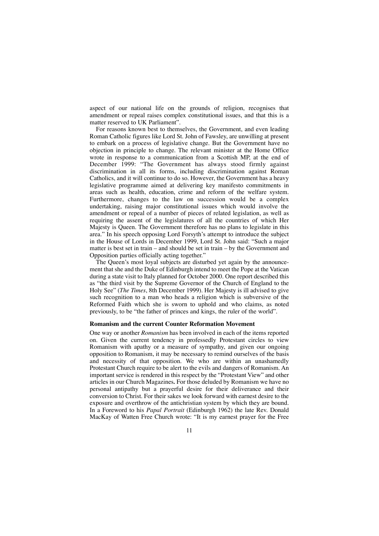aspect of our national life on the grounds of religion, recognises that amendment or repeal raises complex constitutional issues, and that this is a matter reserved to UK Parliament".

For reasons known best to themselves, the Government, and even leading Roman Catholic figures like Lord St. John of Fawsley, are unwilling at present to embark on a process of legislative change. But the Government have no objection in principle to change. The relevant minister at the Home Office wrote in response to a communication from a Scottish MP, at the end of December 1999: "The Government has always stood firmly against discrimination in all its forms, including discrimination against Roman Catholics, and it will continue to do so. However, the Government has a heavy legislative programme aimed at delivering key manifesto commitments in areas such as health, education, crime and reform of the welfare system. Furthermore, changes to the law on succession would be a complex undertaking, raising major constitutional issues which would involve the amendment or repeal of a number of pieces of related legislation, as well as requiring the assent of the legislatures of all the countries of which Her Majesty is Queen. The Government therefore has no plans to legislate in this area." In his speech opposing Lord Forsyth's attempt to introduce the subject in the House of Lords in December 1999, Lord St. John said: "Such a major matter is best set in train – and should be set in train – by the Government and Opposition parties officially acting together."

The Queen's most loyal subjects are disturbed yet again by the announcement that she and the Duke of Edinburgh intend to meet the Pope at the Vatican during a state visit to Italy planned for October 2000. One report described this as "the third visit by the Supreme Governor of the Church of England to the Holy See" (*The Times*, 8th December 1999). Her Majesty is ill advised to give such recognition to a man who heads a religion which is subversive of the Reformed Faith which she is sworn to uphold and who claims, as noted previously, to be "the father of princes and kings, the ruler of the world".

## **Romanism and the current Counter Reformation Movement**

One way or another *Romanism* has been involved in each of the items reported on. Given the current tendency in professedly Protestant circles to view Romanism with apathy or a measure of sympathy, and given our ongoing opposition to Romanism, it may be necessary to remind ourselves of the basis and necessity of that opposition. We who are within an unashamedly Protestant Church require to be alert to the evils and dangers of Romanism. An important service is rendered in this respect by the "Protestant View" and other articles in our Church Magazines*.* For those deluded by Romanism we have no personal antipathy but a prayerful desire for their deliverance and their conversion to Christ. For their sakes we look forward with earnest desire to the exposure and overthrow of the antichristian system by which they are bound. In a Foreword to his *Papal Portrait* (Edinburgh 1962) the late Rev. Donald MacKay of Watten Free Church wrote: "It is my earnest prayer for the Free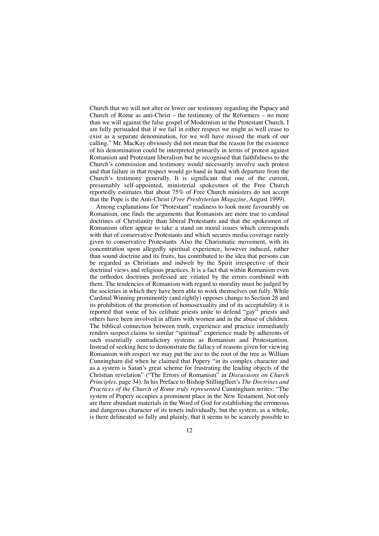Church that we will not alter or lower our testimony regarding the Papacy and Church of Rome as anti-Christ – the testimony of the Reformers – no more than we will against the false gospel of Modernism in the Protestant Church. I am fully persuaded that if we fail in either respect we might as well cease to exist as a separate denomination, for we will have missed the mark of our calling." Mr. MacKay obviously did not mean that the reason for the existence of his denomination could be interpreted primarily in terms of protest against Romanism and Protestant liberalism but he recognised that faithfulness to the Church's commission and testimony would necessarily involve such protest and that failure in that respect would go hand in hand with departure from the Church's testimony generally. It is significant that one of the current, presumably self-appointed, ministerial spokesmen of the Free Church reportedly estimates that about 75% of Free Church ministers do not accept that the Pope is the Anti-Christ (*Free Presbyterian Magazine*, August 1999).

Among explanations for "Protestant" readiness to look more favourably on Romanism, one finds the arguments that Romanists are more true to cardinal doctrines of Christianity than liberal Protestants and that the spokesmen of Romanism often appear to take a stand on moral issues which corresponds with that of conservative Protestants and which secures media coverage rarely given to conservative Protestants. Also the Charismatic movement, with its concentration upon allegedly spiritual experience, however induced, rather than sound doctrine and its fruits, has contributed to the idea that persons can be regarded as Christians and indwelt by the Spirit irrespective of their doctrinal views and religious practices. It is a fact that within Romanism even the orthodox doctrines professed are vitiated by the errors combined with them. The tendencies of Romanism with regard to morality must be judged by the societies in which they have been able to work themselves out fully. While Cardinal Winning prominently (and rightly) opposes change to Section 28 and its prohibition of the promotion of homosexuality and of its acceptability it is reported that some of his celibate priests unite to defend "gay" priests and others have been involved in affairs with women and in the abuse of children. The biblical connection between truth, experience and practice immediately renders suspect claims to similar "spiritual" experience made by adherents of such essentially contradictory systems as Romanism and Protestantism. Instead of seeking here to demonstrate the fallacy of reasons given for viewing Romanism with respect we may put the axe to the root of the tree as William Cunningham did when he claimed that Popery "in its complex character and as a system is Satan's great scheme for frustrating the leading objects of the Christian revelation" ("The Errors of Romanism" in *Discussions on Church Principles*, page 34). In his Preface to Bishop Stillingfleet's *The Doctrines and Practices of the Church of Rome truly represented* Cunningham writes: "The system of Popery occupies a prominent place in the New Testament. Not only are there abundant materials in the Word of God for establishing the erroneous and dangerous character of its tenets individually, but the system, as a whole, is there delineated so fully and plainly, that it seems to be scarcely possible to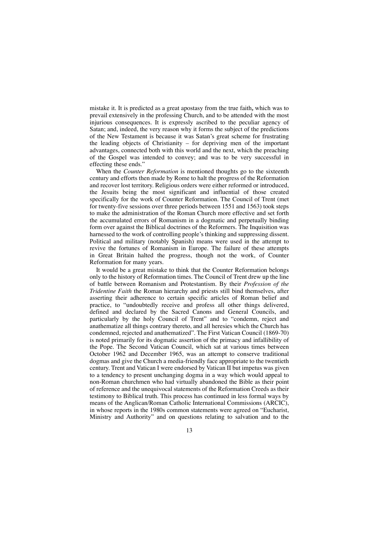mistake it. It is predicted as a great apostasy from the true faith*,* which was to prevail extensively in the professing Church, and to be attended with the most injurious consequences. It is expressly ascribed to the peculiar agency of Satan; and, indeed, the very reason why it forms the subject of the predictions of the New Testament is because it was Satan's great scheme for frustrating the leading objects of Christianity – for depriving men of the important advantages, connected both with this world and the next, which the preaching of the Gospel was intended to convey; and was to be very successful in effecting these ends."

When the *Counter Reformation* is mentioned thoughts go to the sixteenth century and efforts then made by Rome to halt the progress of the Reformation and recover lost territory. Religious orders were either reformed or introduced, the Jesuits being the most significant and influential of those created specifically for the work of Counter Reformation. The Council of Trent (met for twenty-five sessions over three periods between 1551 and 1563) took steps to make the administration of the Roman Church more effective and set forth the accumulated errors of Romanism in a dogmatic and perpetually binding form over against the Biblical doctrines of the Reformers. The Inquisition was harnessed to the work of controlling people's thinking and suppressing dissent. Political and military (notably Spanish) means were used in the attempt to revive the fortunes of Romanism in Europe. The failure of these attempts in Great Britain halted the progress, though not the work, of Counter Reformation for many years.

It would be a great mistake to think that the Counter Reformation belongs only to the history of Reformation times. The Council of Trent drew up the line of battle between Romanism and Protestantism. By their *Profession of the Tridentine Faith* the Roman hierarchy and priests still bind themselves, after asserting their adherence to certain specific articles of Roman belief and practice, to "undoubtedly receive and profess all other things delivered, defined and declared by the Sacred Canons and General Councils, and particularly by the holy Council of Trent" and to "condemn, reject and anathematize all things contrary thereto, and all heresies which the Church has condemned, rejected and anathematized". The First Vatican Council (1869-70) is noted primarily for its dogmatic assertion of the primacy and infallibility of the Pope. The Second Vatican Council, which sat at various times between October 1962 and December 1965, was an attempt to conserve traditional dogmas and give the Church a media-friendly face appropriate to the twentieth century. Trent and Vatican I were endorsed by Vatican II but impetus was given to a tendency to present unchanging dogma in a way which would appeal to non-Roman churchmen who had virtually abandoned the Bible as their point of reference and the unequivocal statements of the Reformation Creeds as their testimony to Biblical truth. This process has continued in less formal ways by means of the Anglican/Roman Catholic International Commissions (ARCIC), in whose reports in the 1980s common statements were agreed on "Eucharist, Ministry and Authority" and on questions relating to salvation and to the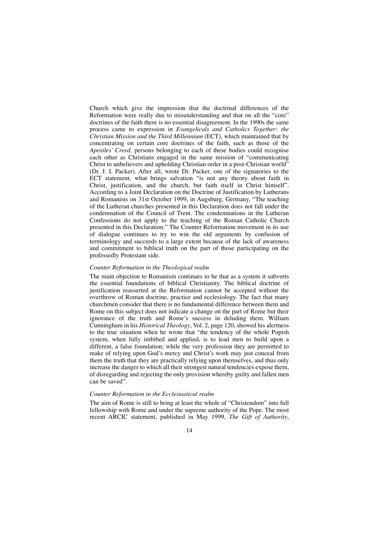Church which give the impression that the doctrinal differences of the Reformation were really due to misunderstanding and that on all the "core" doctrines of the faith there is no essential disagreement. In the 1990s the same process came to expression in *Evangelicals and Catholics Together: the Christian Mission and the Third Millennium* (ECT), which maintained that by concentrating on certain core doctrines of the faith, such as those of the *Apostles' Creed,* persons belonging to each of these bodies could recognise each other as Christians engaged in the same mission of "communicating Christ to unbelievers and upholding Christian order in a post-Christian world" (Dr. J. I. Packer). After all, wrote Dr. Packer, one of the signatories to the ECT statement, what brings salvation "is not any theory about faith in Christ, justification, and the church, but faith itself in Christ himself". According to a Joint Declaration on the Doctrine of Justification by Lutherans and Romanists on 31st October 1999, in Augsburg, Germany, "The teaching of the Lutheran churches presented in this Declaration does not fall under the condemnation of the Council of Trent. The condemnations in the Lutheran Confessions do not apply to the teaching of the Roman Catholic Church presented in this Declaration." The Counter Reformation movement in its use of dialogue continues to try to win the old arguments by confusion of terminology and succeeds to a large extent because of the lack of awareness and commitment to biblical truth on the part of those participating on the professedly Protestant side.

#### *Counter Reformation in the Theological realm*

The main objection to Romanism continues to be that as a system it subverts the essential foundations of biblical Christianity. The biblical doctrine of justification reasserted at the Reformation cannot be accepted without the overthrow of Roman doctrine, practice and ecclesiology. The fact that many churchmen consider that there is no fundamental difference between them and Rome on this subject does not indicate a change on the part of Rome but their ignorance of the truth and Rome's success in deluding them. William Cunningham in his *Historical Theology*, Vol. 2, page 120, showed his alertness to the true situation when he wrote that "the tendency of the whole Popish system, when fully imbibed and applied, is to lead men to build upon a different, a false foundation; while the very profession they are permitted to make of relying upon God's mercy and Christ's work may just conceal from them the truth that they are practically relying upon themselves, and thus only increase the danger to which all their strongest natural tendencies expose them, of disregarding and rejecting the only provision whereby guilty and fallen men can be saved".

### *Counter Reformation in the Ecclesiastical realm*

The aim of Rome is still to bring at least the whole of "Christendom" into full fellowship with Rome and under the supreme authority of the Pope. The most recent ARCIC statement, published in May 1999, *The Gift of Authority*,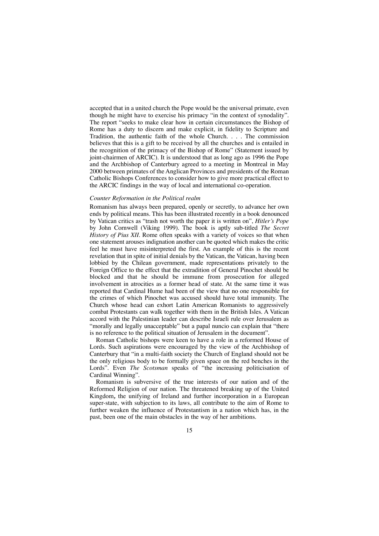accepted that in a united church the Pope would be the universal primate, even though he might have to exercise his primacy "in the context of synodality". The report "seeks to make clear how in certain circumstances the Bishop of Rome has a duty to discern and make explicit, in fidelity to Scripture and Tradition, the authentic faith of the whole Church. . . . The commission believes that this is a gift to be received by all the churches and is entailed in the recognition of the primacy of the Bishop of Rome" (Statement issued by joint-chairmen of ARCIC). It is understood that as long ago as 1996 the Pope and the Archbishop of Canterbury agreed to a meeting in Montreal in May 2000 between primates of the Anglican Provinces and presidents of the Roman Catholic Bishops Conferences to consider how to give more practical effect to the ARCIC findings in the way of local and international co-operation.

### *Counter Reformation in the Political realm*

Romanism has always been prepared, openly or secretly, to advance her own ends by political means. This has been illustrated recently in a book denounced by Vatican critics as "trash not worth the paper it is written on", *Hitler's Pope* by John Cornwell (Viking 1999). The book is aptly sub-titled *The Secret History of Pius XII*. Rome often speaks with a variety of voices so that when one statement arouses indignation another can be quoted which makes the critic feel he must have misinterpreted the first. An example of this is the recent revelation that in spite of initial denials by the Vatican, the Vatican, having been lobbied by the Chilean government, made representations privately to the Foreign Office to the effect that the extradition of General Pinochet should be blocked and that he should be immune from prosecution for alleged involvement in atrocities as a former head of state. At the same time it was reported that Cardinal Hume had been of the view that no one responsible for the crimes of which Pinochet was accused should have total immunity. The Church whose head can exhort Latin American Romanists to aggressively combat Protestants can walk together with them in the British Isles. A Vatican accord with the Palestinian leader can describe Israeli rule over Jerusalem as "morally and legally unacceptable" but a papal nuncio can explain that "there is no reference to the political situation of Jerusalem in the document".

Roman Catholic bishops were keen to have a role in a reformed House of Lords. Such aspirations were encouraged by the view of the Archbishop of Canterbury that "in a multi-faith society the Church of England should not be the only religious body to be formally given space on the red benches in the Lords". Even *The Scotsman* speaks of "the increasing politicisation of Cardinal Winning".

Romanism is subversive of the true interests of our nation and of the Reformed Religion of our nation. The threatened breaking up of the United Kingdom*,* the unifying of Ireland and further incorporation in a European super-state, with subjection to its laws, all contribute to the aim of Rome to further weaken the influence of Protestantism in a nation which has, in the past, been one of the main obstacles in the way of her ambitions.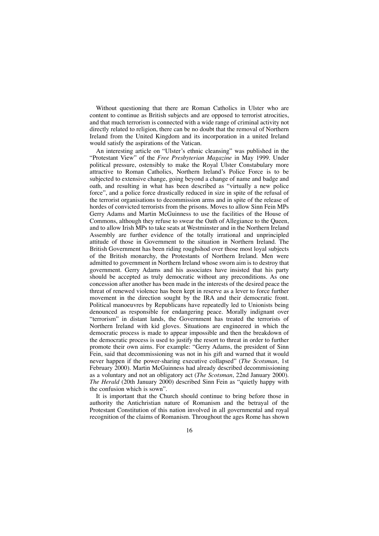Without questioning that there are Roman Catholics in Ulster who are content to continue as British subjects and are opposed to terrorist atrocities, and that much terrorism is connected with a wide range of criminal activity not directly related to religion, there can be no doubt that the removal of Northern Ireland from the United Kingdom and its incorporation in a united Ireland would satisfy the aspirations of the Vatican.

An interesting article on "Ulster's ethnic cleansing" was published in the "Protestant View" of the *Free Presbyterian Magazine* in May 1999. Under political pressure, ostensibly to make the Royal Ulster Constabulary more attractive to Roman Catholics, Northern Ireland's Police Force is to be subjected to extensive change, going beyond a change of name and badge and oath, and resulting in what has been described as "virtually a new police force", and a police force drastically reduced in size in spite of the refusal of the terrorist organisations to decommission arms and in spite of the release of hordes of convicted terrorists from the prisons. Moves to allow Sinn Fein MPs Gerry Adams and Martin McGuinness to use the facilities of the House of Commons, although they refuse to swear the Oath of Allegiance to the Queen, and to allow Irish MPs to take seats at Westminster and in the Northern Ireland Assembly are further evidence of the totally irrational and unprincipled attitude of those in Government to the situation in Northern Ireland. The British Government has been riding roughshod over those most loyal subjects of the British monarchy, the Protestants of Northern Ireland. Men were admitted to government in Northern Ireland whose sworn aim is to destroy that government. Gerry Adams and his associates have insisted that his party should be accepted as truly democratic without any preconditions. As one concession after another has been made in the interests of the desired peace the threat of renewed violence has been kept in reserve as a lever to force further movement in the direction sought by the IRA and their democratic front. Political manoeuvres by Republicans have repeatedly led to Unionists being denounced as responsible for endangering peace. Morally indignant over "terrorism" in distant lands, the Government has treated the terrorists of Northern Ireland with kid gloves. Situations are engineered in which the democratic process is made to appear impossible and then the breakdown of the democratic process is used to justify the resort to threat in order to further promote their own aims. For example: "Gerry Adams, the president of Sinn Fein, said that decommissioning was not in his gift and warned that it would never happen if the power-sharing executive collapsed" (*The Scotsman*, 1st February 2000). Martin McGuinness had already described decommissioning as a voluntary and not an obligatory act (*The Scotsman*, 22nd January 2000). *The Herald* (20th January 2000) described Sinn Fein as "quietly happy with the confusion which is sown".

It is important that the Church should continue to bring before those in authority the Antichristian nature of Romanism and the betrayal of the Protestant Constitution of this nation involved in all governmental and royal recognition of the claims of Romanism. Throughout the ages Rome has shown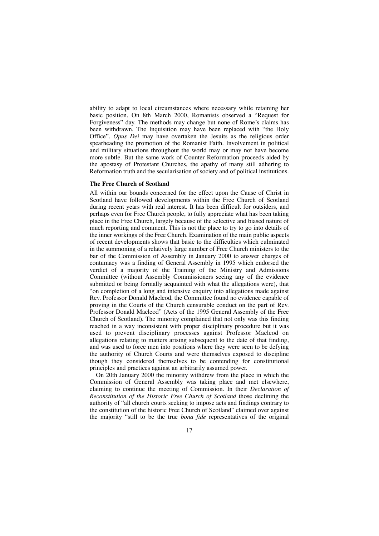ability to adapt to local circumstances where necessary while retaining her basic position. On 8th March 2000, Romanists observed a "Request for Forgiveness" day. The methods may change but none of Rome's claims has been withdrawn. The Inquisition may have been replaced with "the Holy Office". *Opus Dei* may have overtaken the Jesuits as the religious order spearheading the promotion of the Romanist Faith. Involvement in political and military situations throughout the world may or may not have become more subtle. But the same work of Counter Reformation proceeds aided by the apostasy of Protestant Churches, the apathy of many still adhering to Reformation truth and the secularisation of society and of political institutions.

## **The Free Church of Scotland**

All within our bounds concerned for the effect upon the Cause of Christ in Scotland have followed developments within the Free Church of Scotland during recent years with real interest. It has been difficult for outsiders, and perhaps even for Free Church people, to fully appreciate what has been taking place in the Free Church, largely because of the selective and biased nature of much reporting and comment. This is not the place to try to go into details of the inner workings of the Free Church. Examination of the main public aspects of recent developments shows that basic to the difficulties which culminated in the summoning of a relatively large number of Free Church ministers to the bar of the Commission of Assembly in January 2000 to answer charges of contumacy was a finding of General Assembly in 1995 which endorsed the verdict of a majority of the Training of the Ministry and Admissions Committee (without Assembly Commissioners seeing any of the evidence submitted or being formally acquainted with what the allegations were), that "on completion of a long and intensive enquiry into allegations made against Rev. Professor Donald Macleod, the Committee found no evidence capable of proving in the Courts of the Church censurable conduct on the part of Rev. Professor Donald Macleod" (Acts of the 1995 General Assembly of the Free Church of Scotland). The minority complained that not only was this finding reached in a way inconsistent with proper disciplinary procedure but it was used to prevent disciplinary processes against Professor Macleod on allegations relating to matters arising subsequent to the date of that finding, and was used to force men into positions where they were seen to be defying the authority of Church Courts and were themselves exposed to discipline though they considered themselves to be contending for constitutional principles and practices against an arbitrarily assumed power.

On 20th January 2000 the minority withdrew from the place in which the Commission of General Assembly was taking place and met elsewhere, claiming to continue the meeting of Commission. In their *Declaration of Reconstitution of the Historic Free Church of Scotland* those declining the authority of "all church courts seeking to impose acts and findings contrary to the constitution of the historic Free Church of Scotland" claimed over against the majority "still to be the true *bona fide* representatives of the original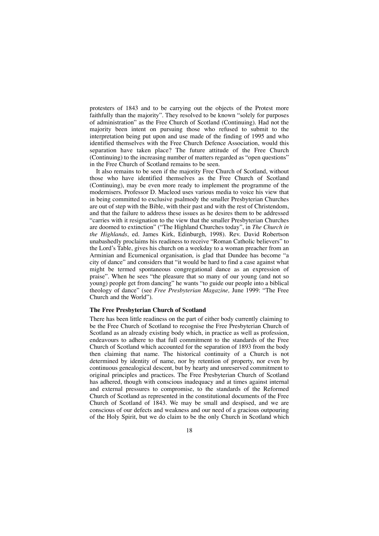protesters of 1843 and to be carrying out the objects of the Protest more faithfully than the majority". They resolved to be known "solely for purposes of administration" as the Free Church of Scotland (Continuing). Had not the majority been intent on pursuing those who refused to submit to the interpretation being put upon and use made of the finding of 1995 and who identified themselves with the Free Church Defence Association, would this separation have taken place? The future attitude of the Free Church (Continuing) to the increasing number of matters regarded as "open questions" in the Free Church of Scotland remains to be seen.

It also remains to be seen if the majority Free Church of Scotland, without those who have identified themselves as the Free Church of Scotland (Continuing), may be even more ready to implement the programme of the modernisers. Professor D. Macleod uses various media to voice his view that in being committed to exclusive psalmody the smaller Presbyterian Churches are out of step with the Bible, with their past and with the rest of Christendom, and that the failure to address these issues as he desires them to be addressed "carries with it resignation to the view that the smaller Presbyterian Churches are doomed to extinction" ("The Highland Churches today", in *The Church in the Highlands*, ed. James Kirk, Edinburgh, 1998). Rev. David Robertson unabashedly proclaims his readiness to receive "Roman Catholic believers" to the Lord's Table, gives his church on a weekday to a woman preacher from an Arminian and Ecumenical organisation, is glad that Dundee has become "a city of dance" and considers that "it would be hard to find a case against what might be termed spontaneous congregational dance as an expression of praise". When he sees "the pleasure that so many of our young (and not so young) people get from dancing" he wants "to guide our people into a biblical theology of dance" (see *Free Presbyterian Magazine,* June 1999: "The Free Church and the World").

#### **The Free Presbyterian Church of Scotland**

There has been little readiness on the part of either body currently claiming to be the Free Church of Scotland to recognise the Free Presbyterian Church of Scotland as an already existing body which, in practice as well as profession, endeavours to adhere to that full commitment to the standards of the Free Church of Scotland which accounted for the separation of 1893 from the body then claiming that name. The historical continuity of a Church is not determined by identity of name, nor by retention of property, nor even by continuous genealogical descent, but by hearty and unreserved commitment to original principles and practices. The Free Presbyterian Church of Scotland has adhered, though with conscious inadequacy and at times against internal and external pressures to compromise, to the standards of the Reformed Church of Scotland as represented in the constitutional documents of the Free Church of Scotland of 1843. We may be small and despised, and we are conscious of our defects and weakness and our need of a gracious outpouring of the Holy Spirit, but we do claim to be the only Church in Scotland which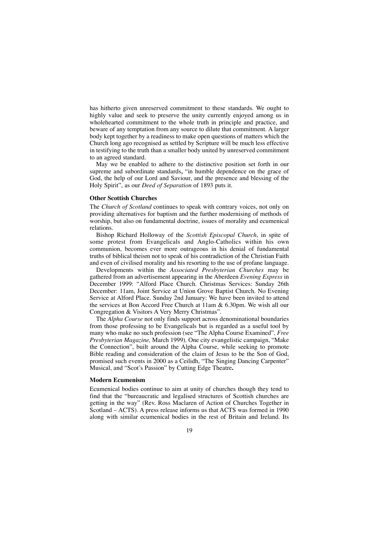has hitherto given unreserved commitment to these standards. We ought to highly value and seek to preserve the unity currently enjoyed among us in wholehearted commitment to the whole truth in principle and practice, and beware of any temptation from any source to dilute that commitment. A larger body kept together by a readiness to make open questions of matters which the Church long ago recognised as settled by Scripture will be much less effective in testifying to the truth than a smaller body united by unreserved commitment to an agreed standard.

May we be enabled to adhere to the distinctive position set forth in our supreme and subordinate standards*,* "in humble dependence on the grace of God, the help of our Lord and Saviour, and the presence and blessing of the Holy Spirit", as our *Deed of Separation* of 1893 puts it.

#### **Other Scottish Churches**

The *Church of Scotland* continues to speak with contrary voices, not only on providing alternatives for baptism and the further modernising of methods of worship, but also on fundamental doctrine, issues of morality and ecumenical relations.

Bishop Richard Holloway of the *Scottish Episcopal Church*, in spite of some protest from Evangelicals and Anglo-Catholics within his own communion, becomes ever more outrageous in his denial of fundamental truths of biblical theism not to speak of his contradiction of the Christian Faith and even of civilised morality and his resorting to the use of profane language.

Developments within the *Associated Presbyterian Churches* may be gathered from an advertisement appearing in the Aberdeen *Evening Express* in December 1999: "Alford Place Church. Christmas Services: Sunday 26th December: 11am, Joint Service at Union Grove Baptist Church. No Evening Service at Alford Place. Sunday 2nd January: We have been invited to attend the services at Bon Accord Free Church at 11am & 6.30pm. We wish all our Congregation & Visitors A Very Merry Christmas".

The *Alpha Course* not only finds support across denominational boundaries from those professing to be Evangelicals but is regarded as a useful tool by many who make no such profession (see "The Alpha Course Examined"*, Free Presbyterian Magazine,* March 1999). One city evangelistic campaign, "Make the Connection", built around the Alpha Course, while seeking to promote Bible reading and consideration of the claim of Jesus to be the Son of God, promised such events in 2000 as a Ceilidh, "The Singing Dancing Carpenter" Musical, and "Scot's Passion" by Cutting Edge Theatre**.** 

## **Modern Ecumenism**

Ecumenical bodies continue to aim at unity of churches though they tend to find that the "bureaucratic and legalised structures of Scottish churches are getting in the way" (Rev. Ross Maclaren of Action of Churches Together in Scotland – ACTS). A press release informs us that ACTS was formed in 1990 along with similar ecumenical bodies in the rest of Britain and Ireland. Its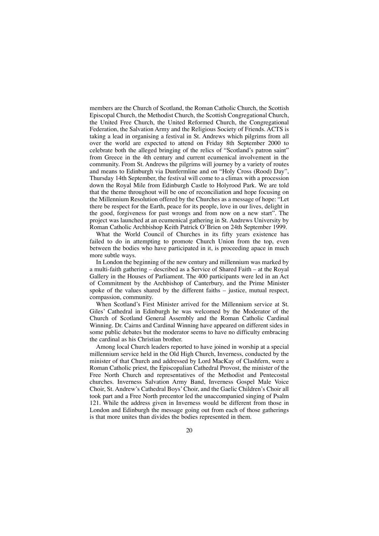members are the Church of Scotland, the Roman Catholic Church, the Scottish Episcopal Church, the Methodist Church, the Scottish Congregational Church, the United Free Church, the United Reformed Church, the Congregational Federation, the Salvation Army and the Religious Society of Friends. ACTS is taking a lead in organising a festival in St. Andrews which pilgrims from all over the world are expected to attend on Friday 8th September 2000 to celebrate both the alleged bringing of the relics of "Scotland's patron saint" from Greece in the 4th century and current ecumenical involvement in the community. From St. Andrews the pilgrims will journey by a variety of routes and means to Edinburgh via Dunfermline and on "Holy Cross (Rood) Day", Thursday 14th September, the festival will come to a climax with a procession down the Royal Mile from Edinburgh Castle to Holyrood Park. We are told that the theme throughout will be one of reconciliation and hope focusing on the Millennium Resolution offered by the Churches as a message of hope: "Let there be respect for the Earth, peace for its people, love in our lives, delight in the good, forgiveness for past wrongs and from now on a new start". The project was launched at an ecumenical gathering in St. Andrews University by Roman Catholic Archbishop Keith Patrick O'Brien on 24th September 1999.

What the World Council of Churches in its fifty years existence has failed to do in attempting to promote Church Union from the top, even between the bodies who have participated in it, is proceeding apace in much more subtle ways.

In London the beginning of the new century and millennium was marked by a multi-faith gathering – described as a Service of Shared Faith – at the Royal Gallery in the Houses of Parliament. The 400 participants were led in an Act of Commitment by the Archbishop of Canterbury, and the Prime Minister spoke of the values shared by the different faiths – justice, mutual respect, compassion, community.

When Scotland's First Minister arrived for the Millennium service at St. Giles' Cathedral in Edinburgh he was welcomed by the Moderator of the Church of Scotland General Assembly and the Roman Catholic Cardinal Winning. Dr. Cairns and Cardinal Winning have appeared on different sides in some public debates but the moderator seems to have no difficulty embracing the cardinal as his Christian brother.

Among local Church leaders reported to have joined in worship at a special millennium service held in the Old High Church, Inverness, conducted by the minister of that Church and addressed by Lord MacKay of Clashfern, were a Roman Catholic priest, the Episcopalian Cathedral Provost, the minister of the Free North Church and representatives of the Methodist and Pentecostal churches. Inverness Salvation Army Band, Inverness Gospel Male Voice Choir, St. Andrew's Cathedral Boys'Choir, and the Gaelic Children's Choir all took part and a Free North precentor led the unaccompanied singing of Psalm 121. While the address given in Inverness would be different from those in London and Edinburgh the message going out from each of those gatherings is that more unites than divides the bodies represented in them.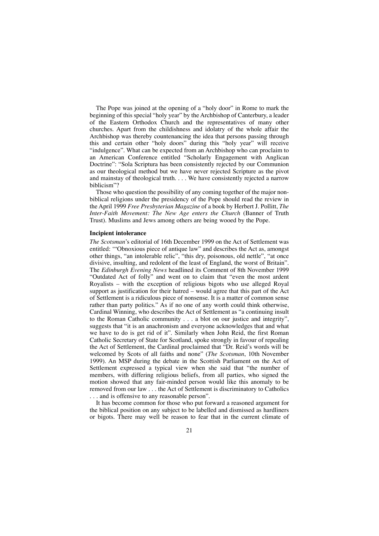The Pope was joined at the opening of a "holy door" in Rome to mark the beginning of this special "holy year" by the Archbishop of Canterbury, a leader of the Eastern Orthodox Church and the representatives of many other churches. Apart from the childishness and idolatry of the whole affair the Archbishop was thereby countenancing the idea that persons passing through this and certain other "holy doors" during this "holy year" will receive "indulgence". What can be expected from an Archbishop who can proclaim to an American Conference entitled "Scholarly Engagement with Anglican Doctrine": "Sola Scriptura has been consistently rejected by our Communion as our theological method but we have never rejected Scripture as the pivot and mainstay of theological truth. . . . We have consistently rejected a narrow biblicism"?

Those who question the possibility of any coming together of the major nonbiblical religions under the presidency of the Pope should read the review in the April 1999 *Free Presbyterian Magazine* of a book by Herbert J. Pollitt, *The Inter-Faith Movement: The New Age enters the Church* (Banner of Truth Trust). Muslims and Jews among others are being wooed by the Pope.

#### **Incipient intolerance**

*The Scotsman*'s editorial of 16th December 1999 on the Act of Settlement was entitled: '"Obnoxious piece of antique law" and describes the Act as, amongst other things, "an intolerable relic", "this dry, poisonous, old nettle", "at once divisive, insulting, and redolent of the least of England, the worst of Britain". The *Edinburgh Evening News* headlined its Comment of 8th November 1999 "Outdated Act of folly" and went on to claim that "even the most ardent Royalists – with the exception of religious bigots who use alleged Royal support as justification for their hatred – would agree that this part of the Act of Settlement is a ridiculous piece of nonsense. It is a matter of common sense rather than party politics." As if no one of any worth could think otherwise, Cardinal Winning, who describes the Act of Settlement as "a continuing insult to the Roman Catholic community . . . a blot on our justice and integrity", suggests that "it is an anachronism and everyone acknowledges that and what we have to do is get rid of it". Similarly when John Reid, the first Roman Catholic Secretary of State for Scotland, spoke strongly in favour of repealing the Act of Settlement, the Cardinal proclaimed that "Dr. Reid's words will be welcomed by Scots of all faiths and none" (*The Scotsman*, 10th November 1999). An MSP during the debate in the Scottish Parliament on the Act of Settlement expressed a typical view when she said that "the number of members, with differing religious beliefs, from all parties, who signed the motion showed that any fair-minded person would like this anomaly to be removed from our law . . . the Act of Settlement is discriminatory to Catholics . . . and is offensive to any reasonable person".

It has become common for those who put forward a reasoned argument for the biblical position on any subject to be labelled and dismissed as hardliners or bigots. There may well be reason to fear that in the current climate of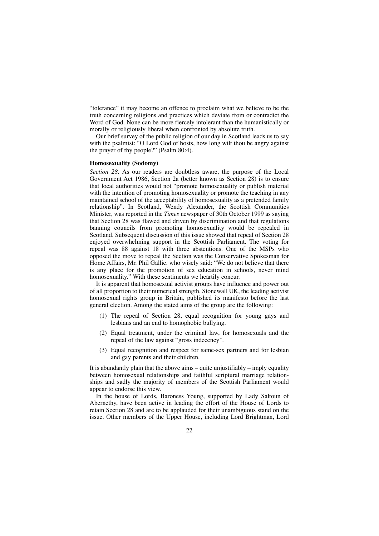"tolerance" it may become an offence to proclaim what we believe to be the truth concerning religions and practices which deviate from or contradict the Word of God. None can be more fiercely intolerant than the humanistically or morally or religiously liberal when confronted by absolute truth.

Our brief survey of the public religion of our day in Scotland leads us to say with the psalmist: "O Lord God of hosts, how long wilt thou be angry against the prayer of thy people?" (Psalm 80:4).

## **Homosexuality (Sodomy)**

*Section 28.* As our readers are doubtless aware, the purpose of the Local Government Act 1986, Section 2a (better known as Section 28) is to ensure that local authorities would not "promote homosexuality or publish material with the intention of promoting homosexuality or promote the teaching in any maintained school of the acceptability of homosexuality as a pretended family relationship". In Scotland, Wendy Alexander, the Scottish Communities Minister, was reported in the *Times* newspaper of 30th October 1999 as saying that Section 28 was flawed and driven by discrimination and that regulations banning councils from promoting homosexuality would be repealed in Scotland. Subsequent discussion of this issue showed that repeal of Section 28 enjoyed overwhelming support in the Scottish Parliament. The voting for repeal was 88 against 18 with three abstentions. One of the MSPs who opposed the move to repeal the Section was the Conservative Spokesman for Home Affairs, Mr. Phil Gallie. who wisely said: "We do not believe that there is any place for the promotion of sex education in schools, never mind homosexuality." With these sentiments we heartily concur.

It is apparent that homosexual activist groups have influence and power out of all proportion to their numerical strength. Stonewall UK, the leading activist homosexual rights group in Britain, published its manifesto before the last general election. Among the stated aims of the group are the following:

- (1) The repeal of Section 28, equal recognition for young gays and lesbians and an end to homophobic bullying.
- (2) Equal treatment, under the criminal law, for homosexuals and the repeal of the law against "gross indecency".
- (3) Equal recognition and respect for same-sex partners and for lesbian and gay parents and their children.

It is abundantly plain that the above aims  $-\tilde{\text{ }}$  quite unjustifiably  $-\tilde{\text{ }}$  imply equality between homosexual relationships and faithful scriptural marriage relationships and sadly the majority of members of the Scottish Parliament would appear to endorse this view.

In the house of Lords, Baroness Young, supported by Lady Saltoun of Abernethy, have been active in leading the effort of the House of Lords to retain Section 28 and are to be applauded for their unambiguous stand on the issue. Other members of the Upper House, including Lord Brightman, Lord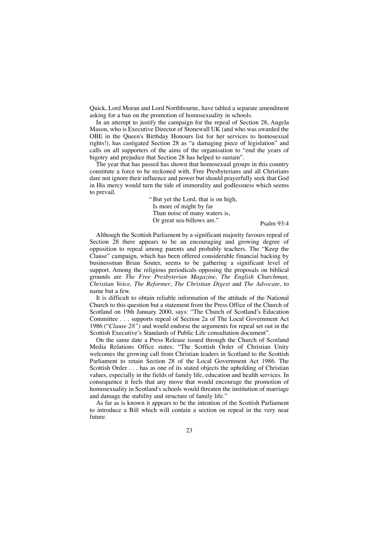Quick, Lord Moran and Lord Northbourne, have tabled a separate amendment asking for a ban on the promotion of homosexuality in schools.

In an attempt to justify the campaign for the repeal of Section 28, Angela Mason, who is Executive Director of Stonewall UK (and who was awarded the OBE in the Queen's Birthday Honours list for her services to homosexual rights!), has castigated Section 28 as "a damaging piece of legislation" and calls on all supporters of the aims of the organisation to "end the years of bigotry and prejudice that Section 28 has helped to sustain".

The year that has passed has shown that homosexual groups in this country constitute a force to be reckoned with. Free Presbyterians and all Christians dare not ignore their influence and power but should prayerfully seek that God in His mercy would turn the tide of immorality and godlessness which seems to prevail.

> "But yet the Lord, that is on high, Is more of might by far Than noise of many waters is, Or great sea-billows are." Psalm 93:4

Although the Scottish Parliament by a significant majority favours repeal of Section 28 there appears to be an encouraging and growing degree of opposition to repeal among parents and probably teachers. The "Keep the Clause" campaign, which has been offered considerable financial backing by businessman Brian Souter, seems to be gathering a significant level of support. Among the religious periodicals opposing the proposals on biblical grounds are *The Free Presbyterian Magazine, The English Churchman, Christian Voice, The Reformer*, *The Christian Digest* and *The Advocate,* to name but a few.

It is difficult to obtain reliable information of the attitude of the National Church to this question but a statement from the Press Office of the Church of Scotland on 19th January 2000, says: "The Church of Scotland's Education Committee . . . supports repeal of Section 2a of The Local Government Act 1986 ("*Clause 28")* and would endorse the arguments for repeal set out in the Scottish Executive's Standards of Public Life consultation document".

On the same date a Press Release issued through the Church of Scotland Media Relations Office states: "The Scottish Order of Christian Unity welcomes the growing call from Christian leaders in Scotland to the Scottish Parliament to retain Section 28 of the Local Government Act 1986. The Scottish Order . . . has as one of its stated objects the upholding of Christian values, especially in the fields of family life, education and health services. In consequence it feels that any move that would encourage the promotion of homosexuality in Scotland's schools would threaten the institution of marriage and damage the stability and structure of family life."

As far as is known it appears to be the intention of the Scottish Parliament to introduce a Bill which will contain a section on repeal in the very near future.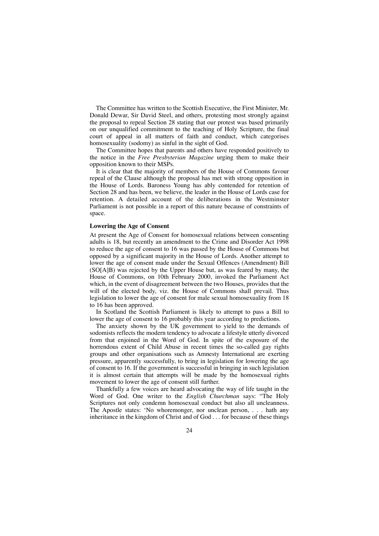The Committee has written to the Scottish Executive, the First Minister, Mr. Donald Dewar, Sir David Steel, and others, protesting most strongly against the proposal to repeal Section 28 stating that our protest was based primarily on our unqualified commitment to the teaching of Holy Scripture, the final court of appeal in all matters of faith and conduct, which categorises homosexuality (sodomy) as sinful in the sight of God.

The Committee hopes that parents and others have responded positively to the notice in the *Free Presbyterian Magazine* urging them to make their opposition known to their MSPs.

It is clear that the majority of members of the House of Commons favour repeal of the Clause although the proposal has met with strong opposition in the House of Lords. Baroness Young has ably contended for retention of Section 28 and has been, we believe, the leader in the House of Lords case for retention. A detailed account of the deliberations in the Westminster Parliament is not possible in a report of this nature because of constraints of space.

### **Lowering the Age of Consent**

At present the Age of Consent for homosexual relations between consenting adults is 18, but recently an amendment to the Crime and Disorder Act 1998 to reduce the age of consent to 16 was passed by the House of Commons but opposed by a significant majority in the House of Lords. Another attempt to lower the age of consent made under the Sexual Offences (Amendment) Bill (SO[A]B) was rejected by the Upper House but, as was feared by many, the House of Commons, on 10th February 2000, invoked the Parliament Act which, in the event of disagreement between the two Houses, provides that the will of the elected body, viz. the House of Commons shall prevail. Thus legislation to lower the age of consent for male sexual homosexuality from 18 to 16 has been approved.

In Scotland the Scottish Parliament is likely to attempt to pass a Bill to lower the age of consent to 16 probably this year according to predictions.

The anxiety shown by the UK government to yield to the demands of sodomists reflects the modern tendency to advocate a lifestyle utterly divorced from that enjoined in the Word of God. In spite of the exposure of the horrendous extent of Child Abuse in recent times the so-called gay rights groups and other organisations such as Amnesty International are exerting pressure, apparently successfully, to bring in legislation for lowering the age of consent to 16. If the government is successful in bringing in such legislation it is almost certain that attempts will be made by the homosexual rights movement to lower the age of consent still further.

Thankfully a few voices are heard advocating the way of life taught in the Word of God. One writer to the *English Churchman* says: "The Holy Scriptures not only condemn homosexual conduct but also all uncleanness. The Apostle states: 'No whoremonger, nor unclean person, . . . hath any inheritance in the kingdom of Christ and of God . . . for because of these things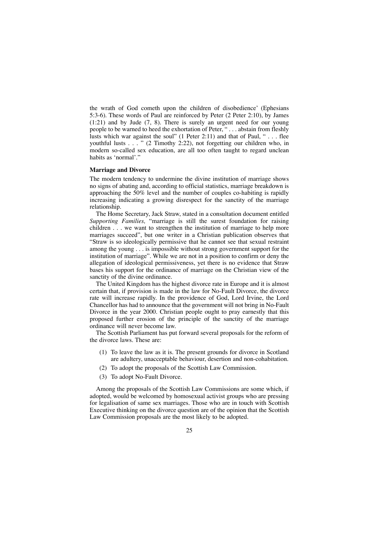the wrath of God cometh upon the children of disobedience' (Ephesians 5:3-6). These words of Paul are reinforced by Peter (2 Peter 2:10), by James (1:21) and by Jude (7, 8). There is surely an urgent need for our young people to be warned to heed the exhortation of Peter, " . . . abstain from fleshly lusts which war against the soul" (1 Peter 2:11) and that of Paul, "... flee youthful lusts . . . " (2 Timothy 2:22), not forgetting our children who, in modern so-called sex education, are all too often taught to regard unclean habits as 'normal'."

## **Marriage and Divorce**

The modern tendency to undermine the divine institution of marriage shows no signs of abating and, according to official statistics, marriage breakdown is approaching the 50% level and the number of couples co-habiting is rapidly increasing indicating a growing disrespect for the sanctity of the marriage relationship.

The Home Secretary, Jack Straw, stated in a consultation document entitled *Supporting Families,* "marriage is still the surest foundation for raising children . . . we want to strengthen the institution of marriage to help more marriages succeed", but one writer in a Christian publication observes that "Straw is so ideologically permissive that he cannot see that sexual restraint among the young . . . is impossible without strong government support for the institution of marriage". While we are not in a position to confirm or deny the allegation of ideological permissiveness, yet there is no evidence that Straw bases his support for the ordinance of marriage on the Christian view of the sanctity of the divine ordinance.

The United Kingdom has the highest divorce rate in Europe and it is almost certain that, if provision is made in the law for No-Fault Divorce, the divorce rate will increase rapidly. In the providence of God, Lord Irvine, the Lord Chancellor has had to announce that the government will not bring in No-Fault Divorce in the year 2000. Christian people ought to pray earnestly that this proposed further erosion of the principle of the sanctity of the marriage ordinance will never become law.

The Scottish Parliament has put forward several proposals for the reform of the divorce laws. These are:

- (1) To leave the law as it is. The present grounds for divorce in Scotland are adultery, unacceptable behaviour, desertion and non-cohabitation.
- (2) To adopt the proposals of the Scottish Law Commission.
- (3) To adopt No-Fault Divorce.

Among the proposals of the Scottish Law Commissions are some which, if adopted, would be welcomed by homosexual activist groups who are pressing for legalisation of same sex marriages. Those who are in touch with Scottish Executive thinking on the divorce question are of the opinion that the Scottish Law Commission proposals are the most likely to be adopted.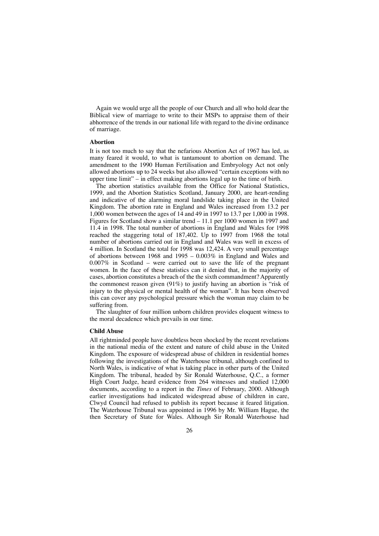Again we would urge all the people of our Church and all who hold dear the Biblical view of marriage to write to their MSPs to appraise them of their abhorrence of the trends in our national life with regard to the divine ordinance of marriage.

## **Abortion**

It is not too much to say that the nefarious Abortion Act of 1967 has led, as many feared it would, to what is tantamount to abortion on demand. The amendment to the 1990 Human Fertilisation and Embryology Act not only allowed abortions up to 24 weeks but also allowed "certain exceptions with no upper time limit" – in effect making abortions legal up to the time of birth.

The abortion statistics available from the Office for National Statistics, 1999, and the Abortion Statistics Scotland, January 2000, are heart-rending and indicative of the alarming moral landslide taking place in the United Kingdom. The abortion rate in England and Wales increased from 13.2 per 1,000 women between the ages of 14 and 49 in 1997 to 13.7 per 1,000 in 1998. Figures for Scotland show a similar trend – 11.1 per 1000 women in 1997 and 11.4 in 1998. The total number of abortions in England and Wales for 1998 reached the staggering total of 187,402. Up to 1997 from 1968 the total number of abortions carried out in England and Wales was well in excess of 4 million. In Scotland the total for 1998 was 12,424. A very small percentage of abortions between 1968 and 1995 – 0.003% in England and Wales and 0.007% in Scotland – were carried out to save the life of the pregnant women. In the face of these statistics can it denied that, in the majority of cases, abortion constitutes a breach of the the sixth commandment? Apparently the commonest reason given (91%) to justify having an abortion is "risk of injury to the physical or mental health of the woman". It has been observed this can cover any psychological pressure which the woman may claim to be suffering from.

The slaughter of four million unborn children provides eloquent witness to the moral decadence which prevails in our time.

## **Child Abuse**

All rightminded people have doubtless been shocked by the recent revelations in the national media of the extent and nature of child abuse in the United Kingdom. The exposure of widespread abuse of children in residential homes following the investigations of the Waterhouse tribunal, although confined to North Wales, is indicative of what is taking place in other parts of the United Kingdom. The tribunal, headed by Sir Ronald Waterhouse, Q.C., a former High Court Judge, heard evidence from 264 witnesses and studied 12,000 documents, according to a report in the *Times* of February, 2000. Although earlier investigations had indicated widespread abuse of children in care, Clwyd Council had refused to publish its report because it feared litigation. The Waterhouse Tribunal was appointed in 1996 by Mr. William Hague, the then Secretary of State for Wales. Although Sir Ronald Waterhouse had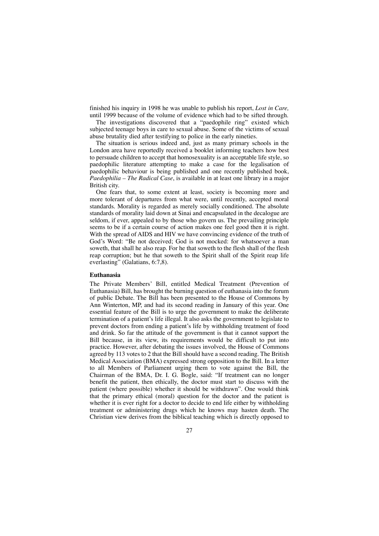finished his inquiry in 1998 he was unable to publish his report, *Lost in Care,* until 1999 because of the volume of evidence which had to be sifted through.

The investigations discovered that a "paedophile ring" existed which subjected teenage boys in care to sexual abuse. Some of the victims of sexual abuse brutality died after testifying to police in the early nineties.

The situation is serious indeed and, just as many primary schools in the London area have reportedly received a booklet informing teachers how best to persuade children to accept that homosexuality is an acceptable life style, so paedophilic literature attempting to make a case for the legalisation of paedophilic behaviour is being published and one recently published book, *Paedophilia – The Radical Case*, is available in at least one library in a major British city.

One fears that, to some extent at least, society is becoming more and more tolerant of departures from what were, until recently, accepted moral standards. Morality is regarded as merely socially conditioned. The absolute standards of morality laid down at Sinai and encapsulated in the decalogue are seldom, if ever, appealed to by those who govern us. The prevailing principle seems to be if a certain course of action makes one feel good then it is right. With the spread of AIDS and HIV we have convincing evidence of the truth of God's Word: "Be not deceived; God is not mocked: for whatsoever a man soweth, that shall he also reap. For he that soweth to the flesh shall of the flesh reap corruption; but he that soweth to the Spirit shall of the Spirit reap life everlasting" (Galatians, 6:7,8).

## **Euthanasia**

The Private Members' Bill, entitled Medical Treatment (Prevention of Euthanasia) Bill, has brought the burning question of euthanasia into the forum of public Debate. The Bill has been presented to the House of Commons by Ann Winterton, MP, and had its second reading in January of this year. One essential feature of the Bill is to urge the government to make the deliberate termination of a patient's life illegal. It also asks the government to legislate to prevent doctors from ending a patient's life by withholding treatment of food and drink. So far the attitude of the government is that it cannot support the Bill because, in its view, its requirements would be difficult to put into practice. However, after debating the issues involved, the House of Commons agreed by 113 votes to 2 that the Bill should have a second reading. The British Medical Association (BMA) expressed strong opposition to the Bill. In a letter to all Members of Parliament urging them to vote against the Bill, the Chairman of the BMA, Dr. I. G. Bogle, said: "If treatment can no longer benefit the patient, then ethically, the doctor must start to discuss with the patient (where possible) whether it should be withdrawn". One would think that the primary ethical (moral) question for the doctor and the patient is whether it is ever right for a doctor to decide to end life either by withholding treatment or administering drugs which he knows may hasten death. The Christian view derives from the biblical teaching which is directly opposed to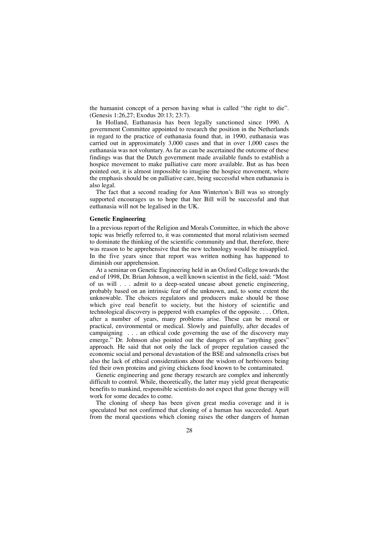the humanist concept of a person having what is called "the right to die". (Genesis 1:26,27; Exodus 20:13; 23:7).

In Holland, Euthanasia has been legally sanctioned since 1990. A government Committee appointed to research the position in the Netherlands in regard to the practice of euthanasia found that, in 1990, euthanasia was carried out in approximately 3,000 cases and that in over 1,000 cases the euthanasia was not voluntary. As far as can be ascertained the outcome of these findings was that the Dutch government made available funds to establish a hospice movement to make palliative care more available. But as has been pointed out, it is almost impossible to imagine the hospice movement, where the emphasis should be on palliative care, being successful when euthanasia is also legal.

The fact that a second reading for Ann Winterton's Bill was so strongly supported encourages us to hope that her Bill will be successful and that euthanasia will not be legalised in the UK.

#### **Genetic Engineering**

In a previous report of the Religion and Morals Committee, in which the above topic was briefly referred to, it was commented that moral relativism seemed to dominate the thinking of the scientific community and that, therefore, there was reason to be apprehensive that the new technology would be misapplied. In the five years since that report was written nothing has happened to diminish our apprehension.

At a seminar on Genetic Engineering held in an Oxford College towards the end of 1998, Dr. Brian Johnson, a well known scientist in the field, said: "Most of us will . . . admit to a deep-seated unease about genetic engineering, probably based on an intrinsic fear of the unknown, and, to some extent the unknowable. The choices regulators and producers make should be those which give real benefit to society, but the history of scientific and technological discovery is peppered with examples of the opposite. . . . Often, after a number of years, many problems arise. These can be moral or practical, environmental or medical. Slowly and painfully, after decades of campaigning . . . an ethical code governing the use of the discovery may emerge." Dr. Johnson also pointed out the dangers of an "anything goes" approach. He said that not only the lack of proper regulation caused the economic social and personal devastation of the BSE and salmonella crises but also the lack of ethical considerations about the wisdom of herbivores being fed their own proteins and giving chickens food known to be contaminated.

Genetic engineering and gene therapy research are complex and inherently difficult to control. While, theoretically, the latter may yield great therapeutic benefits to mankind, responsible scientists do not expect that gene therapy will work for some decades to come.

The cloning of sheep has been given great media coverage and it is speculated but not confirmed that cloning of a human has succeeded. Apart from the moral questions which cloning raises the other dangers of human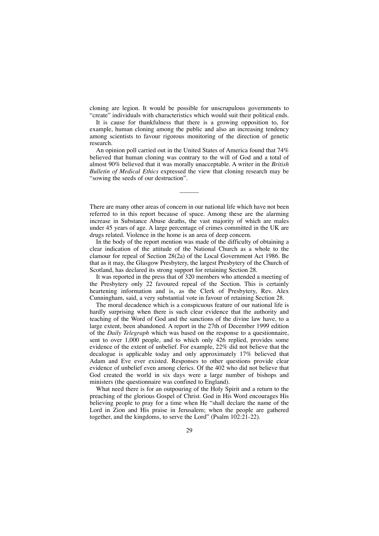cloning are legion. It would be possible for unscrupulous governments to "create" individuals with characteristics which would suit their political ends.

It is cause for thankfulness that there is a growing opposition to, for example, human cloning among the public and also an increasing tendency among scientists to favour rigorous monitoring of the direction of genetic research.

An opinion poll carried out in the United States of America found that 74% believed that human cloning was contrary to the will of God and a total of almost 90% believed that it was morally unacceptable. A writer in the *British Bulletin of Medical Ethics* expressed the view that cloning research may be "sowing the seeds of our destruction".

There are many other areas of concern in our national life which have not been referred to in this report because of space. Among these are the alarming increase in Substance Abuse deaths, the vast majority of which are males under 45 years of age. A large percentage of crimes committed in the UK are drugs related. Violence in the home is an area of deep concern.

––––––

In the body of the report mention was made of the difficulty of obtaining a clear indication of the attitude of the National Church as a whole to the clamour for repeal of Section 28(2a) of the Local Government Act 1986. Be that as it may, the Glasgow Presbytery, the largest Presbytery of the Church of Scotland, has declared its strong support for retaining Section 28.

It was reported in the press that of 320 members who attended a meeting of the Presbytery only 22 favoured repeal of the Section. This is certainly heartening information and is, as the Clerk of Presbytery, Rev. Alex Cunningham, said, a very substantial vote in favour of retaining Section 28.

The moral decadence which is a conspicuous feature of our national life is hardly surprising when there is such clear evidence that the authority and teaching of the Word of God and the sanctions of the divine law have, to a large extent, been abandoned. A report in the 27th of December 1999 edition of the *Daily Telegraph* which was based on the response to a questionnaire, sent to over 1,000 people, and to which only 426 replied, provides some evidence of the extent of unbelief. For example, 22% did not believe that the decalogue is applicable today and only approximately 17% believed that Adam and Eve ever existed. Responses to other questions provide clear evidence of unbelief even among clerics. Of the 402 who did not believe that God created the world in six days were a large number of bishops and ministers (the questionnaire was confined to England).

What need there is for an outpouring of the Holy Spirit and a return to the preaching of the glorious Gospel of Christ. God in His Word encourages His believing people to pray for a time when He "shall declare the name of the Lord in Zion and His praise in Jerusalem; when the people are gathered together, and the kingdoms, to serve the Lord" (Psalm 102:21-22).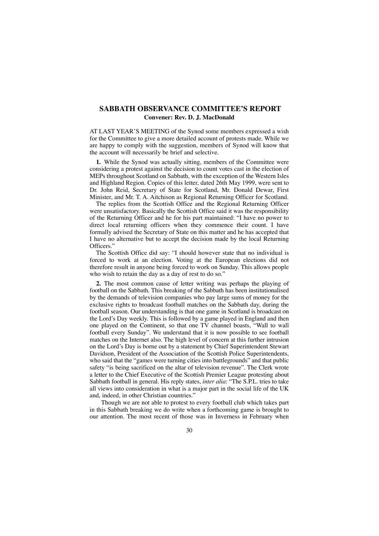## **SABBATH OBSERVANCE COMMITTEE'S REPORT Convener: Rev. D. J. MacDonald**

AT LAST YEAR'S MEETING of the Synod some members expressed a wish for the Committee to give a more detailed account of protests made. While we are happy to comply with the suggestion, members of Synod will know that the account will necessarily be brief and selective.

**1.** While the Synod was actually sitting, members of the Committee were considering a protest against the decision to count votes cast in the election of MEPs throughout Scotland on Sabbath, with the exception of the Western Isles and Highland Region. Copies of this letter, dated 26th May 1999, were sent to Dr. John Reid, Secretary of State for Scotland, Mr. Donald Dewar, First Minister, and Mr. T. A. Aitchison as Regional Returning Officer for Scotland.

The replies from the Scottish Office and the Regional Returning Officer were unsatisfactory. Basically the Scottish Office said it was the responsibility of the Returning Officer and he for his part maintained: "I have no power to direct local returning officers when they commence their count. I have formally advised the Secretary of State on this matter and he has accepted that I have no alternative but to accept the decision made by the local Returning Officers.'

The Scottish Office did say: "I should however state that no individual is forced to work at an election. Voting at the European elections did not therefore result in anyone being forced to work on Sunday. This allows people who wish to retain the day as a day of rest to do so."

**2.** The most common cause of letter writing was perhaps the playing of football on the Sabbath. This breaking of the Sabbath has been institutionalised by the demands of television companies who pay large sums of money for the exclusive rights to broadcast football matches on the Sabbath day, during the football season. Our understanding is that one game in Scotland is broadcast on the Lord's Day weekly. This is followed by a game played in England and then one played on the Continent, so that one TV channel boasts, "Wall to wall football every Sunday". We understand that it is now possible to see football matches on the Internet also. The high level of concern at this further intrusion on the Lord's Day is borne out by a statement by Chief Superintendent Stewart Davidson, President of the Association of the Scottish Police Superintendents, who said that the "games were turning cities into battlegrounds" and that public safety "is being sacrificed on the altar of television revenue". The Clerk wrote a letter to the Chief Executive of the Scottish Premier League protesting about Sabbath football in general. His reply states, *inter alia*: "The S.P.L. tries to take all views into consideration in what is a major part in the social life of the UK and, indeed, in other Christian countries."

Though we are not able to protest to every football club which takes part in this Sabbath breaking we do write when a forthcoming game is brought to our attention. The most recent of those was in Inverness in February when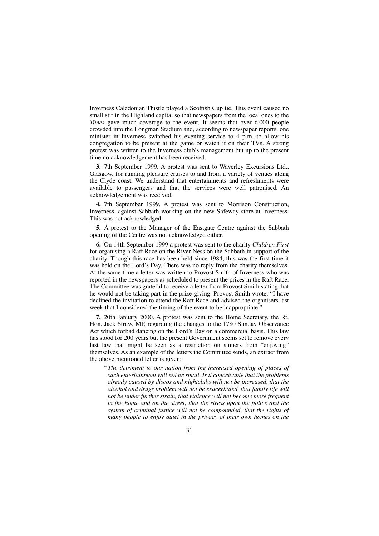Inverness Caledonian Thistle played a Scottish Cup tie. This event caused no small stir in the Highland capital so that newspapers from the local ones to the *Times* gave much coverage to the event. It seems that over 6,000 people crowded into the Longman Stadium and, according to newspaper reports, one minister in Inverness switched his evening service to 4 p.m. to allow his congregation to be present at the game or watch it on their TVs. A strong protest was written to the Inverness club's management but up to the present time no acknowledgement has been received.

**3.** 7th September 1999. A protest was sent to Waverley Excursions Ltd., Glasgow, for running pleasure cruises to and from a variety of venues along the Clyde coast. We understand that entertainments and refreshments were available to passengers and that the services were well patronised. An acknowledgement was received.

**4.** 7th September 1999. A protest was sent to Morrison Construction, Inverness, against Sabbath working on the new Safeway store at Inverness. This was not acknowledged.

**5.** A protest to the Manager of the Eastgate Centre against the Sabbath opening of the Centre was not acknowledged either.

**6.** On 14th September 1999 a protest was sent to the charity *Children First* for organising a Raft Race on the River Ness on the Sabbath in support of the charity. Though this race has been held since 1984, this was the first time it was held on the Lord's Day. There was no reply from the charity themselves. At the same time a letter was written to Provost Smith of Inverness who was reported in the newspapers as scheduled to present the prizes in the Raft Race. The Committee was grateful to receive a letter from Provost Smith stating that he would not be taking part in the prize-giving. Provost Smith wrote: "I have declined the invitation to attend the Raft Race and advised the organisers last week that I considered the timing of the event to be inappropriate."

**7.** 20th January 2000. A protest was sent to the Home Secretary, the Rt. Hon. Jack Straw, MP, regarding the changes to the 1780 Sunday Observance Act which forbad dancing on the Lord's Day on a commercial basis. This law has stood for 200 years but the present Government seems set to remove every last law that might be seen as a restriction on sinners from "enjoying" themselves. As an example of the letters the Committee sends, an extract from the above mentioned letter is given:

"*The detriment to our nation from the increased opening of places of such entertainment will not be small. Is it conceivable that the problems already caused by discos and nightclubs will not be increased, that the alcohol and drugs problem will not be exacerbated, that family life will not be under further strain, that violence will not become more frequent in the home and on the street, that the stress upon the police and the system of criminal justice will not be compounded, that the rights of many people to enjoy quiet in the privacy of their own homes on the*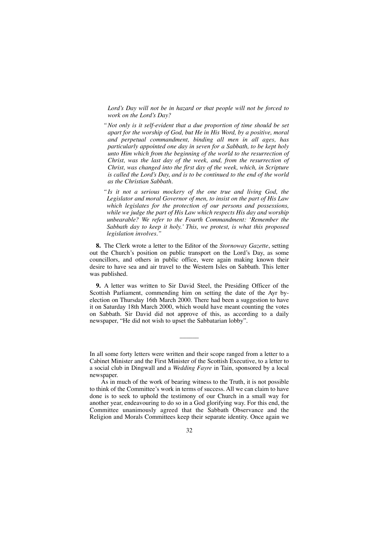*Lord's Day will not be in hazard or that people will not be forced to work on the Lord's Day?*

- *"Not only is it self-evident that a due proportion of time should be set apart for the worship of God, but He in His Word, by a positive, moral and perpetual commandment, binding all men in all ages, has particularly appointed one day in seven for a Sabbath, to be kept holy unto Him which from the beginning of the world to the resurrection of Christ, was the last day of the week, and, from the resurrection of Christ, was changed into the first day of the week, which, in Scripture is called the Lord's Day, and is to be continued to the end of the world as the Christian Sabbath.*
- *" Is it not a serious mockery of the one true and living God, the Legislator and moral Governor of men, to insist on the part of His Law which legislates for the protection of our persons and possessions, while we judge the part of His Law which respects His day and worship unbearable? We refer to the Fourth Commandment: 'Remember the Sabbath day to keep it holy.' This, we protest, is what this proposed legislation involves."*

**8.** The Clerk wrote a letter to the Editor of the *Stornoway Gazette*, setting out the Church's position on public transport on the Lord's Day, as some councillors, and others in public office, were again making known their desire to have sea and air travel to the Western Isles on Sabbath. This letter was published.

**9.** A letter was written to Sir David Steel, the Presiding Officer of the Scottish Parliament, commending him on setting the date of the Ayr byelection on Thursday 16th March 2000. There had been a suggestion to have it on Saturday 18th March 2000, which would have meant counting the votes on Sabbath. Sir David did not approve of this, as according to a daily newspaper, "He did not wish to upset the Sabbatarian lobby".

In all some forty letters were written and their scope ranged from a letter to a Cabinet Minister and the First Minister of the Scottish Executive, to a letter to a social club in Dingwall and a *Wedding Fayre* in Tain, sponsored by a local newspaper.

––––––

As in much of the work of bearing witness to the Truth, it is not possible to think of the Committee's work in terms of success. All we can claim to have done is to seek to uphold the testimony of our Church in a small way for another year, endeavouring to do so in a God glorifying way. For this end, the Committee unanimously agreed that the Sabbath Observance and the Religion and Morals Committees keep their separate identity. Once again we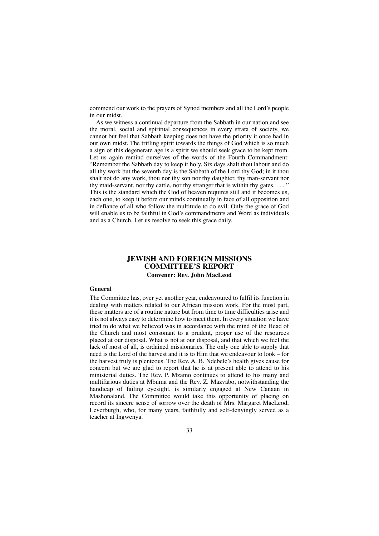commend our work to the prayers of Synod members and all the Lord's people in our midst.

As we witness a continual departure from the Sabbath in our nation and see the moral, social and spiritual consequences in every strata of society, we cannot but feel that Sabbath keeping does not have the priority it once had in our own midst. The trifling spirit towards the things of God which is so much a sign of this degenerate age is a spirit we should seek grace to be kept from. Let us again remind ourselves of the words of the Fourth Commandment: "Remember the Sabbath day to keep it holy. Six days shalt thou labour and do all thy work but the seventh day is the Sabbath of the Lord thy God; in it thou shalt not do any work, thou nor thy son nor thy daughter, thy man-servant nor thy maid-servant, nor thy cattle, nor thy stranger that is within thy gates.  $\dots$ This is the standard which the God of heaven requires still and it becomes us, each one, to keep it before our minds continually in face of all opposition and in defiance of all who follow the multitude to do evil. Only the grace of God will enable us to be faithful in God's commandments and Word as individuals and as a Church. Let us resolve to seek this grace daily.

## **JEWISH AND FOREIGN MISSIONS COMMITTEE'S REPORT Convener: Rev. John MacLeod**

### **General**

The Committee has, over yet another year, endeavoured to fulfil its function in dealing with matters related to our African mission work. For the most part, these matters are of a routine nature but from time to time difficulties arise and it is not always easy to determine how to meet them. In every situation we have tried to do what we believed was in accordance with the mind of the Head of the Church and most consonant to a prudent, proper use of the resources placed at our disposal. What is not at our disposal, and that which we feel the lack of most of all, is ordained missionaries. The only one able to supply that need is the Lord of the harvest and it is to Him that we endeavour to look – for the harvest truly is plenteous. The Rev. A. B. Ndebele's health gives cause for concern but we are glad to report that he is at present able to attend to his ministerial duties. The Rev. P. Mzamo continues to attend to his many and multifarious duties at Mbuma and the Rev. Z. Mazvabo, notwithstanding the handicap of failing eyesight, is similarly engaged at New Canaan in Mashonaland. The Committee would take this opportunity of placing on record its sincere sense of sorrow over the death of Mrs. Margaret MacLeod, Leverburgh, who, for many years, faithfully and self-denyingly served as a teacher at Ingwenya.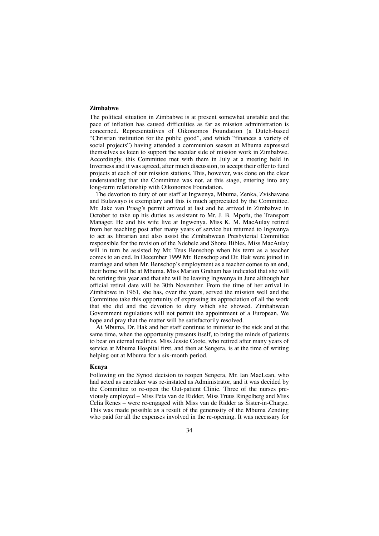## **Zimbabwe**

The political situation in Zimbabwe is at present somewhat unstable and the pace of inflation has caused difficulties as far as mission administration is concerned. Representatives of Oikonomos Foundation (a Dutch-based "Christian institution for the public good", and which "finances a variety of social projects") having attended a communion season at Mbuma expressed themselves as keen to support the secular side of mission work in Zimbabwe. Accordingly, this Committee met with them in July at a meeting held in Inverness and it was agreed, after much discussion, to accept their offer to fund projects at each of our mission stations. This, however, was done on the clear understanding that the Committee was not, at this stage, entering into any long-term relationship with Oikonomos Foundation.

The devotion to duty of our staff at Ingwenya, Mbuma, Zenka, Zvishavane and Bulawayo is exemplary and this is much appreciated by the Committee. Mr. Jake van Praag's permit arrived at last and he arrived in Zimbabwe in October to take up his duties as assistant to Mr. J. B. Mpofu, the Transport Manager. He and his wife live at Ingwenya. Miss K. M. MacAulay retired from her teaching post after many years of service but returned to Ingwenya to act as librarian and also assist the Zimbabwean Presbyterial Committee responsible for the revision of the Ndebele and Shona Bibles. Miss MacAulay will in turn be assisted by Mr. Teus Benschop when his term as a teacher comes to an end. In December 1999 Mr. Benschop and Dr. Hak were joined in marriage and when Mr. Benschop's employment as a teacher comes to an end, their home will be at Mbuma. Miss Marion Graham has indicated that she will be retiring this year and that she will be leaving Ingwenya in June although her official retiral date will be 30th November. From the time of her arrival in Zimbabwe in 1961, she has, over the years, served the mission well and the Committee take this opportunity of expressing its appreciation of all the work that she did and the devotion to duty which she showed. Zimbabwean Government regulations will not permit the appointment of a European. We hope and pray that the matter will be satisfactorily resolved.

At Mbuma, Dr. Hak and her staff continue to minister to the sick and at the same time, when the opportunity presents itself, to bring the minds of patients to bear on eternal realities. Miss Jessie Coote, who retired after many years of service at Mbuma Hospital first, and then at Sengera, is at the time of writing helping out at Mbuma for a six-month period.

### **Kenya**

Following on the Synod decision to reopen Sengera, Mr. Ian MacLean, who had acted as caretaker was re-instated as Administrator, and it was decided by the Committee to re-open the Out-patient Clinic. Three of the nurses previously employed – Miss Peta van de Ridder, Miss Truus Ringelberg and Miss Celia Renes – were re-engaged with Miss van de Ridder as Sister-in-Charge. This was made possible as a result of the generosity of the Mbuma Zending who paid for all the expenses involved in the re-opening. It was necessary for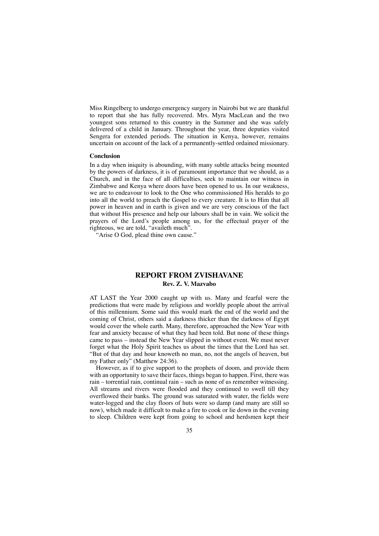Miss Ringelberg to undergo emergency surgery in Nairobi but we are thankful to report that she has fully recovered. Mrs. Myra MacLean and the two youngest sons returned to this country in the Summer and she was safely delivered of a child in January. Throughout the year, three deputies visited Sengera for extended periods. The situation in Kenya, however, remains uncertain on account of the lack of a permanently-settled ordained missionary.

#### **Conclusion**

In a day when iniquity is abounding, with many subtle attacks being mounted by the powers of darkness, it is of paramount importance that we should, as a Church, and in the face of all difficulties, seek to maintain our witness in Zimbabwe and Kenya where doors have been opened to us. In our weakness, we are to endeavour to look to the One who commissioned His heralds to go into all the world to preach the Gospel to every creature. It is to Him that all power in heaven and in earth is given and we are very conscious of the fact that without His presence and help our labours shall be in vain. We solicit the prayers of the Lord's people among us, for the effectual prayer of the righteous, we are told, "availeth much".

"Arise O God, plead thine own cause."

## **REPORT FROM ZVISHAVANE Rev. Z. V. Mazvabo**

AT LAST the Year 2000 caught up with us. Many and fearful were the predictions that were made by religious and worldly people about the arrival of this millennium. Some said this would mark the end of the world and the coming of Christ, others said a darkness thicker than the darkness of Egypt would cover the whole earth. Many, therefore, approached the New Year with fear and anxiety because of what they had been told. But none of these things came to pass – instead the New Year slipped in without event. We must never forget what the Holy Spirit teaches us about the times that the Lord has set. "But of that day and hour knoweth no man, no, not the angels of heaven, but my Father only" (Matthew 24:36).

However, as if to give support to the prophets of doom, and provide them with an opportunity to save their faces, things began to happen. First, there was rain – torrential rain, continual rain – such as none of us remember witnessing. All streams and rivers were flooded and they continued to swell till they overflowed their banks. The ground was saturated with water, the fields were water-logged and the clay floors of huts were so damp (and many are still so now), which made it difficult to make a fire to cook or lie down in the evening to sleep. Children were kept from going to school and herdsmen kept their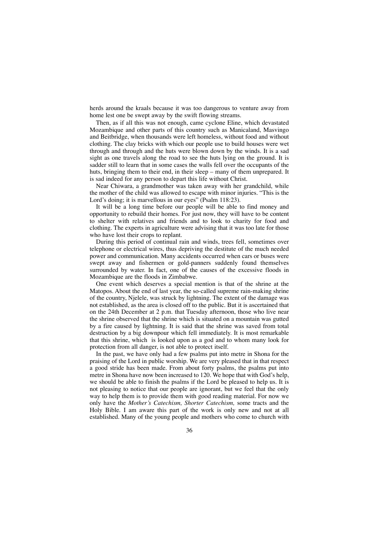herds around the kraals because it was too dangerous to venture away from home lest one be swept away by the swift flowing streams.

Then, as if all this was not enough, came cyclone Eline, which devastated Mozambique and other parts of this country such as Manicaland, Masvingo and Beitbridge, when thousands were left homeless, without food and without clothing. The clay bricks with which our people use to build houses were wet through and through and the huts were blown down by the winds. It is a sad sight as one travels along the road to see the huts lying on the ground. It is sadder still to learn that in some cases the walls fell over the occupants of the huts, bringing them to their end, in their sleep – many of them unprepared. It is sad indeed for any person to depart this life without Christ.

Near Chiwara, a grandmother was taken away with her grandchild, while the mother of the child was allowed to escape with minor injuries. "This is the Lord's doing; it is marvellous in our eyes" (Psalm 118:23).

It will be a long time before our people will be able to find money and opportunity to rebuild their homes. For just now, they will have to be content to shelter with relatives and friends and to look to charity for food and clothing. The experts in agriculture were advising that it was too late for those who have lost their crops to replant.

During this period of continual rain and winds, trees fell, sometimes over telephone or electrical wires, thus depriving the destitute of the much needed power and communication. Many accidents occurred when cars or buses were swept away and fishermen or gold-panners suddenly found themselves surrounded by water. In fact, one of the causes of the excessive floods in Mozambique are the floods in Zimbabwe.

One event which deserves a special mention is that of the shrine at the Matopos. About the end of last year, the so-called supreme rain-making shrine of the country, Njelele, was struck by lightning. The extent of the damage was not established, as the area is closed off to the public. But it is ascertained that on the 24th December at 2 p.m. that Tuesday afternoon, those who live near the shrine observed that the shrine which is situated on a mountain was gutted by a fire caused by lightning. It is said that the shrine was saved from total destruction by a big downpour which fell immediately. It is most remarkable that this shrine, which is looked upon as a god and to whom many look for protection from all danger, is not able to protect itself.

In the past, we have only had a few psalms put into metre in Shona for the praising of the Lord in public worship. We are very pleased that in that respect a good stride has been made. From about forty psalms, the psalms put into metre in Shona have now been increased to 120. We hope that with God's help, we should be able to finish the psalms if the Lord be pleased to help us. It is not pleasing to notice that our people are ignorant, but we feel that the only way to help them is to provide them with good reading material. For now we only have the *Mother's Catechism, Shorter Catechism,* some tracts and the Holy Bible. I am aware this part of the work is only new and not at all established. Many of the young people and mothers who come to church with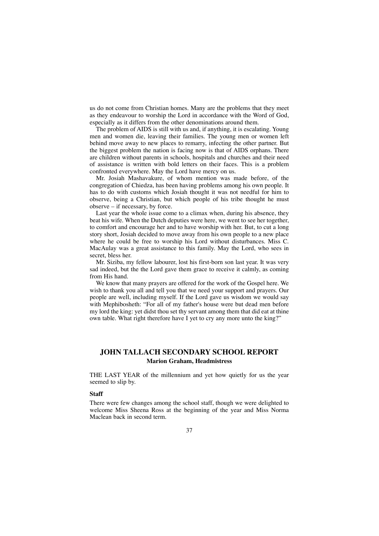us do not come from Christian homes. Many are the problems that they meet as they endeavour to worship the Lord in accordance with the Word of God, especially as it differs from the other denominations around them.

The problem of AIDS is still with us and, if anything, it is escalating. Young men and women die, leaving their families. The young men or women left behind move away to new places to remarry, infecting the other partner. But the biggest problem the nation is facing now is that of AIDS orphans. There are children without parents in schools, hospitals and churches and their need of assistance is written with bold letters on their faces. This is a problem confronted everywhere. May the Lord have mercy on us.

Mr. Josiah Mashavakure, of whom mention was made before, of the congregation of Chiedza, has been having problems among his own people. It has to do with customs which Josiah thought it was not needful for him to observe, being a Christian, but which people of his tribe thought he must observe – if necessary, by force.

Last year the whole issue come to a climax when, during his absence, they beat his wife. When the Dutch deputies were here, we went to see her together, to comfort and encourage her and to have worship with her. But, to cut a long story short, Josiah decided to move away from his own people to a new place where he could be free to worship his Lord without disturbances. Miss C. MacAulay was a great assistance to this family. May the Lord, who sees in secret, bless her.

Mr. Siziba, my fellow labourer, lost his first-born son last year. It was very sad indeed, but the the Lord gave them grace to receive it calmly, as coming from His hand.

We know that many prayers are offered for the work of the Gospel here. We wish to thank you all and tell you that we need your support and prayers. Our people are well, including myself. If the Lord gave us wisdom we would say with Mephibosheth: "For all of my father's house were but dead men before my lord the king: yet didst thou set thy servant among them that did eat at thine own table. What right therefore have I yet to cry any more unto the king?"

# **JOHN TALLACH SECONDARY SCHOOL REPORT Marion Graham, Headmistress**

THE LAST YEAR of the millennium and yet how quietly for us the year seemed to slip by.

#### **Staff**

There were few changes among the school staff, though we were delighted to welcome Miss Sheena Ross at the beginning of the year and Miss Norma Maclean back in second term.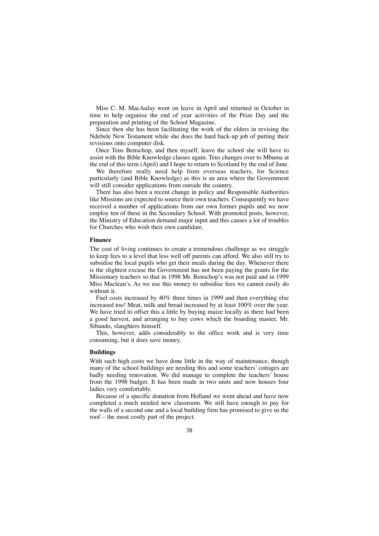Miss C. M. MacAulay went on leave in April and returned in October in time to help organise the end of year activities of the Prize Day and the preparation and printing of the School Magazine.

Since then she has been facilitating the work of the elders in revising the Ndebele New Testament while she does the hard back-up job of putting their revisions onto computer disk.

Once Teus Benschop, and then myself, leave the school she will have to assist with the Bible Knowledge classes again. Teus changes over to Mbuma at the end of this term (April) and I hope to return to Scotland by the end of June.

We therefore really need help from overseas teachers, for Science particularly (and Bible Knowledge) as this is an area where the Government will still consider applications from outside the country.

There has also been a recent change in policy and Responsible Authorities like Missions are expected to source their own teachers. Consequently we have received a number of applications from our own former pupils and we now employ ten of these in the Secondary School. With promoted posts, however, the Ministry of Education demand major input and this causes a lot of troubles for Churches who wish their own candidate.

#### **Finance**

The cost of living continues to create a tremendous challenge as we struggle to keep fees to a level that less well off parents can afford. We also still try to subsidise the local pupils who get their meals during the day. Whenever there is the slightest excuse the Government has not been paying the grants for the Missionary teachers so that in 1998 Mr. Benschop's was not paid and in 1999 Miss Maclean's. As we use this money to subsidise fees we cannot easily do without it.

Fuel costs increased by 40% three times in 1999 and then everything else increased too! Meat, milk and bread increased by at least 100% over the year. We have tried to offset this a little by buying maize locally as there had been a good harvest, and arranging to buy cows which the boarding master, Mr. Sibando, slaughters himself.

This, however, adds considerably to the office work and is very time consuming, but it does save money.

#### **Buildings**

With such high costs we have done little in the way of maintenance, though many of the school buildings are needing this and some teachers' cottages are badly needing renovation. We did manage to complete the teachers' house from the 1998 budget. It has been made in two units and now houses four ladies very comfortably.

Because of a specific donation from Holland we went ahead and have now completed a much needed new classroom. We still have enough to pay for the walls of a second one and a local building firm has promised to give us the roof – the most costly part of the project.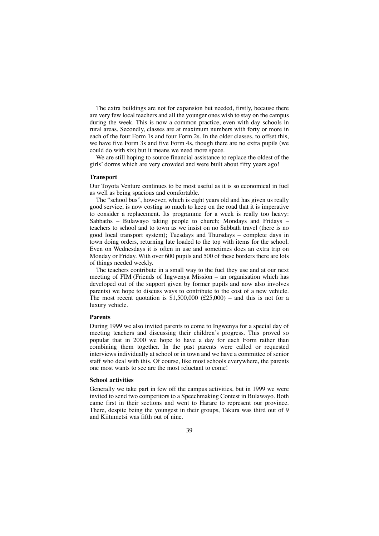The extra buildings are not for expansion but needed, firstly, because there are very few local teachers and all the younger ones wish to stay on the campus during the week. This is now a common practice, even with day schools in rural areas. Secondly, classes are at maximum numbers with forty or more in each of the four Form 1s and four Form 2s. In the older classes, to offset this, we have five Form 3s and five Form 4s, though there are no extra pupils (we could do with six) but it means we need more space.

We are still hoping to source financial assistance to replace the oldest of the girls' dorms which are very crowded and were built about fifty years ago!

### **Transport**

Our Toyota Venture continues to be most useful as it is so economical in fuel as well as being spacious and comfortable.

The "school bus", however, which is eight years old and has given us really good service, is now costing so much to keep on the road that it is imperative to consider a replacement. Its programme for a week is really too heavy: Sabbaths – Bulawayo taking people to church; Mondays and Fridays – teachers to school and to town as we insist on no Sabbath travel (there is no good local transport system); Tuesdays and Thursdays – complete days in town doing orders, returning late loaded to the top with items for the school. Even on Wednesdays it is often in use and sometimes does an extra trip on Monday or Friday. With over 600 pupils and 500 of these borders there are lots of things needed weekly.

The teachers contribute in a small way to the fuel they use and at our next meeting of FIM (Friends of Ingwenya Mission – an organisation which has developed out of the support given by former pupils and now also involves parents) we hope to discuss ways to contribute to the cost of a new vehicle. The most recent quotation is \$1,500,000 (£25,000) – and this is not for a luxury vehicle.

#### **Parents**

During 1999 we also invited parents to come to Ingwenya for a special day of meeting teachers and discussing their children's progress. This proved so popular that in 2000 we hope to have a day for each Form rather than combining them together. In the past parents were called or requested interviews individually at school or in town and we have a committee of senior staff who deal with this. Of course, like most schools everywhere, the parents one most wants to see are the most reluctant to come!

#### **School activities**

Generally we take part in few off the campus activities, but in 1999 we were invited to send two competitors to a Speechmaking Contest in Bulawayo. Both came first in their sections and went to Harare to represent our province. There, despite being the youngest in their groups, Takura was third out of 9 and Kiitumetsi was fifth out of nine.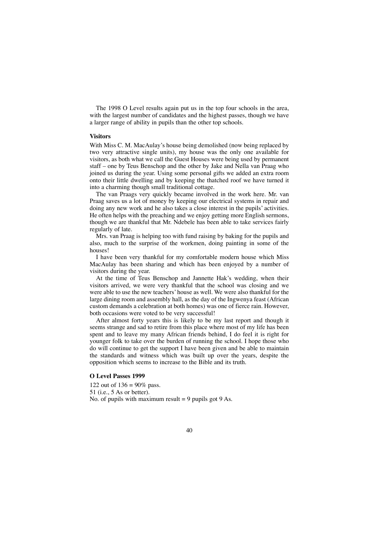The 1998 O Level results again put us in the top four schools in the area, with the largest number of candidates and the highest passes, though we have a larger range of ability in pupils than the other top schools.

## **Visitors**

With Miss C. M. MacAulay's house being demolished (now being replaced by two very attractive single units), my house was the only one available for visitors, as both what we call the Guest Houses were being used by permanent staff – one by Teus Benschop and the other by Jake and Nella van Praag who joined us during the year. Using some personal gifts we added an extra room onto their little dwelling and by keeping the thatched roof we have turned it into a charming though small traditional cottage.

The van Praags very quickly became involved in the work here. Mr. van Praag saves us a lot of money by keeping our electrical systems in repair and doing any new work and he also takes a close interest in the pupils' activities. He often helps with the preaching and we enjoy getting more English sermons, though we are thankful that Mr. Ndebele has been able to take services fairly regularly of late.

Mrs. van Praag is helping too with fund raising by baking for the pupils and also, much to the surprise of the workmen, doing painting in some of the houses!

I have been very thankful for my comfortable modern house which Miss MacAulay has been sharing and which has been enjoyed by a number of visitors during the year.

At the time of Teus Benschop and Jannette Hak's wedding, when their visitors arrived, we were very thankful that the school was closing and we were able to use the new teachers' house as well. We were also thankful for the large dining room and assembly hall, as the day of the Ingwenya feast (African custom demands a celebration at both homes) was one of fierce rain. However, both occasions were voted to be very successful!

After almost forty years this is likely to be my last report and though it seems strange and sad to retire from this place where most of my life has been spent and to leave my many African friends behind, I do feel it is right for younger folk to take over the burden of running the school. I hope those who do will continue to get the support I have been given and be able to maintain the standards and witness which was built up over the years, despite the opposition which seems to increase to the Bible and its truth.

#### **O Level Passes 1999**

122 out of  $136 = 90\%$  pass. 51 (i.e., 5 As or better). No. of pupils with maximum result  $= 9$  pupils got 9 As.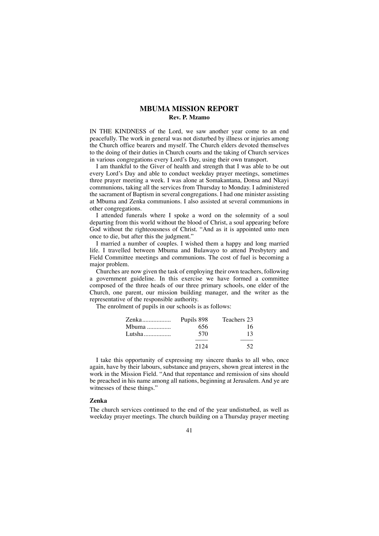## **MBUMA MISSION REPORT Rev. P. Mzamo**

IN THE KINDNESS of the Lord, we saw another year come to an end peacefully. The work in general was not disturbed by illness or injuries among the Church office bearers and myself. The Church elders devoted themselves to the doing of their duties in Church courts and the taking of Church services in various congregations every Lord's Day, using their own transport.

I am thankful to the Giver of health and strength that I was able to be out every Lord's Day and able to conduct weekday prayer meetings, sometimes three prayer meeting a week. I was alone at Somakantana, Donsa and Nkayi communions, taking all the services from Thursday to Monday. I administered the sacrament of Baptism in several congregations. I had one minister assisting at Mbuma and Zenka communions. I also assisted at several communions in other congregations.

I attended funerals where I spoke a word on the solemnity of a soul departing from this world without the blood of Christ, a soul appearing before God without the righteousness of Christ. "And as it is appointed unto men once to die, but after this the judgment."

I married a number of couples. I wished them a happy and long married life. I travelled between Mbuma and Bulawayo to attend Presbytery and Field Committee meetings and communions. The cost of fuel is becoming a major problem.

Churches are now given the task of employing their own teachers, following a government guideline. In this exercise we have formed a committee composed of the three heads of our three primary schools, one elder of the Church, one parent, our mission building manager, and the writer as the representative of the responsible authority.

The enrolment of pupils in our schools is as follows:

| Zenka  | Pupils 898 | Teachers 23 |
|--------|------------|-------------|
| Mbuma  | 656        | 16          |
| Lutsha | 570        | 13          |
|        |            |             |
|        | 2124       | 52          |

I take this opportunity of expressing my sincere thanks to all who, once again, have by their labours, substance and prayers, shown great interest in the work in the Mission Field. "And that repentance and remission of sins should be preached in his name among all nations, beginning at Jerusalem. And ye are witnesses of these things."

#### **Zenka**

The church services continued to the end of the year undisturbed, as well as weekday prayer meetings. The church building on a Thursday prayer meeting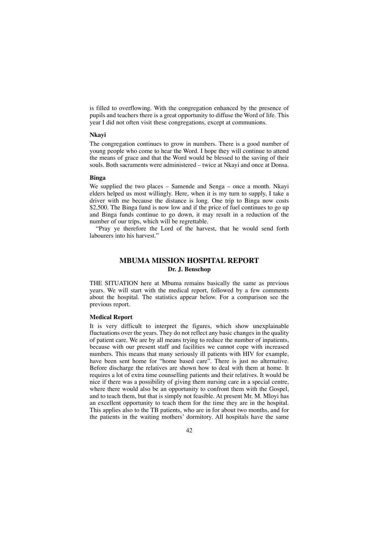is filled to overflowing. With the congregation enhanced by the presence of pupils and teachers there is a great opportunity to diffuse the Word of life. This year I did not often visit these congregations, except at communions.

#### **Nkayi**

The congregation continues to grow in numbers. There is a good number of young people who come to hear the Word. I hope they will continue to attend the means of grace and that the Word would be blessed to the saving of their souls. Both sacraments were administered – twice at Nkayi and once at Donsa.

### **Binga**

We supplied the two places – Samende and Senga – once a month. Nkayi elders helped us most willingly. Here, when it is my turn to supply, I take a driver with me because the distance is long. One trip to Binga now costs \$2,500. The Binga fund is now low and if the price of fuel continues to go up and Binga funds continue to go down, it may result in a reduction of the number of our trips, which will be regrettable.

"Pray ye therefore the Lord of the harvest, that he would send forth labourers into his harvest."

# **MBUMA MISSION HOSPITAL REPORT Dr. J. Benschop**

THE SITUATION here at Mbuma remains basically the same as previous years. We will start with the medical report, followed by a few comments about the hospital. The statistics appear below. For a comparison see the previous report.

#### **Medical Report**

It is very difficult to interpret the figures, which show unexplainable fluctuations over the years. They do not reflect any basic changes in the quality of patient care. We are by all means trying to reduce the number of inpatients, because with our present staff and facilities we cannot cope with increased numbers. This means that many seriously ill patients with HIV for example, have been sent home for "home based care". There is just no alternative. Before discharge the relatives are shown how to deal with them at home. It requires a lot of extra time counselling patients and their relatives. It would be nice if there was a possibility of giving them nursing care in a special centre, where there would also be an opportunity to confront them with the Gospel, and to teach them, but that is simply not feasible. At present Mr. M. Mloyi has an excellent opportunity to teach them for the time they are in the hospital. This applies also to the TB patients, who are in for about two months, and for the patients in the waiting mothers' dormitory. All hospitals have the same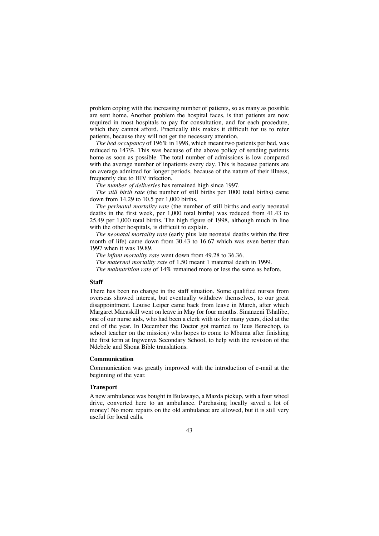problem coping with the increasing number of patients, so as many as possible are sent home. Another problem the hospital faces, is that patients are now required in most hospitals to pay for consultation, and for each procedure, which they cannot afford. Practically this makes it difficult for us to refer patients, because they will not get the necessary attention.

*The bed occupancy* of 196% in 1998, which meant two patients per bed, was reduced to 147%. This was because of the above policy of sending patients home as soon as possible. The total number of admissions is low compared with the average number of inpatients every day. This is because patients are on average admitted for longer periods, because of the nature of their illness, frequently due to HIV infection.

*The number of deliveries* has remained high since 1997.

*The still birth rate* (the number of still births per 1000 total births) came down from 14.29 to 10.5 per 1,000 births.

*The perinatal mortality rate* (the number of still births and early neonatal deaths in the first week, per 1,000 total births) was reduced from 41.43 to 25.49 per 1,000 total births. The high figure of 1998, although much in line with the other hospitals, is difficult to explain.

*The neonatal mortality rate* (early plus late neonatal deaths within the first month of life) came down from 30.43 to 16.67 which was even better than 1997 when it was 19.89.

*The infant mortality rate* went down from 49.28 to 36.36.

*The maternal mortality rate* of 1.50 meant 1 maternal death in 1999.

*The malnutrition rate* of 14% remained more or less the same as before.

### **Staff**

There has been no change in the staff situation. Some qualified nurses from overseas showed interest, but eventually withdrew themselves, to our great disappointment. Louise Leiper came back from leave in March, after which Margaret Macaskill went on leave in May for four months. Sinanzeni Tshalibe, one of our nurse aids, who had been a clerk with us for many years, died at the end of the year. In December the Doctor got married to Teus Benschop, (a school teacher on the mission) who hopes to come to Mbuma after finishing the first term at Ingwenya Secondary School, to help with the revision of the Ndebele and Shona Bible translations.

#### **Communication**

Communication was greatly improved with the introduction of e-mail at the beginning of the year.

#### **Transport**

A new ambulance was bought in Bulawayo, a Mazda pickup, with a four wheel drive, converted here to an ambulance. Purchasing locally saved a lot of money! No more repairs on the old ambulance are allowed, but it is still very useful for local calls.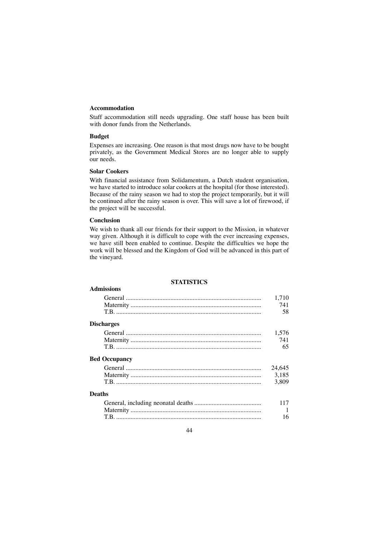## **Accommodation**

Staff accommodation still needs upgrading. One staff house has been built with donor funds from the Netherlands.

## **Budget**

Expenses are increasing. One reason is that most drugs now have to be bought privately, as the Government Medical Stores are no longer able to supply our needs.

## **Solar Cookers**

With financial assistance from Solidamentum, a Dutch student organisation, we have started to introduce solar cookers at the hospital (for those interested). Because of the rainy season we had to stop the project temporarily, but it will be continued after the rainy season is over. This will save a lot of firewood, if the project will be successful.

## **Conclusion**

We wish to thank all our friends for their support to the Mission, in whatever way given. Although it is difficult to cope with the ever increasing expenses, we have still been enabled to continue. Despite the difficulties we hope the work will be blessed and the Kingdom of God will be advanced in this part of the vineyard.

### **STATISTICS**

| <b>Admissions</b>    |              |
|----------------------|--------------|
|                      | 1.710        |
|                      | 741<br>58    |
|                      |              |
| <b>Discharges</b>    |              |
|                      | 1,576        |
|                      | 741          |
|                      | 65           |
| <b>Bed Occupancy</b> |              |
|                      | 24.645       |
|                      | 3.185        |
|                      | 3,809        |
| <b>Deaths</b>        |              |
|                      | 117          |
|                      | $\mathbf{1}$ |
|                      | 16           |
|                      |              |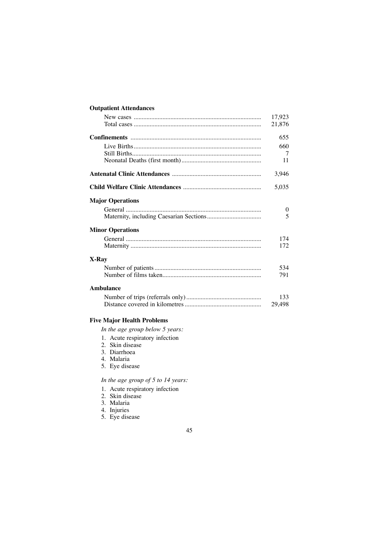# **Outpatient Attendances**

|                         | 17,923   |
|-------------------------|----------|
|                         | 21,876   |
|                         | 655      |
|                         | 660      |
|                         | 7        |
|                         | 11       |
|                         | 3,946    |
|                         | 5,035    |
| <b>Major Operations</b> |          |
|                         | $\theta$ |
|                         | 5        |
| <b>Minor Operations</b> |          |
|                         | 174      |
|                         | 172      |
| X-Ray                   |          |
|                         | 534      |
|                         | 791      |
| Ambulance               |          |
|                         | 133      |
|                         | 29,498   |

# **Five Major Health Problems**

*In the age group below 5 years:*

- 1. Acute respiratory infection
- 2. Skin disease
- 3. Diarrhoea
- 4. Malaria
- 5. Eye disease

# *In the age group of 5 to 14 years:*

- 1. Acute respiratory infection
- 2. Skin disease
- 3. Malaria
- 4. Injuries
- 5. Eye disease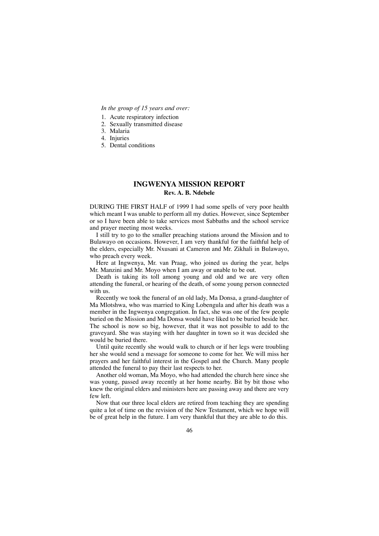#### *In the group of 15 years and over:*

- 1. Acute respiratory infection
- 2. Sexually transmitted disease
- 3. Malaria
- 4. Injuries
- 5. Dental conditions

# **INGWENYA MISSION REPORT Rev. A. B. Ndebele**

DURING THE FIRST HALF of 1999 I had some spells of very poor health which meant I was unable to perform all my duties. However, since September or so I have been able to take services most Sabbaths and the school service and prayer meeting most weeks.

I still try to go to the smaller preaching stations around the Mission and to Bulawayo on occasions. However, I am very thankful for the faithful help of the elders, especially Mr. Nxusani at Cameron and Mr. Zikhali in Bulawayo, who preach every week.

Here at Ingwenya, Mr. van Praag, who joined us during the year, helps Mr. Manzini and Mr. Moyo when I am away or unable to be out.

Death is taking its toll among young and old and we are very often attending the funeral, or hearing of the death, of some young person connected with us.

Recently we took the funeral of an old lady, Ma Donsa, a grand-daughter of Ma Mlotshwa, who was married to King Lobengula and after his death was a member in the Ingwenya congregation. In fact, she was one of the few people buried on the Mission and Ma Donsa would have liked to be buried beside her. The school is now so big, however, that it was not possible to add to the graveyard. She was staying with her daughter in town so it was decided she would be buried there.

Until quite recently she would walk to church or if her legs were troubling her she would send a message for someone to come for her. We will miss her prayers and her faithful interest in the Gospel and the Church. Many people attended the funeral to pay their last respects to her.

Another old woman, Ma Moyo, who had attended the church here since she was young, passed away recently at her home nearby. Bit by bit those who knew the original elders and ministers here are passing away and there are very few left.

Now that our three local elders are retired from teaching they are spending quite a lot of time on the revision of the New Testament, which we hope will be of great help in the future. I am very thankful that they are able to do this.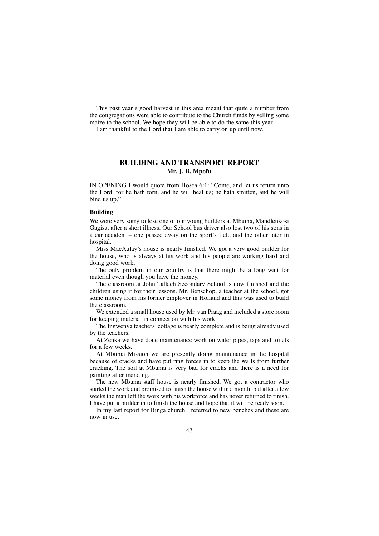This past year's good harvest in this area meant that quite a number from the congregations were able to contribute to the Church funds by selling some maize to the school. We hope they will be able to do the same this year. I am thankful to the Lord that I am able to carry on up until now.

## **BUILDING AND TRANSPORT REPORT Mr. J. B. Mpofu**

IN OPENING I would quote from Hosea 6:1: "Come, and let us return unto the Lord: for he hath torn, and he will heal us; he hath smitten, and he will bind us up."

#### **Building**

We were very sorry to lose one of our young builders at Mbuma, Mandlenkosi Gagisa, after a short illness. Our School bus driver also lost two of his sons in a car accident – one passed away on the sport's field and the other later in hospital

Miss MacAulay's house is nearly finished. We got a very good builder for the house, who is always at his work and his people are working hard and doing good work.

The only problem in our country is that there might be a long wait for material even though you have the money.

The classroom at John Tallach Secondary School is now finished and the children using it for their lessons. Mr. Benschop, a teacher at the school, got some money from his former employer in Holland and this was used to build the classroom.

We extended a small house used by Mr. van Praag and included a store room for keeping material in connection with his work.

The Ingwenya teachers' cottage is nearly complete and is being already used by the teachers.

At Zenka we have done maintenance work on water pipes, taps and toilets for a few weeks.

At Mbuma Mission we are presently doing maintenance in the hospital because of cracks and have put ring forces in to keep the walls from further cracking. The soil at Mbuma is very bad for cracks and there is a need for painting after mending.

The new Mbuma staff house is nearly finished. We got a contractor who started the work and promised to finish the house within a month, but after a few weeks the man left the work with his workforce and has never returned to finish. I have put a builder in to finish the house and hope that it will be ready soon.

In my last report for Binga church I referred to new benches and these are now in use.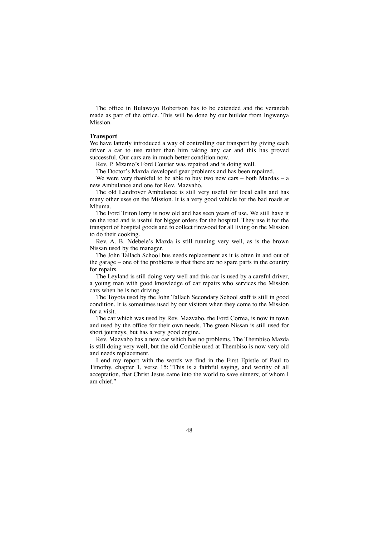The office in Bulawayo Robertson has to be extended and the verandah made as part of the office. This will be done by our builder from Ingwenya Mission.

### **Transport**

We have latterly introduced a way of controlling our transport by giving each driver a car to use rather than him taking any car and this has proved successful. Our cars are in much better condition now.

Rev. P. Mzamo's Ford Courier was repaired and is doing well.

The Doctor's Mazda developed gear problems and has been repaired.

We were very thankful to be able to buy two new cars – both Mazdas – a new Ambulance and one for Rev. Mazvabo.

The old Landrover Ambulance is still very useful for local calls and has many other uses on the Mission. It is a very good vehicle for the bad roads at Mbuma.

The Ford Triton lorry is now old and has seen years of use. We still have it on the road and is useful for bigger orders for the hospital. They use it for the transport of hospital goods and to collect firewood for all living on the Mission to do their cooking.

Rev. A. B. Ndebele's Mazda is still running very well, as is the brown Nissan used by the manager.

The John Tallach School bus needs replacement as it is often in and out of the garage – one of the problems is that there are no spare parts in the country for repairs.

The Leyland is still doing very well and this car is used by a careful driver, a young man with good knowledge of car repairs who services the Mission cars when he is not driving.

The Toyota used by the John Tallach Secondary School staff is still in good condition. It is sometimes used by our visitors when they come to the Mission for a visit.

The car which was used by Rev. Mazvabo, the Ford Correa, is now in town and used by the office for their own needs. The green Nissan is still used for short journeys, but has a very good engine.

Rev. Mazvabo has a new car which has no problems. The Thembiso Mazda is still doing very well, but the old Combie used at Thembiso is now very old and needs replacement.

I end my report with the words we find in the First Epistle of Paul to Timothy, chapter 1, verse 15: "This is a faithful saying, and worthy of all acceptation, that Christ Jesus came into the world to save sinners; of whom I am chief."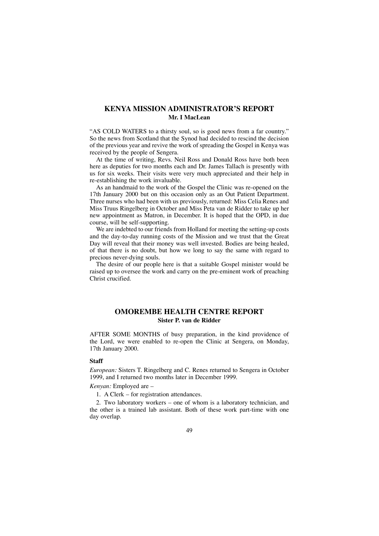# **KENYA MISSION ADMINISTRATOR'S REPORT Mr. I MacLean**

"AS COLD WATERS to a thirsty soul, so is good news from a far country." So the news from Scotland that the Synod had decided to rescind the decision of the previous year and revive the work of spreading the Gospel in Kenya was received by the people of Sengera.

At the time of writing, Revs. Neil Ross and Donald Ross have both been here as deputies for two months each and Dr. James Tallach is presently with us for six weeks. Their visits were very much appreciated and their help in re-establishing the work invaluable.

As an handmaid to the work of the Gospel the Clinic was re-opened on the 17th January 2000 but on this occasion only as an Out Patient Department. Three nurses who had been with us previously, returned: Miss Celia Renes and Miss Truus Ringelberg in October and Miss Peta van de Ridder to take up her new appointment as Matron, in December. It is hoped that the OPD, in due course, will be self-supporting.

We are indebted to our friends from Holland for meeting the setting-up costs and the day-to-day running costs of the Mission and we trust that the Great Day will reveal that their money was well invested. Bodies are being healed, of that there is no doubt, but how we long to say the same with regard to precious never-dying souls.

The desire of our people here is that a suitable Gospel minister would be raised up to oversee the work and carry on the pre-eminent work of preaching Christ crucified.

## **OMOREMBE HEALTH CENTRE REPORT Sister P. van de Ridder**

AFTER SOME MONTHS of busy preparation, in the kind providence of the Lord, we were enabled to re-open the Clinic at Sengera, on Monday, 17th January 2000.

#### **Staff**

*European:* Sisters T. Ringelberg and C. Renes returned to Sengera in October 1999, and I returned two months later in December 1999.

#### *Kenyan:* Employed are –

1. A Clerk – for registration attendances.

2. Two laboratory workers – one of whom is a laboratory technician, and the other is a trained lab assistant. Both of these work part-time with one day overlap.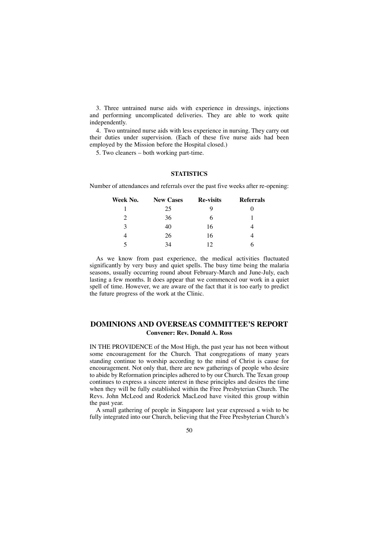3. Three untrained nurse aids with experience in dressings, injections and performing uncomplicated deliveries. They are able to work quite independently.

4. Two untrained nurse aids with less experience in nursing. They carry out their duties under supervision. (Each of these five nurse aids had been employed by the Mission before the Hospital closed.)

5. Two cleaners – both working part-time.

### **STATISTICS**

Number of attendances and referrals over the past five weeks after re-opening:

| Week No.      | <b>New Cases</b> | <b>Re-visits</b> | <b>Referrals</b> |
|---------------|------------------|------------------|------------------|
|               | 25               | q                |                  |
| $\mathcal{D}$ | 36               | 6                |                  |
| 3             | 40               | 16               |                  |
|               | 26               | 16               |                  |
|               | 34               | 12               |                  |

As we know from past experience, the medical activities fluctuated significantly by very busy and quiet spells. The busy time being the malaria seasons, usually occurring round about February-March and June-July, each lasting a few months. It does appear that we commenced our work in a quiet spell of time. However, we are aware of the fact that it is too early to predict the future progress of the work at the Clinic.

# **DOMINIONS AND OVERSEAS COMMITTEE'S REPORT Convener: Rev. Donald A. Ross**

IN THE PROVIDENCE of the Most High, the past year has not been without some encouragement for the Church. That congregations of many years standing continue to worship according to the mind of Christ is cause for encouragement. Not only that, there are new gatherings of people who desire to abide by Reformation principles adhered to by our Church. The Texan group continues to express a sincere interest in these principles and desires the time when they will be fully established within the Free Presbyterian Church. The Revs. John McLeod and Roderick MacLeod have visited this group within the past year.

A small gathering of people in Singapore last year expressed a wish to be fully integrated into our Church, believing that the Free Presbyterian Church's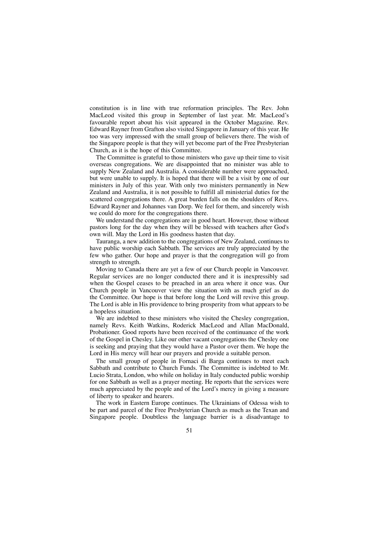constitution is in line with true reformation principles. The Rev. John MacLeod visited this group in September of last year. Mr. MacLeod's favourable report about his visit appeared in the October Magazine. Rev. Edward Rayner from Grafton also visited Singapore in January of this year. He too was very impressed with the small group of believers there. The wish of the Singapore people is that they will yet become part of the Free Presbyterian Church, as it is the hope of this Committee.

The Committee is grateful to those ministers who gave up their time to visit overseas congregations. We are disappointed that no minister was able to supply New Zealand and Australia. A considerable number were approached, but were unable to supply. It is hoped that there will be a visit by one of our ministers in July of this year. With only two ministers permanently in New Zealand and Australia, it is not possible to fulfill all ministerial duties for the scattered congregations there. A great burden falls on the shoulders of Revs. Edward Rayner and Johannes van Dorp. We feel for them, and sincerely wish we could do more for the congregations there.

We understand the congregations are in good heart. However, those without pastors long for the day when they will be blessed with teachers after God's own will. May the Lord in His goodness hasten that day.

Tauranga, a new addition to the congregations of New Zealand, continues to have public worship each Sabbath. The services are truly appreciated by the few who gather. Our hope and prayer is that the congregation will go from strength to strength.

Moving to Canada there are yet a few of our Church people in Vancouver. Regular services are no longer conducted there and it is inexpressibly sad when the Gospel ceases to be preached in an area where it once was. Our Church people in Vancouver view the situation with as much grief as do the Committee. Our hope is that before long the Lord will revive this group. The Lord is able in His providence to bring prosperity from what appears to be a hopeless situation.

We are indebted to these ministers who visited the Chesley congregation, namely Revs. Keith Watkins, Roderick MacLeod and Allan MacDonald, Probationer. Good reports have been received of the continuance of the work of the Gospel in Chesley. Like our other vacant congregations the Chesley one is seeking and praying that they would have a Pastor over them. We hope the Lord in His mercy will hear our prayers and provide a suitable person.

The small group of people in Fornaci di Barga continues to meet each Sabbath and contribute to Church Funds. The Committee is indebted to Mr. Lucio Strata, London, who while on holiday in Italy conducted public worship for one Sabbath as well as a prayer meeting. He reports that the services were much appreciated by the people and of the Lord's mercy in giving a measure of liberty to speaker and hearers.

The work in Eastern Europe continues. The Ukrainians of Odessa wish to be part and parcel of the Free Presbyterian Church as much as the Texan and Singapore people. Doubtless the language barrier is a disadvantage to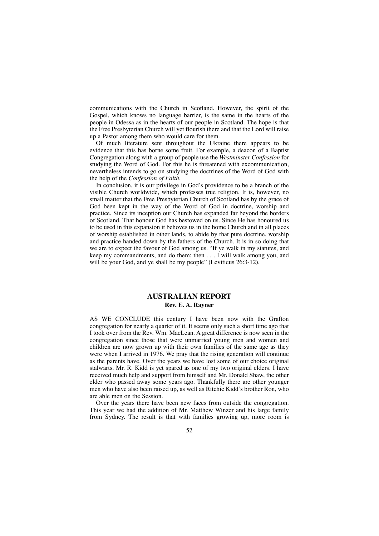communications with the Church in Scotland. However, the spirit of the Gospel, which knows no language barrier, is the same in the hearts of the people in Odessa as in the hearts of our people in Scotland. The hope is that the Free Presbyterian Church will yet flourish there and that the Lord will raise up a Pastor among them who would care for them.

Of much literature sent throughout the Ukraine there appears to be evidence that this has borne some fruit. For example, a deacon of a Baptist Congregation along with a group of people use the *Westminster Confession* for studying the Word of God. For this he is threatened with excommunication, nevertheless intends to go on studying the doctrines of the Word of God with the help of the *Confession of Faith.*

In conclusion, it is our privilege in God's providence to be a branch of the visible Church worldwide, which professes true religion. It is, however, no small matter that the Free Presbyterian Church of Scotland has by the grace of God been kept in the way of the Word of God in doctrine, worship and practice. Since its inception our Church has expanded far beyond the borders of Scotland. That honour God has bestowed on us. Since He has honoured us to be used in this expansion it behoves us in the home Church and in all places of worship established in other lands, to abide by that pure doctrine, worship and practice handed down by the fathers of the Church. It is in so doing that we are to expect the favour of God among us. "If ye walk in my statutes, and keep my commandments, and do them; then . . . I will walk among you, and will be your God, and ye shall be my people" (Leviticus 26:3-12).

## **AUSTRALIAN REPORT Rev. E. A. Rayner**

AS WE CONCLUDE this century I have been now with the Grafton congregation for nearly a quarter of it. It seems only such a short time ago that I took over from the Rev. Wm. MacLean. A great difference is now seen in the congregation since those that were unmarried young men and women and children are now grown up with their own families of the same age as they were when I arrived in 1976. We pray that the rising generation will continue as the parents have. Over the years we have lost some of our choice original stalwarts. Mr. R. Kidd is yet spared as one of my two original elders. I have received much help and support from himself and Mr. Donald Shaw, the other elder who passed away some years ago. Thankfully there are other younger men who have also been raised up, as well as Ritchie Kidd's brother Ron, who are able men on the Session.

Over the years there have been new faces from outside the congregation. This year we had the addition of Mr. Matthew Winzer and his large family from Sydney. The result is that with families growing up, more room is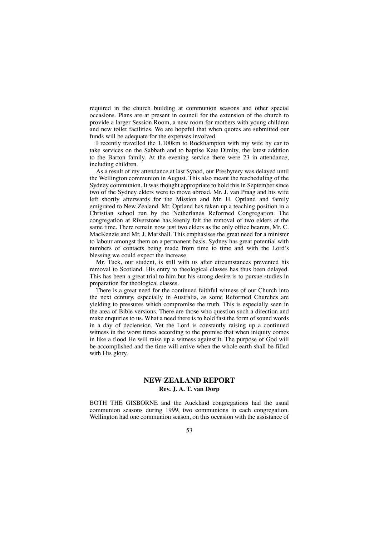required in the church building at communion seasons and other special occasions. Plans are at present in council for the extension of the church to provide a larger Session Room, a new room for mothers with young children and new toilet facilities. We are hopeful that when quotes are submitted our funds will be adequate for the expenses involved.

I recently travelled the 1,100km to Rockhampton with my wife by car to take services on the Sabbath and to baptise Kate Dimity, the latest addition to the Barton family. At the evening service there were 23 in attendance, including children.

As a result of my attendance at last Synod, our Presbytery was delayed until the Wellington communion in August. This also meant the rescheduling of the Sydney communion. It was thought appropriate to hold this in September since two of the Sydney elders were to move abroad. Mr. J. van Praag and his wife left shortly afterwards for the Mission and Mr. H. Optland and family emigrated to New Zealand. Mr. Optland has taken up a teaching position in a Christian school run by the Netherlands Reformed Congregation. The congregation at Riverstone has keenly felt the removal of two elders at the same time. There remain now just two elders as the only office bearers, Mr. C. MacKenzie and Mr. J. Marshall. This emphasises the great need for a minister to labour amongst them on a permanent basis. Sydney has great potential with numbers of contacts being made from time to time and with the Lord's blessing we could expect the increase.

Mr. Tuck, our student, is still with us after circumstances prevented his removal to Scotland. His entry to theological classes has thus been delayed. This has been a great trial to him but his strong desire is to pursue studies in preparation for theological classes.

There is a great need for the continued faithful witness of our Church into the next century, especially in Australia, as some Reformed Churches are yielding to pressures which compromise the truth. This is especially seen in the area of Bible versions. There are those who question such a direction and make enquiries to us. What a need there is to hold fast the form of sound words in a day of declension. Yet the Lord is constantly raising up a continued witness in the worst times according to the promise that when iniquity comes in like a flood He will raise up a witness against it. The purpose of God will be accomplished and the time will arrive when the whole earth shall be filled with His glory.

## **NEW ZEALAND REPORT Rev. J. A. T. van Dorp**

BOTH THE GISBORNE and the Auckland congregations had the usual communion seasons during 1999, two communions in each congregation. Wellington had one communion season, on this occasion with the assistance of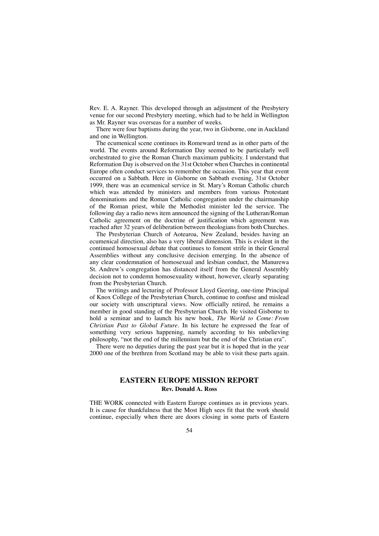Rev. E. A. Rayner. This developed through an adjustment of the Presbytery venue for our second Presbytery meeting, which had to be held in Wellington as Mr. Rayner was overseas for a number of weeks.

There were four baptisms during the year, two in Gisborne, one in Auckland and one in Wellington.

The ecumenical scene continues its Romeward trend as in other parts of the world. The events around Reformation Day seemed to be particularly well orchestrated to give the Roman Church maximum publicity. I understand that Reformation Day is observed on the 31st October when Churches in continental Europe often conduct services to remember the occasion. This year that event occurred on a Sabbath. Here in Gisborne on Sabbath evening, 31st October 1999, there was an ecumenical service in St. Mary's Roman Catholic church which was attended by ministers and members from various Protestant denominations and the Roman Catholic congregation under the chairmanship of the Roman priest, while the Methodist minister led the service. The following day a radio news item announced the signing of the Lutheran/Roman Catholic agreement on the doctrine of justification which agreement was reached after 32 years of deliberation between theologians from both Churches.

The Presbyterian Church of Aotearoa, New Zealand, besides having an ecumenical direction, also has a very liberal dimension. This is evident in the continued homosexual debate that continues to foment strife in their General Assemblies without any conclusive decision emerging. In the absence of any clear condemnation of homosexual and lesbian conduct, the Manurewa St. Andrew's congregation has distanced itself from the General Assembly decision not to condemn homosexuality without, however, clearly separating from the Presbyterian Church.

The writings and lecturing of Professor Lloyd Geering, one-time Principal of Knox College of the Presbyterian Church, continue to confuse and mislead our society with unscriptural views. Now officially retired, he remains a member in good standing of the Presbyterian Church. He visited Gisborne to hold a seminar and to launch his new book, *The World to Come: From Christian Past to Global Future.* In his lecture he expressed the fear of something very serious happening, namely according to his unbelieving philosophy, "not the end of the millennium but the end of the Christian era".

There were no deputies during the past year but it is hoped that in the year 2000 one of the brethren from Scotland may be able to visit these parts again.

## **EASTERN EUROPE MISSION REPORT Rev. Donald A. Ross**

THE WORK connected with Eastern Europe continues as in previous years. It is cause for thankfulness that the Most High sees fit that the work should continue, especially when there are doors closing in some parts of Eastern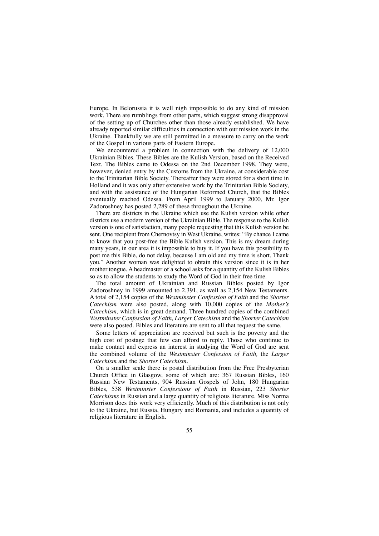Europe. In Belorussia it is well nigh impossible to do any kind of mission work. There are rumblings from other parts, which suggest strong disapproval of the setting up of Churches other than those already established. We have already reported similar difficulties in connection with our mission work in the Ukraine. Thankfully we are still permitted in a measure to carry on the work of the Gospel in various parts of Eastern Europe.

We encountered a problem in connection with the delivery of 12,000 Ukrainian Bibles. These Bibles are the Kulish Version, based on the Received Text. The Bibles came to Odessa on the 2nd December 1998. They were, however, denied entry by the Customs from the Ukraine, at considerable cost to the Trinitarian Bible Society. Thereafter they were stored for a short time in Holland and it was only after extensive work by the Trinitarian Bible Society, and with the assistance of the Hungarian Reformed Church, that the Bibles eventually reached Odessa. From April 1999 to January 2000, Mr. Igor Zadoroshney has posted 2,289 of these throughout the Ukraine.

There are districts in the Ukraine which use the Kulish version while other districts use a modern version of the Ukrainian Bible. The response to the Kulish version is one of satisfaction, many people requesting that this Kulish version be sent. One recipient from Chernovtsy in West Ukraine, writes: "By chance I came to know that you post-free the Bible Kulish version. This is my dream during many years, in our area it is impossible to buy it. If you have this possibility to post me this Bible, do not delay, because I am old and my time is short. Thank you." Another woman was delighted to obtain this version since it is in her mother tongue. A headmaster of a school asks for a quantity of the Kulish Bibles so as to allow the students to study the Word of God in their free time.

The total amount of Ukrainian and Russian Bibles posted by Igor Zadoroshney in 1999 amounted to 2,391, as well as 2,154 New Testaments. A total of 2,154 copies of the *Westminster Confession of Faith* and the *Shorter Catechism* were also posted, along with 10,000 copies of the *Mother's Catechism,* which is in great demand. Three hundred copies of the combined *Westminster Confession of Faith, Larger Catechism* and the *Shorter Catechism* were also posted. Bibles and literature are sent to all that request the same.

Some letters of appreciation are received but such is the poverty and the high cost of postage that few can afford to reply. Those who continue to make contact and express an interest in studying the Word of God are sent the combined volume of the *Westminster Confession of Faith,* the *Larger Catechism* and the *Shorter Catechism*.

On a smaller scale there is postal distribution from the Free Presbyterian Church Office in Glasgow, some of which are: 367 Russian Bibles, 160 Russian New Testaments, 904 Russian Gospels of John, 180 Hungarian Bibles, 538 *Westminster Confessions of Faith* in Russian, 223 *Shorter Catechisms* in Russian and a large quantity of religious literature. Miss Norma Morrison does this work very efficiently. Much of this distribution is not only to the Ukraine, but Russia, Hungary and Romania, and includes a quantity of religious literature in English.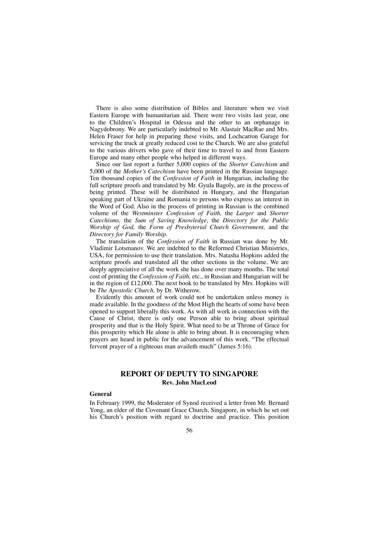There is also some distribution of Bibles and literature when we visit Eastern Europe with humanitarian aid. There were two visits last year, one to the Children's Hospital in Odessa and the other to an orphanage in Nagydobrony. We are particularly indebted to Mr. Alastair MacRae and Mrs. Helen Fraser for help in preparing these visits, and Lochcarron Garage for servicing the truck at greatly reduced cost to the Church. We are also grateful to the various drivers who gave of their time to travel to and from Eastern Europe and many other people who helped in different ways.

Since our last report a further 5,000 copies of the *Shorter Catechism* and 5,000 of the *Mother's Catechism* have been printed in the Russian language. Ten thousand copies of the *Confession of Faith* in Hungarian, including the full scripture proofs and translated by Mr. Gyula Bagoly, are in the process of being printed. These will be distributed in Hungary, and the Hungarian speaking part of Ukraine and Romania to persons who express an interest in the Word of God. Also in the process of printing in Russian is the combined volume of the *Westminster Confession of Faith,* the *Larger* and *Shorter Catechisms,* the *Sum of Saving Knowledge,* the *Directory for the Public Worship of God,* the *Form of Presbyterial Church Government,* and the *Directory for Family Worship.*

The translation of the *Confession of Faith* in Russian was done by Mr. Vladimir Lotsmanov. We are indebted to the Reformed Christian Ministries, USA, for permission to use their translation. Mrs. Natasha Hopkins added the scripture proofs and translated all the other sections in the volume. We are deeply appreciative of all the work she has done over many months. The total cost of printing the *Confession of Faith,* etc., in Russian and Hungarian will be in the region of £12,000. The next book to be translated by Mrs. Hopkins will be *The Apostolic Church,* by Dr. Witherow.

Evidently this amount of work could not be undertaken unless money is made available. In the goodness of the Most High the hearts of some have been opened to support liberally this work. As with all work in connection with the Cause of Christ, there is only one Person able to bring about spiritual prosperity and that is the Holy Spirit. What need to be at Throne of Grace for this prosperity which He alone is able to bring about. It is encouraging when prayers are heard in public for the advancement of this work. "The effectual fervent prayer of a righteous man availeth much" (James 5:16).

# **REPORT OF DEPUTY TO SINGAPORE Rev. John MacLeod**

### **General**

In February 1999, the Moderator of Synod received a letter from Mr. Bernard Yong, an elder of the Covenant Grace Church, Singapore, in which he set out his Church's position with regard to doctrine and practice. This position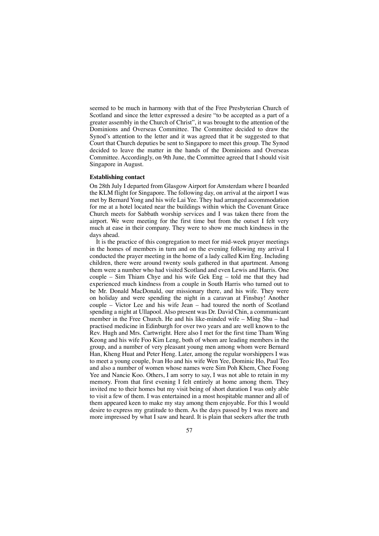seemed to be much in harmony with that of the Free Presbyterian Church of Scotland and since the letter expressed a desire "to be accepted as a part of a greater assembly in the Church of Christ", it was brought to the attention of the Dominions and Overseas Committee. The Committee decided to draw the Synod's attention to the letter and it was agreed that it be suggested to that Court that Church deputies be sent to Singapore to meet this group. The Synod decided to leave the matter in the hands of the Dominions and Overseas Committee. Accordingly, on 9th June, the Committee agreed that I should visit Singapore in August.

#### **Establishing contact**

On 28th July I departed from Glasgow Airport for Amsterdam where I boarded the KLM flight for Singapore. The following day, on arrival at the airport I was met by Bernard Yong and his wife Lai Yee. They had arranged accommodation for me at a hotel located near the buildings within which the Covenant Grace Church meets for Sabbath worship services and I was taken there from the airport. We were meeting for the first time but from the outset I felt very much at ease in their company. They were to show me much kindness in the days ahead.

It is the practice of this congregation to meet for mid-week prayer meetings in the homes of members in turn and on the evening following my arrival I conducted the prayer meeting in the home of a lady called Kim Eng. Including children, there were around twenty souls gathered in that apartment. Among them were a number who had visited Scotland and even Lewis and Harris. One couple – Sim Thiam Chye and his wife Gek Eng – told me that they had experienced much kindness from a couple in South Harris who turned out to be Mr. Donald MacDonald, our missionary there, and his wife. They were on holiday and were spending the night in a caravan at Finsbay! Another couple – Victor Lee and his wife Jean – had toured the north of Scotland spending a night at Ullapool. Also present was Dr. David Chin, a communicant member in the Free Church. He and his like-minded wife – Ming Shu – had practised medicine in Edinburgh for over two years and are well known to the Rev. Hugh and Mrs. Cartwright. Here also I met for the first time Tham Wing Keong and his wife Foo Kim Leng, both of whom are leading members in the group, and a number of very pleasant young men among whom were Bernard Han, Kheng Huat and Peter Heng. Later, among the regular worshippers I was to meet a young couple, Ivan Ho and his wife Wen Yee, Dominic Ho, Paul Teo and also a number of women whose names were Sim Poh Khem, Chee Foong Yee and Nancie Koo. Others, I am sorry to say, I was not able to retain in my memory. From that first evening I felt entirely at home among them. They invited me to their homes but my visit being of short duration I was only able to visit a few of them. I was entertained in a most hospitable manner and all of them appeared keen to make my stay among them enjoyable. For this I would desire to express my gratitude to them. As the days passed by I was more and more impressed by what I saw and heard. It is plain that seekers after the truth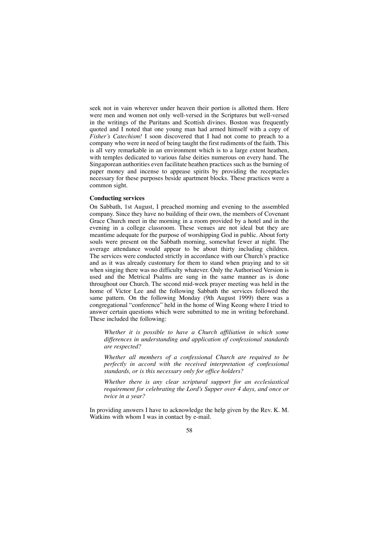seek not in vain wherever under heaven their portion is allotted them. Here were men and women not only well-versed in the Scriptures but well-versed in the writings of the Puritans and Scottish divines. Boston was frequently quoted and I noted that one young man had armed himself with a copy of *Fisher's Catechism!* I soon discovered that I had not come to preach to a company who were in need of being taught the first rudiments of the faith. This is all very remarkable in an environment which is to a large extent heathen, with temples dedicated to various false deities numerous on every hand. The Singaporean authorities even facilitate heathen practices such as the burning of paper money and incense to appease spirits by providing the receptacles necessary for these purposes beside apartment blocks. These practices were a common sight.

#### **Conducting services**

On Sabbath, 1st August, I preached morning and evening to the assembled company. Since they have no building of their own, the members of Covenant Grace Church meet in the morning in a room provided by a hotel and in the evening in a college classroom. These venues are not ideal but they are meantime adequate for the purpose of worshipping God in public. About forty souls were present on the Sabbath morning, somewhat fewer at night. The average attendance would appear to be about thirty including children. The services were conducted strictly in accordance with our Church's practice and as it was already customary for them to stand when praying and to sit when singing there was no difficulty whatever. Only the Authorised Version is used and the Metrical Psalms are sung in the same manner as is done throughout our Church. The second mid-week prayer meeting was held in the home of Victor Lee and the following Sabbath the services followed the same pattern. On the following Monday (9th August 1999) there was a congregational "conference" held in the home of Wing Keong where I tried to answer certain questions which were submitted to me in writing beforehand. These included the following:

*Whether it is possible to have a Church affiliation in which some differences in understanding and application of confessional standards are respected?*

*Whether all members of a confessional Church are required to be perfectly in accord with the received interpretation of confessional standards, or is this necessary only for office holders?*

*Whether there is any clear scriptural support for an ecclesiastical requirement for celebrating the Lord's Supper over 4 days, and once or twice in a year?*

In providing answers I have to acknowledge the help given by the Rev. K. M. Watkins with whom I was in contact by e-mail.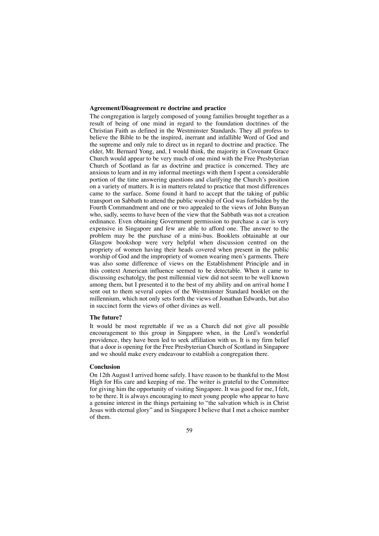#### **Agreement/Disagreement re doctrine and practice**

The congregation is largely composed of young families brought together as a result of being of one mind in regard to the foundation doctrines of the Christian Faith as defined in the Westminster Standards. They all profess to believe the Bible to be the inspired, inerrant and infallible Word of God and the supreme and only rule to direct us in regard to doctrine and practice. The elder, Mr. Bernard Yong, and, I would think, the majority in Covenant Grace Church would appear to be very much of one mind with the Free Presbyterian Church of Scotland as far as doctrine and practice is concerned. They are anxious to learn and in my informal meetings with them I spent a considerable portion of the time answering questions and clarifying the Church's position on a variety of matters. It is in matters related to practice that most differences came to the surface. Some found it hard to accept that the taking of public transport on Sabbath to attend the public worship of God was forbidden by the Fourth Commandment and one or two appealed to the views of John Bunyan who, sadly, seems to have been of the view that the Sabbath was not a creation ordinance. Even obtaining Government permission to purchase a car is very expensive in Singapore and few are able to afford one. The answer to the problem may be the purchase of a mini-bus. Booklets obtainable at our Glasgow bookshop were very helpful when discussion centred on the propriety of women having their heads covered when present in the public worship of God and the impropriety of women wearing men's garments. There was also some difference of views on the Establishment Principle and in this context American influence seemed to be detectable. When it came to discussing eschatolgy, the post millennial view did not seem to be well known among them, but I presented it to the best of my ability and on arrival home I sent out to them several copies of the Westminster Standard booklet on the millennium, which not only sets forth the views of Jonathan Edwards, but also in succinct form the views of other divines as well.

#### **The future?**

It would be most regrettable if we as a Church did not give all possible encouragement to this group in Singapore when, in the Lord's wonderful providence, they have been led to seek affiliation with us. It is my firm belief that a door is opening for the Free Presbyterian Church of Scotland in Singapore and we should make every endeavour to establish a congregation there.

#### **Conclusion**

On 12th August I arrived home safely. I have reason to be thankful to the Most High for His care and keeping of me. The writer is grateful to the Committee for giving him the opportunity of visiting Singapore. It was good for me, I felt, to be there. It is always encouraging to meet young people who appear to have a genuine interest in the things pertaining to "the salvation which is in Christ Jesus with eternal glory" and in Singapore I believe that I met a choice number of them.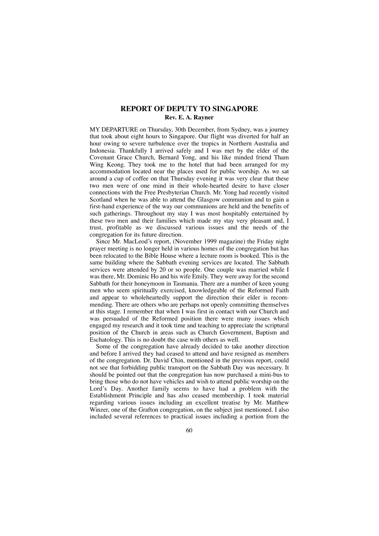# **REPORT OF DEPUTY TO SINGAPORE Rev. E. A. Rayner**

MY DEPARTURE on Thursday, 30th December, from Sydney, was a journey that took about eight hours to Singapore. Our flight was diverted for half an hour owing to severe turbulence over the tropics in Northern Australia and Indonesia. Thankfully I arrived safely and I was met by the elder of the Covenant Grace Church, Bernard Yong, and his like minded friend Tham Wing Keong. They took me to the hotel that had been arranged for my accommodation located near the places used for public worship. As we sat around a cup of coffee on that Thursday evening it was very clear that these two men were of one mind in their whole-hearted desire to have closer connections with the Free Presbyterian Church. Mr. Yong had recently visited Scotland when he was able to attend the Glasgow communion and to gain a first-hand experience of the way our communions are held and the benefits of such gatherings. Throughout my stay I was most hospitably entertained by these two men and their families which made my stay very pleasant and, I trust, profitable as we discussed various issues and the needs of the congregation for its future direction.

Since Mr. MacLeod's report, (November 1999 magazine) the Friday night prayer meeting is no longer held in various homes of the congregation but has been relocated to the Bible House where a lecture room is booked. This is the same building where the Sabbath evening services are located. The Sabbath services were attended by 20 or so people. One couple was married while I was there, Mr. Dominic Ho and his wife Emily. They were away for the second Sabbath for their honeymoon in Tasmania. There are a number of keen young men who seem spiritually exercised, knowledgeable of the Reformed Faith and appear to wholeheartedly support the direction their elder is recommending. There are others who are perhaps not openly committing themselves at this stage. I remember that when I was first in contact with our Church and was persuaded of the Reformed position there were many issues which engaged my research and it took time and teaching to appreciate the scriptural position of the Church in areas such as Church Government, Baptism and Eschatology. This is no doubt the case with others as well.

Some of the congregation have already decided to take another direction and before I arrived they had ceased to attend and have resigned as members of the congregation. Dr. David Chin, mentioned in the previous report, could not see that forbidding public transport on the Sabbath Day was necessary. It should be pointed out that the congregation has now purchased a mini-bus to bring those who do not have vehicles and wish to attend public worship on the Lord's Day. Another family seems to have had a problem with the Establishment Principle and has also ceased membership. I took material regarding various issues including an excellent treatise by Mr. Matthew Winzer, one of the Grafton congregation, on the subject just mentioned. I also included several references to practical issues including a portion from the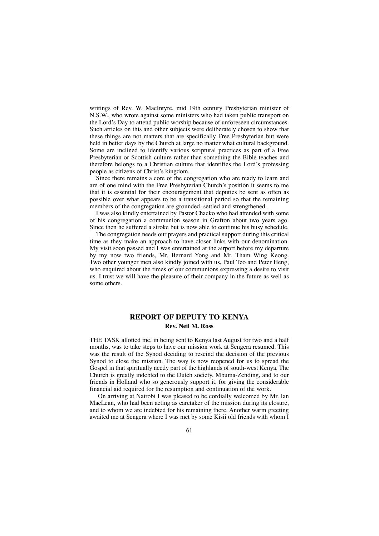writings of Rev. W. MacIntyre, mid 19th century Presbyterian minister of N.S.W., who wrote against some ministers who had taken public transport on the Lord's Day to attend public worship because of unforeseen circumstances. Such articles on this and other subjects were deliberately chosen to show that these things are not matters that are specifically Free Presbyterian but were held in better days by the Church at large no matter what cultural background. Some are inclined to identify various scriptural practices as part of a Free Presbyterian or Scottish culture rather than something the Bible teaches and therefore belongs to a Christian culture that identifies the Lord's professing people as citizens of Christ's kingdom.

Since there remains a core of the congregation who are ready to learn and are of one mind with the Free Presbyterian Church's position it seems to me that it is essential for their encouragement that deputies be sent as often as possible over what appears to be a transitional period so that the remaining members of the congregation are grounded, settled and strengthened.

I was also kindly entertained by Pastor Chacko who had attended with some of his congregation a communion season in Grafton about two years ago. Since then he suffered a stroke but is now able to continue his busy schedule.

The congregation needs our prayers and practical support during this critical time as they make an approach to have closer links with our denomination. My visit soon passed and I was entertained at the airport before my departure by my now two friends, Mr. Bernard Yong and Mr. Tham Wing Keong. Two other younger men also kindly joined with us, Paul Teo and Peter Heng, who enquired about the times of our communions expressing a desire to visit us. I trust we will have the pleasure of their company in the future as well as some others.

## **REPORT OF DEPUTY TO KENYA Rev. Neil M. Ross**

THE TASK allotted me, in being sent to Kenya last August for two and a half months, was to take steps to have our mission work at Sengera resumed. This was the result of the Synod deciding to rescind the decision of the previous Synod to close the mission. The way is now reopened for us to spread the Gospel in that spiritually needy part of the highlands of south-west Kenya. The Church is greatly indebted to the Dutch society, Mbuma-Zending, and to our friends in Holland who so generously support it, for giving the considerable financial aid required for the resumption and continuation of the work.

On arriving at Nairobi I was pleased to be cordially welcomed by Mr. Ian MacLean, who had been acting as caretaker of the mission during its closure, and to whom we are indebted for his remaining there. Another warm greeting awaited me at Sengera where I was met by some Kisii old friends with whom I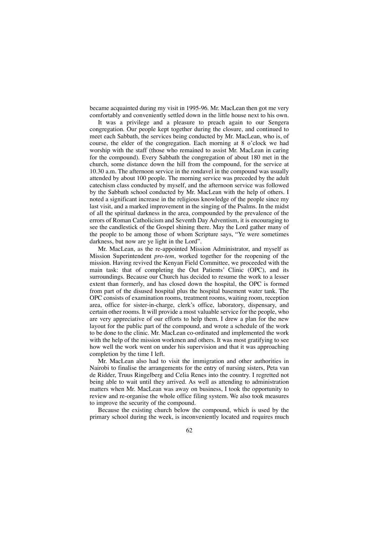became acquainted during my visit in 1995-96. Mr. MacLean then got me very comfortably and conveniently settled down in the little house next to his own.

It was a privilege and a pleasure to preach again to our Sengera congregation. Our people kept together during the closure, and continued to meet each Sabbath, the services being conducted by Mr. MacLean, who is, of course, the elder of the congregation. Each morning at 8 o'clock we had worship with the staff (those who remained to assist Mr. MacLean in caring for the compound). Every Sabbath the congregation of about 180 met in the church, some distance down the hill from the compound, for the service at 10.30 a.m. The afternoon service in the rondavel in the compound was usually attended by about 100 people. The morning service was preceded by the adult catechism class conducted by myself, and the afternoon service was followed by the Sabbath school conducted by Mr. MacLean with the help of others. I noted a significant increase in the religious knowledge of the people since my last visit, and a marked improvement in the singing of the Psalms. In the midst of all the spiritual darkness in the area, compounded by the prevalence of the errors of Roman Catholicism and Seventh Day Adventism, it is encouraging to see the candlestick of the Gospel shining there. May the Lord gather many of the people to be among those of whom Scripture says, "Ye were sometimes darkness, but now are ye light in the Lord".

Mr. MacLean, as the re-appointed Mission Administrator, and myself as Mission Superintendent *pro-tem*, worked together for the reopening of the mission. Having revived the Kenyan Field Committee, we proceeded with the main task: that of completing the Out Patients' Clinic (OPC), and its surroundings. Because our Church has decided to resume the work to a lesser extent than formerly, and has closed down the hospital, the OPC is formed from part of the disused hospital plus the hospital basement water tank. The OPC consists of examination rooms, treatment rooms, waiting room, reception area, office for sister-in-charge, clerk's office, laboratory, dispensary, and certain other rooms. It will provide a most valuable service for the people, who are very appreciative of our efforts to help them. I drew a plan for the new layout for the public part of the compound, and wrote a schedule of the work to be done to the clinic. Mr. MacLean co-ordinated and implemented the work with the help of the mission workmen and others. It was most gratifying to see how well the work went on under his supervision and that it was approaching completion by the time I left.

Mr. MacLean also had to visit the immigration and other authorities in Nairobi to finalise the arrangements for the entry of nursing sisters, Peta van de Ridder, Truus Ringelberg and Celia Renes into the country. I regretted not being able to wait until they arrived. As well as attending to administration matters when Mr. MacLean was away on business, I took the opportunity to review and re-organise the whole office filing system. We also took measures to improve the security of the compound.

Because the existing church below the compound, which is used by the primary school during the week, is inconveniently located and requires much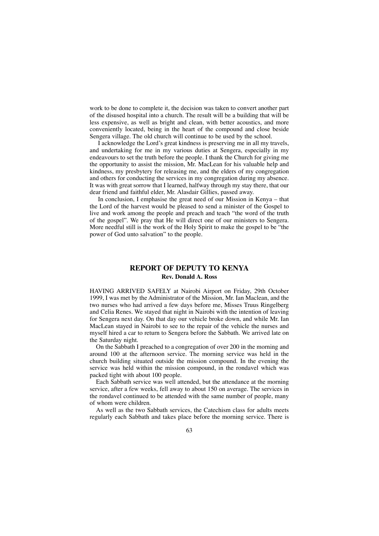work to be done to complete it, the decision was taken to convert another part of the disused hospital into a church. The result will be a building that will be less expensive, as well as bright and clean, with better acoustics, and more conveniently located, being in the heart of the compound and close beside Sengera village. The old church will continue to be used by the school.

I acknowledge the Lord's great kindness is preserving me in all my travels, and undertaking for me in my various duties at Sengera, especially in my endeavours to set the truth before the people. I thank the Church for giving me the opportunity to assist the mission, Mr. MacLean for his valuable help and kindness, my presbytery for releasing me, and the elders of my congregation and others for conducting the services in my congregation during my absence. It was with great sorrow that I learned, halfway through my stay there, that our dear friend and faithful elder, Mr. Alasdair Gillies, passed away.

In conclusion, I emphasise the great need of our Mission in Kenya – that the Lord of the harvest would be pleased to send a minister of the Gospel to live and work among the people and preach and teach "the word of the truth of the gospel". We pray that He will direct one of our ministers to Sengera. More needful still is the work of the Holy Spirit to make the gospel to be "the power of God unto salvation" to the people.

## **REPORT OF DEPUTY TO KENYA Rev. Donald A. Ross**

HAVING ARRIVED SAFELY at Nairobi Airport on Friday, 29th October 1999, I was met by the Administrator of the Mission, Mr. Ian Maclean, and the two nurses who had arrived a few days before me, Misses Truus Ringelberg and Celia Renes. We stayed that night in Nairobi with the intention of leaving for Sengera next day. On that day our vehicle broke down, and while Mr. Ian MacLean stayed in Nairobi to see to the repair of the vehicle the nurses and myself hired a car to return to Sengera before the Sabbath. We arrived late on the Saturday night.

On the Sabbath I preached to a congregation of over 200 in the morning and around 100 at the afternoon service. The morning service was held in the church building situated outside the mission compound. In the evening the service was held within the mission compound, in the rondavel which was packed tight with about 100 people.

Each Sabbath service was well attended, but the attendance at the morning service, after a few weeks, fell away to about 150 on average. The services in the rondavel continued to be attended with the same number of people, many of whom were children.

As well as the two Sabbath services, the Catechism class for adults meets regularly each Sabbath and takes place before the morning service. There is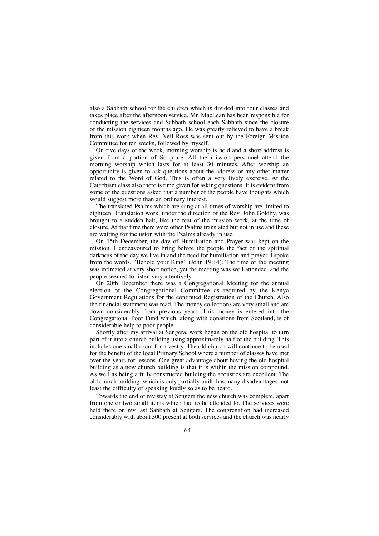also a Sabbath school for the children which is divided into four classes and takes place after the afternoon service. Mr. MacLean has been responsible for conducting the services and Sabbath school each Sabbath since the closure of the mission eighteen months ago. He was greatly relieved to have a break from this work when Rev. Neil Ross was sent out by the Foreign Mission Committee for ten weeks, followed by myself.

On five days of the week, morning worship is held and a short address is given from a portion of Scripture. All the mission personnel attend the morning worship which lasts for at least 30 minutes. After worship an opportunity is given to ask questions about the address or any other matter related to the Word of God. This is often a very lively exercise. At the Catechism class also there is time given for asking questions. It is evident from some of the questions asked that a number of the people have thoughts which would suggest more than an ordinary interest.

The translated Psalms which are sung at all times of worship are limited to eighteen. Translation work, under the direction of the Rev. John Goldby, was brought to a sudden halt, like the rest of the mission work, at the time of closure. At that time there were other Psalms translated but not in use and these are waiting for inclusion with the Psalms already in use.

On 15th December, the day of Humiliation and Prayer was kept on the mission. I endeavoured to bring before the people the fact of the spiritual darkness of the day we live in and the need for humiliation and prayer. I spoke from the words, "Behold your King" (John 19:14). The time of the meeting was intimated at very short notice, yet the meeting was well attended, and the people seemed to listen very attentively.

On 20th December there was a Congregational Meeting for the annual election of the Congregational Committee as required by the Kenya Government Regulations for the continued Registration of the Church. Also the financial statement was read. The money collections are very small and are down considerably from previous years. This money is entered into the Congregational Poor Fund which, along with donations from Scotland, is of considerable help to poor people.

Shortly after my arrival at Sengera, work began on the old hospital to turn part of it into a church building using approximately half of the building. This includes one small room for a vestry. The old church will continue to be used for the benefit of the local Primary School where a number of classes have met over the years for lessons. One great advantage about having the old hospital building as a new church building is that it is within the mission compound. As well as being a fully constructed building the acoustics are excellent. The old church building, which is only partially built, has many disadvantages, not least the difficulty of speaking loudly so as to be heard.

Towards the end of my stay at Sengera the new church was complete, apart from one or two small items which had to be attended to. The services were held there on my last Sabbath at Sengera. The congregation had increased considerably with about 300 present at both services and the church was nearly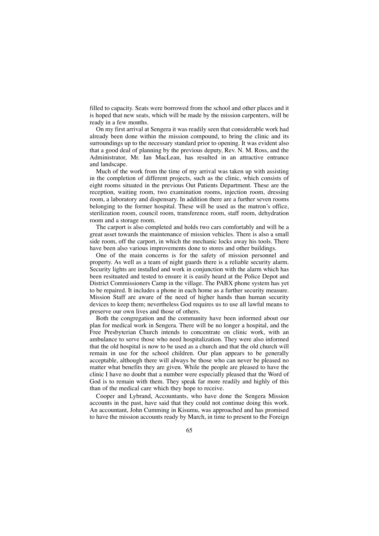filled to capacity. Seats were borrowed from the school and other places and it is hoped that new seats, which will be made by the mission carpenters, will be ready in a few months.

On my first arrival at Sengera it was readily seen that considerable work had already been done within the mission compound, to bring the clinic and its surroundings up to the necessary standard prior to opening. It was evident also that a good deal of planning by the previous deputy, Rev. N. M. Ross, and the Administrator, Mr. Ian MacLean, has resulted in an attractive entrance and landscape.

Much of the work from the time of my arrival was taken up with assisting in the completion of different projects, such as the clinic, which consists of eight rooms situated in the previous Out Patients Department. These are the reception, waiting room, two examination rooms, injection room, dressing room, a laboratory and dispensary. In addition there are a further seven rooms belonging to the former hospital. These will be used as the matron's office, sterilization room, council room, transference room, staff room, dehydration room and a storage room.

The carport is also completed and holds two cars comfortably and will be a great asset towards the maintenance of mission vehicles. There is also a small side room, off the carport, in which the mechanic locks away his tools. There have been also various improvements done to stores and other buildings.

One of the main concerns is for the safety of mission personnel and property. As well as a team of night guards there is a reliable security alarm. Security lights are installed and work in conjunction with the alarm which has been resituated and tested to ensure it is easily heard at the Police Depot and District Commissioners Camp in the village. The PABX phone system has yet to be repaired. It includes a phone in each home as a further security measure. Mission Staff are aware of the need of higher hands than human security devices to keep them; nevertheless God requires us to use all lawful means to preserve our own lives and those of others.

Both the congregation and the community have been informed about our plan for medical work in Sengera. There will be no longer a hospital, and the Free Presbyterian Church intends to concentrate on clinic work, with an ambulance to serve those who need hospitalization. They were also informed that the old hospital is now to be used as a church and that the old church will remain in use for the school children. Our plan appears to be generally acceptable, although there will always be those who can never be pleased no matter what benefits they are given. While the people are pleased to have the clinic I have no doubt that a number were especially pleased that the Word of God is to remain with them. They speak far more readily and highly of this than of the medical care which they hope to receive.

Cooper and Lybrand, Accountants, who have done the Sengera Mission accounts in the past, have said that they could not continue doing this work. An accountant, John Cumming in Kisumu, was approached and has promised to have the mission accounts ready by March, in time to present to the Foreign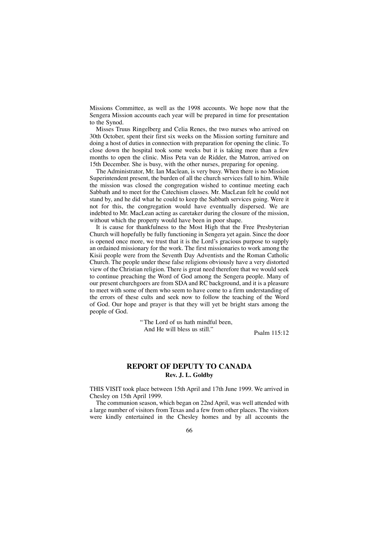Missions Committee, as well as the 1998 accounts. We hope now that the Sengera Mission accounts each year will be prepared in time for presentation to the Synod.

Misses Truus Ringelberg and Celia Renes, the two nurses who arrived on 30th October, spent their first six weeks on the Mission sorting furniture and doing a host of duties in connection with preparation for opening the clinic. To close down the hospital took some weeks but it is taking more than a few months to open the clinic. Miss Peta van de Ridder, the Matron, arrived on 15th December. She is busy, with the other nurses, preparing for opening.

The Administrator, Mr. Ian Maclean, is very busy. When there is no Mission Superintendent present, the burden of all the church services fall to him. While the mission was closed the congregation wished to continue meeting each Sabbath and to meet for the Catechism classes. Mr. MacLean felt he could not stand by, and he did what he could to keep the Sabbath services going. Were it not for this, the congregation would have eventually dispersed. We are indebted to Mr. MacLean acting as caretaker during the closure of the mission, without which the property would have been in poor shape.

It is cause for thankfulness to the Most High that the Free Presbyterian Church will hopefully be fully functioning in Sengera yet again. Since the door is opened once more, we trust that it is the Lord's gracious purpose to supply an ordained missionary for the work. The first missionaries to work among the Kisii people were from the Seventh Day Adventists and the Roman Catholic Church. The people under these false religions obviously have a very distorted view of the Christian religion. There is great need therefore that we would seek to continue preaching the Word of God among the Sengera people. Many of our present churchgoers are from SDA and RC background, and it is a pleasure to meet with some of them who seem to have come to a firm understanding of the errors of these cults and seek now to follow the teaching of the Word of God. Our hope and prayer is that they will yet be bright stars among the people of God.

> "The Lord of us hath mindful been, And He will bless us still."<br>Psalm 115:12

# **REPORT OF DEPUTY TO CANADA Rev. J. L. Goldby**

THIS VISIT took place between 15th April and 17th June 1999. We arrived in Chesley on 15th April 1999.

The communion season, which began on 22nd April, was well attended with a large number of visitors from Texas and a few from other places. The visitors were kindly entertained in the Chesley homes and by all accounts the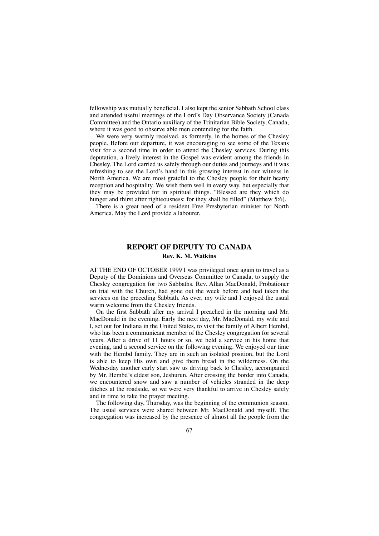fellowship was mutually beneficial. I also kept the senior Sabbath School class and attended useful meetings of the Lord's Day Observance Society (Canada Committee) and the Ontario auxiliary of the Trinitarian Bible Society, Canada, where it was good to observe able men contending for the faith.

We were very warmly received, as formerly, in the homes of the Chesley people. Before our departure, it was encouraging to see some of the Texans visit for a second time in order to attend the Chesley services. During this deputation, a lively interest in the Gospel was evident among the friends in Chesley. The Lord carried us safely through our duties and journeys and it was refreshing to see the Lord's hand in this growing interest in our witness in North America. We are most grateful to the Chesley people for their hearty reception and hospitality. We wish them well in every way, but especially that they may be provided for in spiritual things. "Blessed are they which do hunger and thirst after righteousness: for they shall be filled" (Matthew 5:6).

There is a great need of a resident Free Presbyterian minister for North America. May the Lord provide a labourer.

# **REPORT OF DEPUTY TO CANADA Rev. K. M. Watkins**

AT THE END OF OCTOBER 1999 I was privileged once again to travel as a Deputy of the Dominions and Overseas Committee to Canada, to supply the Chesley congregation for two Sabbaths. Rev. Allan MacDonald, Probationer on trial with the Church, had gone out the week before and had taken the services on the preceding Sabbath. As ever, my wife and I enjoyed the usual warm welcome from the Chesley friends.

On the first Sabbath after my arrival I preached in the morning and Mr. MacDonald in the evening. Early the next day, Mr. MacDonald, my wife and I, set out for Indiana in the United States, to visit the family of Albert Hembd, who has been a communicant member of the Chesley congregation for several years. After a drive of 11 hours or so, we held a service in his home that evening, and a second service on the following evening. We enjoyed our time with the Hembd family. They are in such an isolated position, but the Lord is able to keep His own and give them bread in the wilderness. On the Wednesday another early start saw us driving back to Chesley, accompanied by Mr. Hembd's eldest son, Jeshurun. After crossing the border into Canada, we encountered snow and saw a number of vehicles stranded in the deep ditches at the roadside, so we were very thankful to arrive in Chesley safely and in time to take the prayer meeting.

The following day, Thursday, was the beginning of the communion season. The usual services were shared between Mr. MacDonald and myself. The congregation was increased by the presence of almost all the people from the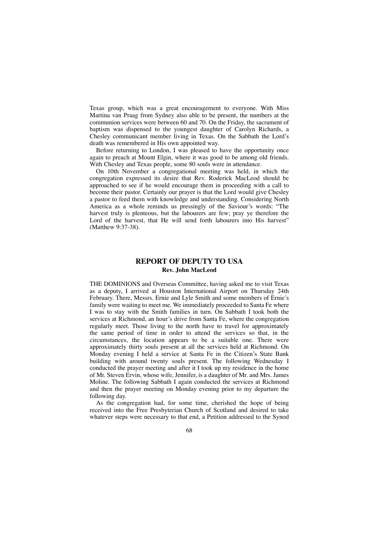Texas group, which was a great encouragement to everyone. With Miss Martina van Praag from Sydney also able to be present, the numbers at the communion services were between 60 and 70. On the Friday, the sacrament of baptism was dispensed to the youngest daughter of Carolyn Richards, a Chesley communicant member living in Texas. On the Sabbath the Lord's death was remembered in His own appointed way.

Before returning to London, I was pleased to have the opportunity once again to preach at Mount Elgin, where it was good to be among old friends. With Chesley and Texas people, some 80 souls were in attendance.

On 10th November a congregational meeting was held, in which the congregation expressed its desire that Rev. Roderick MacLeod should be approached to see if he would encourage them in proceeding with a call to become their pastor. Certainly our prayer is that the Lord would give Chesley a pastor to feed them with knowledge and understanding. Considering North America as a whole reminds us pressingly of the Saviour's words: "The harvest truly is plenteous, but the labourers are few; pray ye therefore the Lord of the harvest, that He will send forth labourers into His harvest" (Matthew 9:37-38).

# **REPORT OF DEPUTY TO USA Rev. John MacLeod**

THE DOMINIONS and Overseas Committee, having asked me to visit Texas as a deputy, I arrived at Houston International Airport on Thursday 24th February. There, Messrs. Ernie and Lyle Smith and some members of Ernie's family were waiting to meet me. We immediately proceeded to Santa Fe where I was to stay with the Smith families in turn. On Sabbath I took both the services at Richmond, an hour's drive from Santa Fe, where the congregation regularly meet. Those living to the north have to travel for approximately the same period of time in order to attend the services so that, in the circumstances, the location appears to be a suitable one. There were approximately thirty souls present at all the services held at Richmond. On Monday evening I held a service at Santa Fe in the Citizen's State Bank building with around twenty souls present. The following Wednesday I conducted the prayer meeting and after it I took up my residence in the home of Mr. Steven Ervin, whose wife, Jennifer, is a daughter of Mr. and Mrs. James Moline. The following Sabbath I again conducted the services at Richmond and then the prayer meeting on Monday evening prior to my departure the following day.

As the congregation had, for some time, cherished the hope of being received into the Free Presbyterian Church of Scotland and desired to take whatever steps were necessary to that end, a Petition addressed to the Synod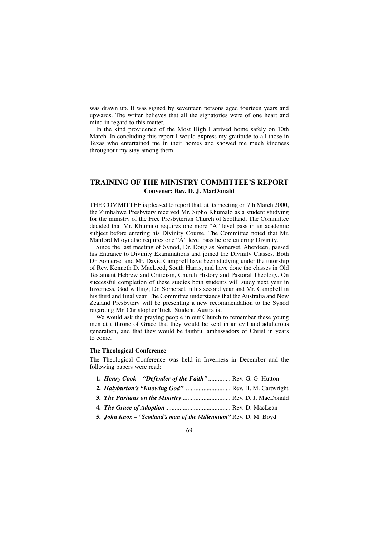was drawn up. It was signed by seventeen persons aged fourteen years and upwards. The writer believes that all the signatories were of one heart and mind in regard to this matter.

In the kind providence of the Most High I arrived home safely on 10th March. In concluding this report I would express my gratitude to all those in Texas who entertained me in their homes and showed me much kindness throughout my stay among them.

## **TRAINING OF THE MINISTRY COMMITTEE'S REPORT Convener: Rev. D. J. MacDonald**

THE COMMITTEE is pleased to report that, at its meeting on 7th March 2000, the Zimbabwe Presbytery received Mr. Sipho Khumalo as a student studying for the ministry of the Free Presbyterian Church of Scotland. The Committee decided that Mr. Khumalo requires one more "A" level pass in an academic subject before entering his Divinity Course. The Committee noted that Mr. Manford Mloyi also requires one "A" level pass before entering Divinity.

Since the last meeting of Synod, Dr. Douglas Somerset, Aberdeen, passed his Entrance to Divinity Examinations and joined the Divinity Classes. Both Dr. Somerset and Mr. David Campbell have been studying under the tutorship of Rev. Kenneth D. MacLeod, South Harris, and have done the classes in Old Testament Hebrew and Criticism, Church History and Pastoral Theology. On successful completion of these studies both students will study next year in Inverness, God willing; Dr. Somerset in his second year and Mr. Campbell in his third and final year. The Committee understands that the Australia and New Zealand Presbytery will be presenting a new recommendation to the Synod regarding Mr. Christopher Tuck, Student, Australia.

We would ask the praying people in our Church to remember these young men at a throne of Grace that they would be kept in an evil and adulterous generation, and that they would be faithful ambassadors of Christ in years to come.

#### **The Theological Conference**

The Theological Conference was held in Inverness in December and the following papers were read:

- **1.** *Henry Cook "Defender of the Faith"* .............. Rev. G. G. Hutton
- **2.** *Halyburton's "Knowing God"* ............................ Rev. H. M. Cartwright
- **3.** *The Puritans on the Ministry*............................... Rev. D. J. MacDonald
- **4.** *The Grace of Adoption*......................................... Rev. D. MacLean
- **5.** *John Knox "Scotland's man of the Millennium"* Rev. D. M. Boyd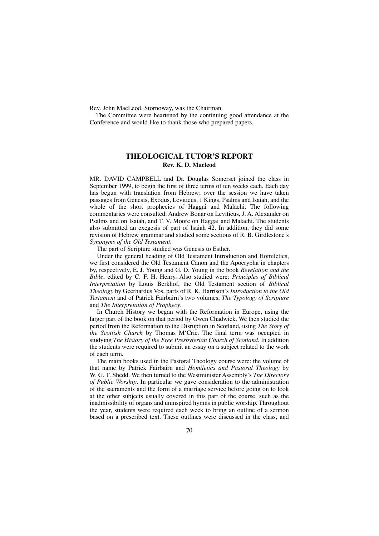Rev. John MacLeod, Stornoway, was the Chairman.

The Committee were heartened by the continuing good attendance at the Conference and would like to thank those who prepared papers.

## **THEOLOGICAL TUTOR'S REPORT Rev. K. D. Macleod**

MR. DAVID CAMPBELL and Dr. Douglas Somerset joined the class in September 1999, to begin the first of three terms of ten weeks each. Each day has begun with translation from Hebrew; over the session we have taken passages from Genesis, Exodus, Leviticus, 1 Kings, Psalms and Isaiah, and the whole of the short prophecies of Haggai and Malachi. The following commentaries were consulted: Andrew Bonar on Leviticus, J. A. Alexander on Psalms and on Isaiah, and T. V. Moore on Haggai and Malachi. The students also submitted an exegesis of part of Isaiah 42. In addition, they did some revision of Hebrew grammar and studied some sections of R. B. Girdlestone's *Synonyms of the Old Testament*.

The part of Scripture studied was Genesis to Esther.

Under the general heading of Old Testament Introduction and Homiletics, we first considered the Old Testament Canon and the Apocrypha in chapters by, respectively, E. J. Young and G. D. Young in the book *Revelation and the Bible*, edited by C. F. H. Henry. Also studied were: *Principles of Biblical Interpretation* by Louis Berkhof, the Old Testament section of *Biblical Theology* by Geerhardus Vos, parts of R. K. Harrison's *Introduction to the Old Testament* and of Patrick Fairbairn's two volumes, *The Typology of Scripture* and *The Interpretation of Prophecy*.

In Church History we began with the Reformation in Europe, using the larger part of the book on that period by Owen Chadwick. We then studied the period from the Reformation to the Disruption in Scotland, using *The Story of the Scottish Church* by Thomas M'Crie. The final term was occupied in studying *The History of the Free Presbyterian Church of Scotland*. In addition the students were required to submit an essay on a subject related to the work of each term.

The main books used in the Pastoral Theology course were: the volume of that name by Patrick Fairbairn and *Homiletics and Pastoral Theology* by W. G. T. Shedd. We then turned to the Westminister Assembly's *The Directory of Public Worship*. In particular we gave consideration to the administration of the sacraments and the form of a marriage service before going on to look at the other subjects usually covered in this part of the course, such as the inadmissibility of organs and uninspired hymns in public worship. Throughout the year, students were required each week to bring an outline of a sermon based on a prescribed text. These outlines were discussed in the class, and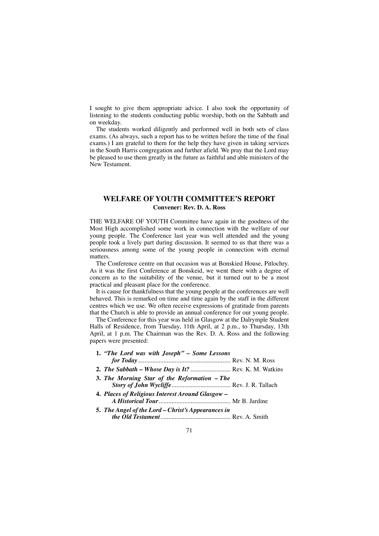I sought to give them appropriate advice. I also took the opportunity of listening to the students conducting public worship, both on the Sabbath and on weekday.

The students worked diligently and performed well in both sets of class exams. (As always, such a report has to be written before the time of the final exams.) I am grateful to them for the help they have given in taking services in the South Harris congregation and further afield. We pray that the Lord may be pleased to use them greatly in the future as faithful and able ministers of the New Testament.

# **WELFARE OF YOUTH COMMITTEE'S REPORT Convener: Rev. D. A. Ross**

THE WELFARE OF YOUTH Committee have again in the goodness of the Most High accomplished some work in connection with the welfare of our young people. The Conference last year was well attended and the young people took a lively part during discussion. It seemed to us that there was a seriousness among some of the young people in connection with eternal matters.

The Conference centre on that occasion was at Bonskied House, Pitlochry. As it was the first Conference at Bonskeid, we went there with a degree of concern as to the suitability of the venue, but it turned out to be a most practical and pleasant place for the conference.

It is cause for thankfulness that the young people at the conferences are well behaved. This is remarked on time and time again by the staff in the different centres which we use. We often receive expressions of gratitude from parents that the Church is able to provide an annual conference for our young people.

The Conference for this year was held in Glasgow at the Dalrymple Student Halls of Residence, from Tuesday, 11th April, at 2 p.m., to Thursday, 13th April, at 1 p.m. The Chairman was the Rev. D. A. Ross and the following papers were presented:

| 1. "The Lord was with Joseph" - Some Lessons                       |
|--------------------------------------------------------------------|
| <b>2.</b> <i>The Sabbath – Whose Day is It?</i> Rev. K. M. Watkins |
| 3. The Morning Star of the Reformation - The                       |
| 4. Places of Religious Interest Around Glasgow –                   |
| 5. The Angel of the Lord - Christ's Appearances in                 |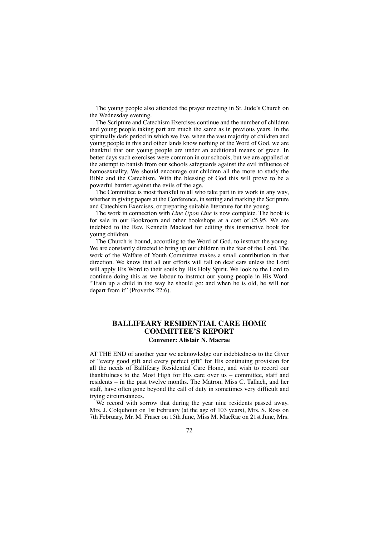The young people also attended the prayer meeting in St. Jude's Church on the Wednesday evening.

The Scripture and Catechism Exercises continue and the number of children and young people taking part are much the same as in previous years. In the spiritually dark period in which we live, when the vast majority of children and young people in this and other lands know nothing of the Word of God, we are thankful that our young people are under an additional means of grace. In better days such exercises were common in our schools, but we are appalled at the attempt to banish from our schools safeguards against the evil influence of homosexuality. We should encourage our children all the more to study the Bible and the Catechism. With the blessing of God this will prove to be a powerful barrier against the evils of the age.

The Committee is most thankful to all who take part in its work in any way, whether in giving papers at the Conference, in setting and marking the Scripture and Catechism Exercises, or preparing suitable literature for the young.

The work in connection with *Line Upon Line* is now complete. The book is for sale in our Bookroom and other bookshops at a cost of £5.95. We are indebted to the Rev. Kenneth Macleod for editing this instructive book for young children.

The Church is bound, according to the Word of God, to instruct the young. We are constantly directed to bring up our children in the fear of the Lord. The work of the Welfare of Youth Committee makes a small contribution in that direction. We know that all our efforts will fall on deaf ears unless the Lord will apply His Word to their souls by His Holy Spirit. We look to the Lord to continue doing this as we labour to instruct our young people in His Word. "Train up a child in the way he should go: and when he is old, he will not depart from it" (Proverbs 22:6).

## **BALLIFEARY RESIDENTIAL CARE HOME COMMITTEE'S REPORT Convener: Alistair N. Macrae**

AT THE END of another year we acknowledge our indebtedness to the Giver of "every good gift and every perfect gift" for His continuing provision for all the needs of Ballifeary Residential Care Home, and wish to record our thankfulness to the Most High for His care over us – committee, staff and residents – in the past twelve months. The Matron, Miss C. Tallach, and her staff, have often gone beyond the call of duty in sometimes very difficult and trying circumstances.

We record with sorrow that during the year nine residents passed away. Mrs. J. Colquhoun on 1st February (at the age of 103 years), Mrs. S. Ross on 7th February, Mr. M. Fraser on 15th June, Miss M. MacRae on 21st June, Mrs.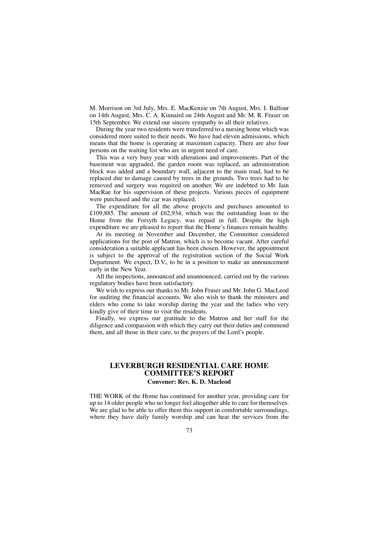M. Morrison on 3rd July, Mrs. E. MacKenzie on 7th August, Mrs. I. Balfour on 14th August, Mrs. C. A. Kinnaird on 24th August and Mr. M. R. Fraser on 15th September. We extend our sincere sympathy to all their relatives.

During the year two residents were transferred to a nursing home which was considered more suited to their needs. We have had eleven admissions, which means that the home is operating at maximum capacity. There are also four persons on the waiting list who are in urgent need of care.

This was a very busy year with alterations and improvements. Part of the basement was upgraded, the garden room was replaced, an administration block was added and a boundary wall, adjacent to the main road, had to be replaced due to damage caused by trees in the grounds. Two trees had to be removed and surgery was required on another. We are indebted to Mr. Iain MacRae for his supervision of these projects. Various pieces of equipment were purchased and the car was replaced.

The expenditure for all the above projects and purchases amounted to £109,885. The amount of £62,934, which was the outstanding loan to the Home from the Forsyth Legacy, was repaid in full. Despite the high expenditure we are pleased to report that the Home's finances remain healthy.

At its meeting in November and December, the Committee considered applications for the post of Matron, which is to become vacant. After careful consideration a suitable applicant has been chosen. However, the appointment is subject to the approval of the registration section of the Social Work Department. We expect, D.V., to be in a position to make an announcement early in the New Year.

All the inspections, announced and unannounced, carried out by the various regulatory bodies have been satisfactory.

We wish to express our thanks to Mr. John Fraser and Mr. John G. MacLeod for auditing the financial accounts. We also wish to thank the ministers and elders who come to take worship during the year and the ladies who very kindly give of their time to visit the residents.

Finally, we express our gratitude to the Matron and her staff for the diligence and compassion with which they carry out their duties and commend them, and all those in their care, to the prayers of the Lord's people.

# **LEVERBURGH RESIDENTIAL CARE HOME COMMITTEE'S REPORT**

### **Convener: Rev. K. D. Macleod**

THE WORK of the Home has continued for another year, providing care for up to 14 older people who no longer feel altogether able to care for themselves. We are glad to be able to offer them this support in comfortable surroundings, where they have daily family worship and can hear the services from the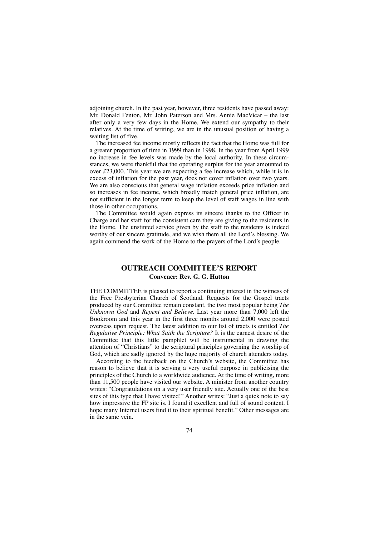adjoining church. In the past year, however, three residents have passed away: Mr. Donald Fenton, Mr. John Paterson and Mrs. Annie MacVicar – the last after only a very few days in the Home. We extend our sympathy to their relatives. At the time of writing, we are in the unusual position of having a waiting list of five.

The increased fee income mostly reflects the fact that the Home was full for a greater proportion of time in 1999 than in 1998. In the year from April 1999 no increase in fee levels was made by the local authority. In these circumstances, we were thankful that the operating surplus for the year amounted to over £23,000. This year we are expecting a fee increase which, while it is in excess of inflation for the past year, does not cover inflation over two years. We are also conscious that general wage inflation exceeds price inflation and so increases in fee income, which broadly match general price inflation, are not sufficient in the longer term to keep the level of staff wages in line with those in other occupations.

The Committee would again express its sincere thanks to the Officer in Charge and her staff for the consistent care they are giving to the residents in the Home. The unstinted service given by the staff to the residents is indeed worthy of our sincere gratitude, and we wish them all the Lord's blessing. We again commend the work of the Home to the prayers of the Lord's people.

## **OUTREACH COMMITTEE'S REPORT Convener: Rev. G. G. Hutton**

THE COMMITTEE is pleased to report a continuing interest in the witness of the Free Presbyterian Church of Scotland. Requests for the Gospel tracts produced by our Committee remain constant, the two most popular being *The Unknown God* and *Repent and Believe.* Last year more than 7,000 left the Bookroom and this year in the first three months around 2,000 were posted overseas upon request. The latest addition to our list of tracts is entitled *The Regulative Principle: What Saith the Scripture?* It is the earnest desire of the Committee that this little pamphlet will be instrumental in drawing the attention of "Christians" to the scriptural principles governing the worship of God, which are sadly ignored by the huge majority of church attenders today.

According to the feedback on the Church's website, the Committee has reason to believe that it is serving a very useful purpose in publicising the principles of the Church to a worldwide audience. At the time of writing, more than 11,500 people have visited our website. A minister from another country writes: "Congratulations on a very user friendly site. Actually one of the best sites of this type that I have visited!" Another writes: "Just a quick note to say how impressive the FP site is. I found it excellent and full of sound content. I hope many Internet users find it to their spiritual benefit." Other messages are in the same vein.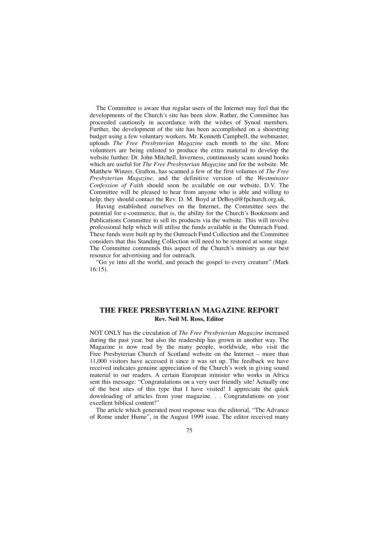The Committee is aware that regular users of the Internet may feel that the developments of the Church's site has been slow. Rather, the Committee has proceeded cautiously in accordance with the wishes of Synod members. Further, the development of the site has been accomplished on a shoestring budget using a few voluntary workers. Mr. Kenneth Campbell, the webmaster, uploads *The Free Presbyterian Magazine* each month to the site. More volunteers are being enlisted to produce the extra material to develop the website further. Dr. John Mitchell, Inverness, continuously scans sound books which are useful for *The Free Presbyterian Magazine* and for the website. Mr. Matthew Winzer, Grafton, has scanned a few of the first volumes of *The Free Presbyterian Magazine,* and the definitive version of the *Westminster Confession of Faith* should soon be available on our website, D.V. The Committee will be pleased to hear from anyone who is able and willing to help; they should contact the Rev. D. M. Boyd at DrBoyd@fpchurch.org.uk.

Having established ourselves on the Internet, the Committee sees the potential for e-commerce, that is, the ability for the Church's Bookroom and Publications Committee to sell its products via the website. This will involve professional help which will utilise the funds available in the Outreach Fund. These funds were built up by the Outreach Fund Collection and the Committee considers that this Standing Collection will need to be restored at some stage. The Committee commends this aspect of the Church's ministry as our best resource for advertising and for outreach.

"Go ye into all the world, and preach the gospel to every creature" (Mark 16:15).

## **THE FREE PRESBYTERIAN MAGAZINE REPORT Rev. Neil M. Ross, Editor**

NOT ONLY has the circulation of *The Free Presbyterian Magazine* increased during the past year, but also the readership has grown in another way. The Magazine is now read by the many people, worldwide, who visit the Free Presbyterian Church of Scotland website on the Internet – more than 11,000 visitors have accessed it since it was set up. The feedback we have received indicates genuine appreciation of the Church's work in giving sound material to our readers. A certain European minister who works in Africa sent this message: "Congratulations on a very user friendly site! Actually one of the best sites of this type that I have visited! I appreciate the quick downloading of articles from your magazine. . . Congratulations on your excellent biblical content!"

The article which generated most response was the editorial, "The Advance of Rome under Hume", in the August 1999 issue. The editor received many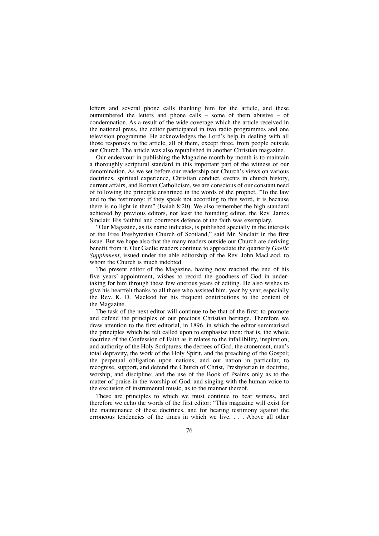letters and several phone calls thanking him for the article, and these outnumbered the letters and phone calls – some of them abusive – of condemnation. As a result of the wide coverage which the article received in the national press, the editor participated in two radio programmes and one television programme. He acknowledges the Lord's help in dealing with all those responses to the article, all of them, except three, from people outside our Church. The article was also republished in another Christian magazine.

Our endeavour in publishing the Magazine month by month is to maintain a thoroughly scriptural standard in this important part of the witness of our denomination. As we set before our readership our Church's views on various doctrines, spiritual experience, Christian conduct, events in church history, current affairs, and Roman Catholicism, we are conscious of our constant need of following the principle enshrined in the words of the prophet, "To the law and to the testimony: if they speak not according to this word, it is because there is no light in them" (Isaiah 8:20). We also remember the high standard achieved by previous editors, not least the founding editor, the Rev. James Sinclair. His faithful and courteous defence of the faith was exemplary.

"Our Magazine, as its name indicates, is published specially in the interests of the Free Presbyterian Church of Scotland," said Mr. Sinclair in the first issue. But we hope also that the many readers outside our Church are deriving benefit from it. Our Gaelic readers continue to appreciate the quarterly *Gaelic Supplement*, issued under the able editorship of the Rev. John MacLeod, to whom the Church is much indebted.

The present editor of the Magazine, having now reached the end of his five years' appointment, wishes to record the goodness of God in undertaking for him through these few onerous years of editing. He also wishes to give his heartfelt thanks to all those who assisted him, year by year, especially the Rev. K. D. Macleod for his frequent contributions to the content of the Magazine.

The task of the next editor will continue to be that of the first: to promote and defend the principles of our precious Christian heritage. Therefore we draw attention to the first editorial, in 1896, in which the editor summarised the principles which he felt called upon to emphasise then: that is, the whole doctrine of the Confession of Faith as it relates to the infallibility, inspiration, and authority of the Holy Scriptures, the decrees of God, the atonement, man's total depravity, the work of the Holy Spirit, and the preaching of the Gospel; the perpetual obligation upon nations, and our nation in particular, to recognise, support, and defend the Church of Christ, Presbyterian in doctrine, worship, and discipline; and the use of the Book of Psalms only as to the matter of praise in the worship of God, and singing with the human voice to the exclusion of instrumental music, as to the manner thereof.

These are principles to which we must continue to bear witness, and therefore we echo the words of the first editor: "This magazine will exist for the maintenance of these doctrines, and for bearing testimony against the erroneous tendencies of the times in which we live. . . . Above all other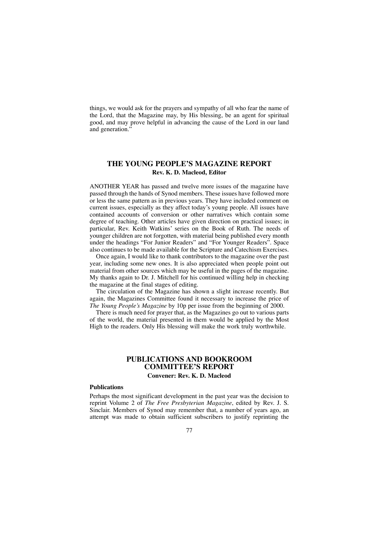things, we would ask for the prayers and sympathy of all who fear the name of the Lord, that the Magazine may, by His blessing, be an agent for spiritual good, and may prove helpful in advancing the cause of the Lord in our land and generation.'

### **THE YOUNG PEOPLE'S MAGAZINE REPORT Rev. K. D. Macleod, Editor**

ANOTHER YEAR has passed and twelve more issues of the magazine have passed through the hands of Synod members. These issues have followed more or less the same pattern as in previous years. They have included comment on current issues, especially as they affect today's young people. All issues have contained accounts of conversion or other narratives which contain some degree of teaching. Other articles have given direction on practical issues; in particular, Rev. Keith Watkins' series on the Book of Ruth. The needs of younger children are not forgotten, with material being published every month under the headings "For Junior Readers" and "For Younger Readers". Space also continues to be made available for the Scripture and Catechism Exercises.

Once again, I would like to thank contributors to the magazine over the past year, including some new ones. It is also appreciated when people point out material from other sources which may be useful in the pages of the magazine. My thanks again to Dr. J. Mitchell for his continued willing help in checking the magazine at the final stages of editing.

The circulation of the Magazine has shown a slight increase recently. But again, the Magazines Committee found it necessary to increase the price of *The Young People's Magazine* by 10p per issue from the beginning of 2000.

There is much need for prayer that, as the Magazines go out to various parts of the world, the material presented in them would be applied by the Most High to the readers. Only His blessing will make the work truly worthwhile.

### **PUBLICATIONS AND BOOKROOM COMMITTEE'S REPORT Convener: Rev. K. D. Macleod**

### **Publications**

Perhaps the most significant development in the past year was the decision to reprint Volume 2 of *The Free Presbyterian Magazine*, edited by Rev. J. S. Sinclair. Members of Synod may remember that, a number of years ago, an attempt was made to obtain sufficient subscribers to justify reprinting the

#### 77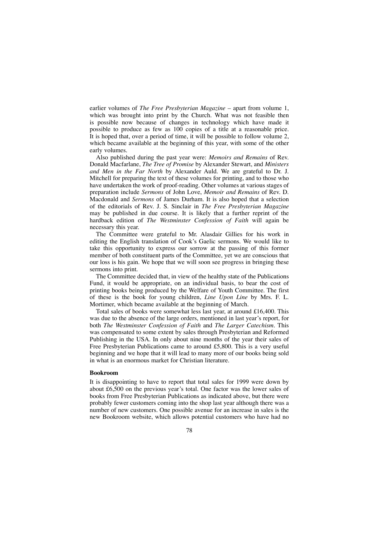earlier volumes of *The Free Presbyterian Magazine* – apart from volume 1, which was brought into print by the Church. What was not feasible then is possible now because of changes in technology which have made it possible to produce as few as 100 copies of a title at a reasonable price. It is hoped that, over a period of time, it will be possible to follow volume 2, which became available at the beginning of this year, with some of the other early volumes.

Also published during the past year were: *Memoirs and Remains* of Rev. Donald Macfarlane, *The Tree of Promise* by Alexander Stewart, and *Ministers and Men in the Far North* by Alexander Auld. We are grateful to Dr. J. Mitchell for preparing the text of these volumes for printing, and to those who have undertaken the work of proof-reading. Other volumes at various stages of preparation include *Sermons* of John Love, *Memoir and Remains* of Rev. D. Macdonald and *Sermons* of James Durham. It is also hoped that a selection of the editorials of Rev. J. S. Sinclair in *The Free Presbyterian Magazine* may be published in due course. It is likely that a further reprint of the hardback edition of *The Westminster Confession of Faith* will again be necessary this year.

The Committee were grateful to Mr. Alasdair Gillies for his work in editing the English translation of Cook's Gaelic sermons. We would like to take this opportunity to express our sorrow at the passing of this former member of both constituent parts of the Committee, yet we are conscious that our loss is his gain. We hope that we will soon see progress in bringing these sermons into print.

The Committee decided that, in view of the healthy state of the Publications Fund, it would be appropriate, on an individual basis, to bear the cost of printing books being produced by the Welfare of Youth Committee. The first of these is the book for young children, *Line Upon Line* by Mrs. F. L. Mortimer, which became available at the beginning of March.

Total sales of books were somewhat less last year, at around £16,400. This was due to the absence of the large orders, mentioned in last year's report, for both *The Westminster Confession of Faith* and *The Larger Catechism*. This was compensated to some extent by sales through Presbyterian and Reformed Publishing in the USA. In only about nine months of the year their sales of Free Presbyterian Publications came to around £5,800. This is a very useful beginning and we hope that it will lead to many more of our books being sold in what is an enormous market for Christian literature.

### **Bookroom**

It is disappointing to have to report that total sales for 1999 were down by about £6,500 on the previous year's total. One factor was the lower sales of books from Free Presbyterian Publications as indicated above, but there were probably fewer customers coming into the shop last year although there was a number of new customers. One possible avenue for an increase in sales is the new Bookroom website, which allows potential customers who have had no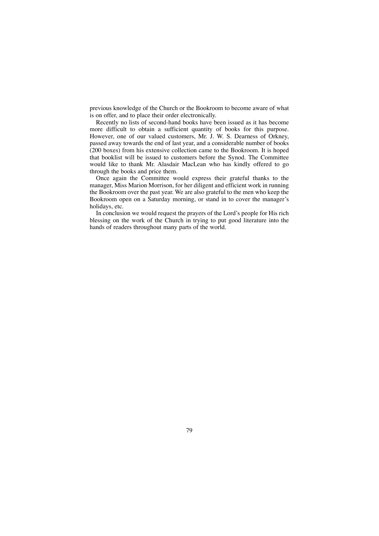previous knowledge of the Church or the Bookroom to become aware of what is on offer, and to place their order electronically.

Recently no lists of second-hand books have been issued as it has become more difficult to obtain a sufficient quantity of books for this purpose. However, one of our valued customers, Mr. J. W. S. Dearness of Orkney, passed away towards the end of last year, and a considerable number of books (200 boxes) from his extensive collection came to the Bookroom. It is hoped that booklist will be issued to customers before the Synod. The Committee would like to thank Mr. Alasdair MacLean who has kindly offered to go through the books and price them.

Once again the Committee would express their grateful thanks to the manager, Miss Marion Morrison, for her diligent and efficient work in running the Bookroom over the past year. We are also grateful to the men who keep the Bookroom open on a Saturday morning, or stand in to cover the manager's holidays, etc.

In conclusion we would request the prayers of the Lord's people for His rich blessing on the work of the Church in trying to put good literature into the hands of readers throughout many parts of the world.

79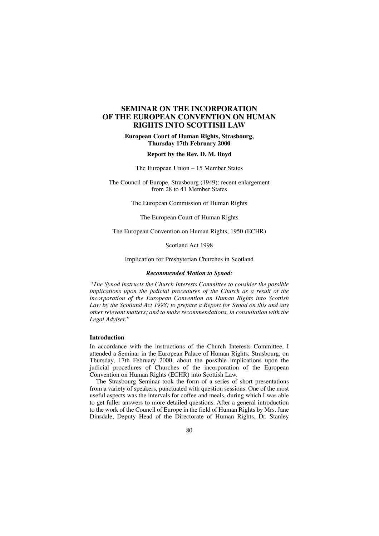## **SEMINAR ON THE INCORPORATION OF THE EUROPEAN CONVENTION ON HUMAN RIGHTS INTO SCOTTISH LAW**

**European Court of Human Rights, Strasbourg, Thursday 17th February 2000**

### **Report by the Rev. D. M. Boyd**

The European Union – 15 Member States

The Council of Europe, Strasbourg (1949): recent enlargement from 28 to 41 Member States

The European Commission of Human Rights

The European Court of Human Rights

The European Convention on Human Rights, 1950 (ECHR)

Scotland Act 1998

Implication for Presbyterian Churches in Scotland

#### *Recommended Motion to Synod:*

*"The Synod instructs the Church Interests Committee to consider the possible implications upon the judicial procedures of the Church as a result of the incorporation of the European Convention on Human Rights into Scottish Law by the Scotland Act 1998; to prepare a Report for Synod on this and any other relevant matters; and to make recommendations, in consultation with the Legal Adviser."*

### **Introduction**

In accordance with the instructions of the Church Interests Committee, I attended a Seminar in the European Palace of Human Rights, Strasbourg, on Thursday, 17th February 2000, about the possible implications upon the judicial procedures of Churches of the incorporation of the European Convention on Human Rights (ECHR) into Scottish Law.

The Strasbourg Seminar took the form of a series of short presentations from a variety of speakers, punctuated with question sessions. One of the most useful aspects was the intervals for coffee and meals, during which I was able to get fuller answers to more detailed questions. After a general introduction to the work of the Council of Europe in the field of Human Rights by Mrs. Jane Dinsdale, Deputy Head of the Directorate of Human Rights, Dr. Stanley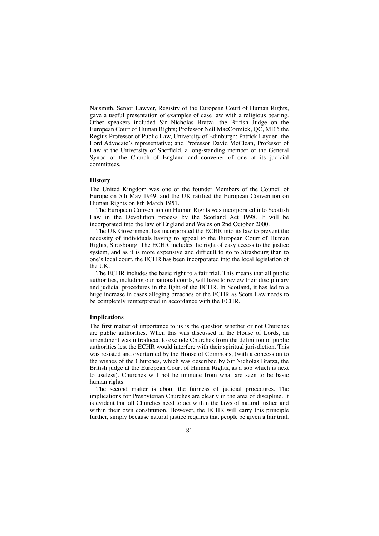Naismith, Senior Lawyer, Registry of the European Court of Human Rights, gave a useful presentation of examples of case law with a religious bearing. Other speakers included Sir Nicholas Bratza, the British Judge on the European Court of Human Rights; Professor Neil MacCormick, QC, MEP, the Regius Professor of Public Law, University of Edinburgh; Patrick Layden, the Lord Advocate's representative; and Professor David McClean, Professor of Law at the University of Sheffield, a long-standing member of the General Synod of the Church of England and convener of one of its judicial committees.

### **History**

The United Kingdom was one of the founder Members of the Council of Europe on 5th May 1949, and the UK ratified the European Convention on Human Rights on 8th March 1951.

The European Convention on Human Rights was incorporated into Scottish Law in the Devolution process by the Scotland Act 1998. It will be incorporated into the law of England and Wales on 2nd October 2000.

The UK Government has incorporated the ECHR into its law to prevent the necessity of individuals having to appeal to the European Court of Human Rights, Strasbourg. The ECHR includes the right of easy access to the justice system, and as it is more expensive and difficult to go to Strasbourg than to one's local court, the ECHR has been incorporated into the local legislation of the UK.

The ECHR includes the basic right to a fair trial. This means that all public authorities, including our national courts, will have to review their disciplinary and judicial procedures in the light of the ECHR. In Scotland, it has led to a huge increase in cases alleging breaches of the ECHR as Scots Law needs to be completely reinterpreted in accordance with the ECHR.

### **Implications**

The first matter of importance to us is the question whether or not Churches are public authorities. When this was discussed in the House of Lords, an amendment was introduced to exclude Churches from the definition of public authorities lest the ECHR would interfere with their spiritual jurisdiction. This was resisted and overturned by the House of Commons, (with a concession to the wishes of the Churches, which was described by Sir Nicholas Bratza, the British judge at the European Court of Human Rights, as a sop which is next to useless). Churches will not be immune from what are seen to be basic human rights.

The second matter is about the fairness of judicial procedures. The implications for Presbyterian Churches are clearly in the area of discipline. It is evident that all Churches need to act within the laws of natural justice and within their own constitution. However, the ECHR will carry this principle further, simply because natural justice requires that people be given a fair trial.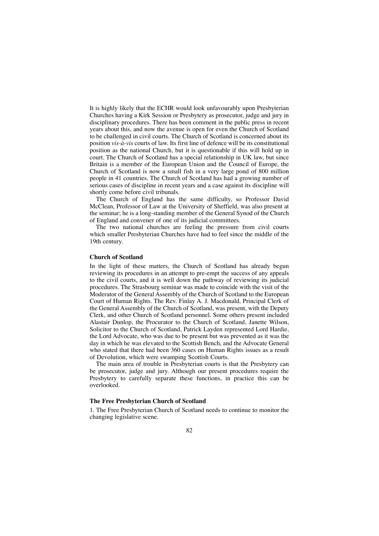It is highly likely that the ECHR would look unfavourably upon Presbyterian Churches having a Kirk Session or Presbytery as prosecutor, judge and jury in disciplinary procedures. There has been comment in the public press in recent years about this, and now the avenue is open for even the Church of Scotland to be challenged in civil courts. The Church of Scotland is concerned about its position *vis-à-vis* courts of law. Its first line of defence will be its constitutional position as the national Church, but it is questionable if this will hold up in court. The Church of Scotland has a special relationship in UK law, but since Britain is a member of the European Union and the Council of Europe, the Church of Scotland is now a small fish in a very large pond of 800 million people in 41 countries. The Church of Scotland has had a growing number of serious cases of discipline in recent years and a case against its discipline will shortly come before civil tribunals.

The Church of England has the same difficulty, so Professor David McClean, Professor of Law at the University of Sheffield, was also present at the seminar; he is a long-standing member of the General Synod of the Church of England and convener of one of its judicial committees.

The two national churches are feeling the pressure from civil courts which smaller Presbyterian Churches have had to feel since the middle of the 19th century.

#### **Church of Scotland**

In the light of these matters, the Church of Scotland has already begun reviewing its procedures in an attempt to pre-empt the success of any appeals to the civil courts, and it is well down the pathway of reviewing its judicial procedures. The Strasbourg seminar was made to coincide with the visit of the Moderator of the General Assembly of the Church of Scotland to the European Court of Human Rights. The Rev. Finlay A. J. Macdonald, Principal Clerk of the General Assembly of the Church of Scotland, was present, with the Deputy Clerk, and other Church of Scotland personnel. Some others present included Alastair Dunlop, the Procurator to the Church of Scotland, Janette Wilson, Solicitor to the Church of Scotland, Patrick Layden represented Lord Hardie, the Lord Advocate, who was due to be present but was prevented as it was the day in which he was elevated to the Scottish Bench, and the Advocate General who stated that there had been 360 cases on Human Rights issues as a result of Devolution, which were swamping Scottish Courts.

The main area of trouble in Presbyterian courts is that the Presbytery can be prosecutor, judge and jury. Although our present procedures require the Presbytery to carefully separate these functions, in practice this can be overlooked.

### **The Free Presbyterian Church of Scotland**

1. The Free Presbyterian Church of Scotland needs to continue to monitor the changing legislative scene.

82